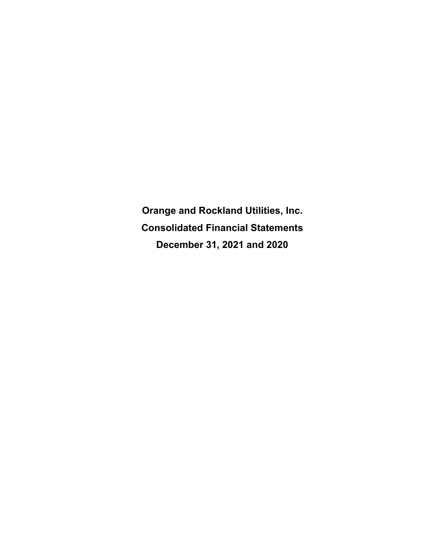**Orange and Rockland Utilities, Inc. Consolidated Financial Statements December 31, 2021 and 2020**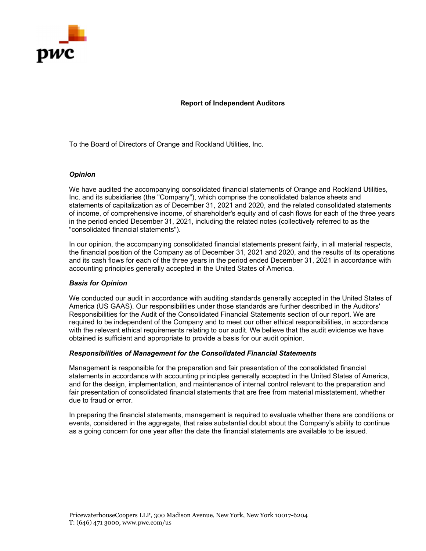

**Report of Independent Auditors** 

To the Board of Directors of Orange and Rockland Utilities, Inc.

## *Opinion*

We have audited the accompanying consolidated financial statements of Orange and Rockland Utilities, Inc. and its subsidiaries (the "Company"), which comprise the consolidated balance sheets and statements of capitalization as of December 31, 2021 and 2020, and the related consolidated statements of income, of comprehensive income, of shareholder's equity and of cash flows for each of the three years in the period ended December 31, 2021, including the related notes (collectively referred to as the "consolidated financial statements").

In our opinion, the accompanying consolidated financial statements present fairly, in all material respects, the financial position of the Company as of December 31, 2021 and 2020, and the results of its operations and its cash flows for each of the three years in the period ended December 31, 2021 in accordance with accounting principles generally accepted in the United States of America.

## *Basis for Opinion*

We conducted our audit in accordance with auditing standards generally accepted in the United States of America (US GAAS). Our responsibilities under those standards are further described in the Auditors' Responsibilities for the Audit of the Consolidated Financial Statements section of our report. We are required to be independent of the Company and to meet our other ethical responsibilities, in accordance with the relevant ethical requirements relating to our audit. We believe that the audit evidence we have obtained is sufficient and appropriate to provide a basis for our audit opinion.

### *Responsibilities of Management for the Consolidated Financial Statements*

Management is responsible for the preparation and fair presentation of the consolidated financial statements in accordance with accounting principles generally accepted in the United States of America, and for the design, implementation, and maintenance of internal control relevant to the preparation and fair presentation of consolidated financial statements that are free from material misstatement, whether due to fraud or error.

In preparing the financial statements, management is required to evaluate whether there are conditions or events, considered in the aggregate, that raise substantial doubt about the Company's ability to continue as a going concern for one year after the date the financial statements are available to be issued.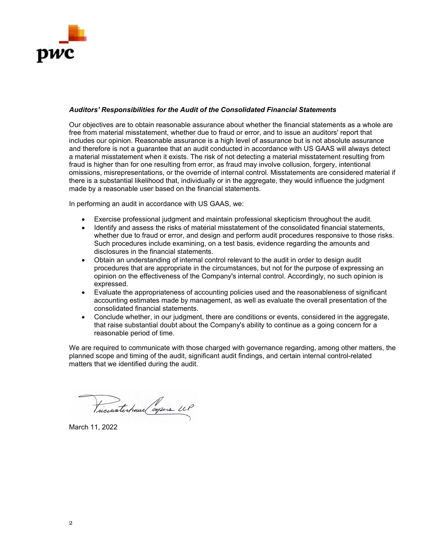

### *Auditors' Responsibilities for the Audit of the Consolidated Financial Statements*

Our objectives are to obtain reasonable assurance about whether the financial statements as a whole are free from material misstatement, whether due to fraud or error, and to issue an auditors' report that includes our opinion. Reasonable assurance is a high level of assurance but is not absolute assurance and therefore is not a guarantee that an audit conducted in accordance with US GAAS will always detect a material misstatement when it exists. The risk of not detecting a material misstatement resulting from fraud is higher than for one resulting from error, as fraud may involve collusion, forgery, intentional omissions, misrepresentations, or the override of internal control. Misstatements are considered material if there is a substantial likelihood that, individually or in the aggregate, they would influence the judgment made by a reasonable user based on the financial statements.

In performing an audit in accordance with US GAAS, we:

- Exercise professional judgment and maintain professional skepticism throughout the audit.
- Identify and assess the risks of material misstatement of the consolidated financial statements, whether due to fraud or error, and design and perform audit procedures responsive to those risks. Such procedures include examining, on a test basis, evidence regarding the amounts and disclosures in the financial statements.
- Obtain an understanding of internal control relevant to the audit in order to design audit procedures that are appropriate in the circumstances, but not for the purpose of expressing an opinion on the effectiveness of the Company's internal control. Accordingly, no such opinion is expressed.
- Evaluate the appropriateness of accounting policies used and the reasonableness of significant accounting estimates made by management, as well as evaluate the overall presentation of the consolidated financial statements.
- Conclude whether, in our judgment, there are conditions or events, considered in the aggregate, that raise substantial doubt about the Company's ability to continue as a going concern for a reasonable period of time.

We are required to communicate with those charged with governance regarding, among other matters, the planned scope and timing of the audit, significant audit findings, and certain internal control-related matters that we identified during the audit.

Viccunterhouse Corpers LLP

March 11, 2022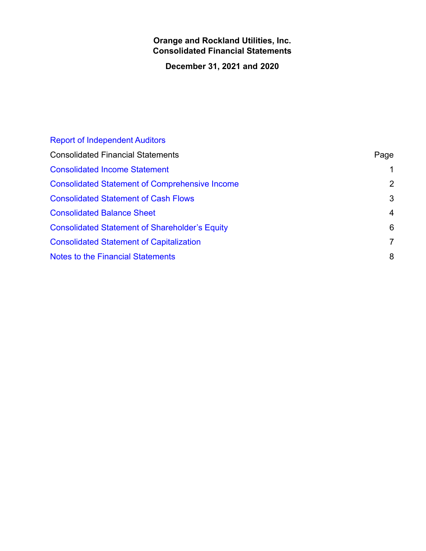## **Orange and Rockland Utilities, Inc. Consolidated Financial Statements**

**December 31, 2021 and 2020**

| <b>Report of Independent Auditors</b>                 |                |
|-------------------------------------------------------|----------------|
| <b>Consolidated Financial Statements</b>              | Page           |
| <b>Consolidated Income Statement</b>                  | $\mathbf 1$    |
| <b>Consolidated Statement of Comprehensive Income</b> | 2              |
| <b>Consolidated Statement of Cash Flows</b>           | 3              |
| <b>Consolidated Balance Sheet</b>                     | $\overline{4}$ |
| <b>Consolidated Statement of Shareholder's Equity</b> | 6              |
| <b>Consolidated Statement of Capitalization</b>       | $\overline{7}$ |
| <b>Notes to the Financial Statements</b>              | 8              |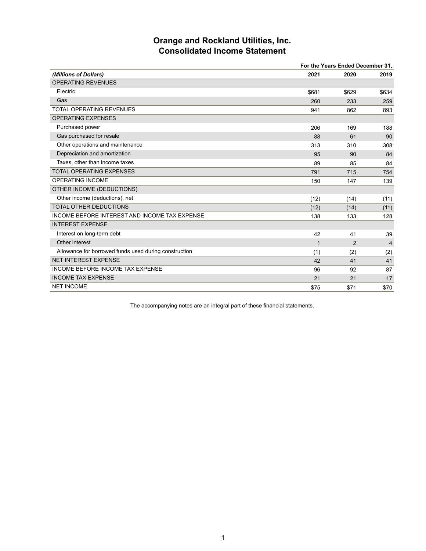## **Orange and Rockland Utilities, Inc. Consolidated Income Statement**

<span id="page-4-0"></span>

| (Millions of Dollars)                                 | 2021         | 2020           | 2019           |
|-------------------------------------------------------|--------------|----------------|----------------|
| <b>OPERATING REVENUES</b>                             |              |                |                |
| Electric                                              | \$681        | \$629          | \$634          |
| Gas                                                   | 260          | 233            | 259            |
| <b>TOTAL OPERATING REVENUES</b>                       | 941          | 862            | 893            |
| <b>OPERATING EXPENSES</b>                             |              |                |                |
| Purchased power                                       | 206          | 169            | 188            |
| Gas purchased for resale                              | 88           | 61             | 90             |
| Other operations and maintenance                      | 313          | 310            | 308            |
| Depreciation and amortization                         | 95           | 90             | 84             |
| Taxes, other than income taxes                        | 89           | 85             | 84             |
| TOTAL OPERATING EXPENSES                              | 791          | 715            | 754            |
| <b>OPERATING INCOME</b>                               | 150          | 147            | 139            |
| OTHER INCOME (DEDUCTIONS)                             |              |                |                |
| Other income (deductions), net                        | (12)         | (14)           | (11)           |
| TOTAL OTHER DEDUCTIONS                                | (12)         | (14)           | (11)           |
| INCOME BEFORE INTEREST AND INCOME TAX EXPENSE         | 138          | 133            | 128            |
| <b>INTEREST EXPENSE</b>                               |              |                |                |
| Interest on long-term debt                            | 42           | 41             | 39             |
| Other interest                                        | $\mathbf{1}$ | $\overline{2}$ | $\overline{4}$ |
| Allowance for borrowed funds used during construction | (1)          | (2)            | (2)            |
| <b>NET INTEREST EXPENSE</b>                           | 42           | 41             | 41             |
| INCOME BEFORE INCOME TAX EXPENSE                      | 96           | 92             | 87             |
| <b>INCOME TAX EXPENSE</b>                             | 21           | 21             | 17             |
| <b>NET INCOME</b>                                     | \$75         | \$71           | \$70           |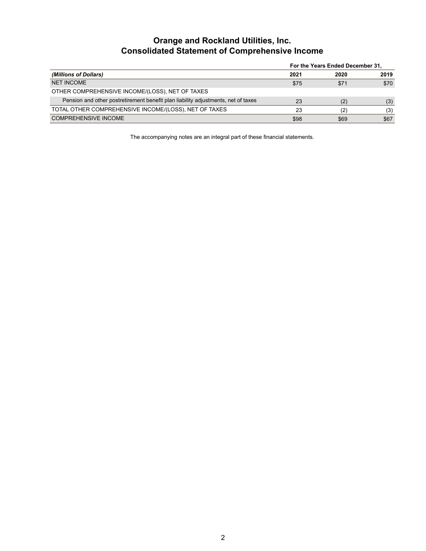## **Orange and Rockland Utilities, Inc. Consolidated Statement of Comprehensive Income**

<span id="page-5-0"></span>

|                                                                                   | For the Years Ended December 31, |      |      |  |
|-----------------------------------------------------------------------------------|----------------------------------|------|------|--|
| (Millions of Dollars)                                                             | 2021                             | 2020 | 2019 |  |
| <b>NET INCOME</b>                                                                 | \$75                             | \$71 | \$70 |  |
| OTHER COMPREHENSIVE INCOME/(LOSS), NET OF TAXES                                   |                                  |      |      |  |
| Pension and other postretirement benefit plan liability adjustments, net of taxes | 23                               | (2)  | (3)  |  |
| TOTAL OTHER COMPREHENSIVE INCOME/(LOSS), NET OF TAXES                             | 23                               | (2)  | (3)  |  |
| <b>COMPREHENSIVE INCOME</b>                                                       | \$98                             | \$69 | \$67 |  |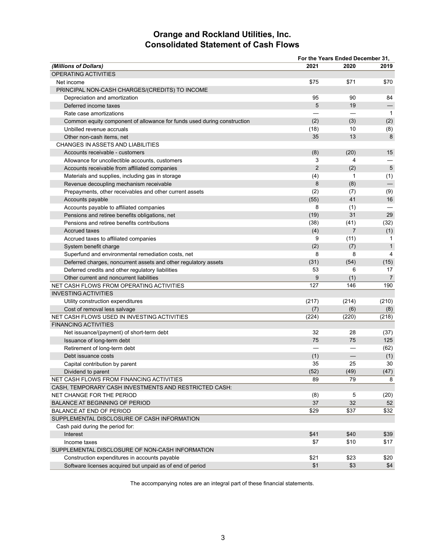# **Orange and Rockland Utilities, Inc. Consolidated Statement of Cash Flows**

<span id="page-6-0"></span>

|                                                                                      |                | For the Years Ended December 31, |                   |
|--------------------------------------------------------------------------------------|----------------|----------------------------------|-------------------|
| (Millions of Dollars)                                                                | 2021           | 2020                             | 2019              |
| OPERATING ACTIVITIES                                                                 |                |                                  |                   |
| Net income                                                                           | \$75           | \$71                             | \$70              |
| PRINCIPAL NON-CASH CHARGES/(CREDITS) TO INCOME                                       |                |                                  |                   |
| Depreciation and amortization                                                        | 95             | 90                               | 84                |
| Deferred income taxes                                                                | 5              | 19                               |                   |
| Rate case amortizations                                                              |                |                                  | $\mathbf{1}$      |
| Common equity component of allowance for funds used during construction              | (2)            | (3)                              | (2)               |
| Unbilled revenue accruals                                                            | (18)           | 10                               | (8)               |
| Other non-cash items, net                                                            | 35             | 13                               | 8                 |
| CHANGES IN ASSETS AND LIABILITIES                                                    |                |                                  |                   |
| Accounts receivable - customers                                                      | (8)            | (20)                             | 15                |
| Allowance for uncollectible accounts, customers                                      | 3              | 4                                |                   |
| Accounts receivable from affiliated companies                                        | $\overline{2}$ | (2)                              | 5                 |
| Materials and supplies, including gas in storage                                     | (4)            | 1                                | (1)               |
| Revenue decoupling mechanism receivable                                              | 8              | (8)                              | $\qquad \qquad -$ |
| Prepayments, other receivables and other current assets                              | (2)            | (7)                              | (9)               |
| Accounts payable                                                                     | (55)           | 41                               | 16                |
| Accounts payable to affiliated companies                                             | 8              | (1)                              |                   |
| Pensions and retiree benefits obligations, net                                       | (19)           | 31                               | 29                |
| Pensions and retiree benefits contributions                                          | (38)           | (41)                             | (32)              |
| <b>Accrued taxes</b>                                                                 | (4)            | $\overline{7}$                   | (1)               |
| Accrued taxes to affiliated companies                                                | 9              | (11)                             | 1                 |
| System benefit charge                                                                | (2)            | (7)                              | $\mathbf{1}$      |
| Superfund and environmental remediation costs, net                                   | 8              | 8                                | 4                 |
|                                                                                      | (31)           | (54)                             | (15)              |
| Deferred charges, noncurrent assets and other regulatory assets                      | 53             | 6                                | 17                |
| Deferred credits and other regulatory liabilities                                    | 9              | (1)                              | $\overline{7}$    |
| Other current and noncurrent liabilities<br>NET CASH FLOWS FROM OPERATING ACTIVITIES | 127            | 146                              | 190               |
| <b>INVESTING ACTIVITIES</b>                                                          |                |                                  |                   |
|                                                                                      | (217)          | (214)                            | (210)             |
| Utility construction expenditures                                                    |                |                                  |                   |
| Cost of removal less salvage<br>NET CASH FLOWS USED IN INVESTING ACTIVITIES          | (7)<br>(224)   | (6)                              | (8)               |
| <b>FINANCING ACTIVITIES</b>                                                          |                | (220)                            | (218)             |
|                                                                                      |                |                                  |                   |
| Net issuance/(payment) of short-term debt                                            | 32             | 28                               | (37)              |
| Issuance of long-term debt                                                           | 75             | 75                               | 125               |
| Retirement of long-term debt                                                         |                |                                  | (62)              |
| Debt issuance costs                                                                  | (1)            |                                  | (1)               |
| Capital contribution by parent                                                       | 35             | 25                               | 30                |
| Dividend to parent                                                                   | (52)           | (49)                             | (47)              |
| NET CASH FLOWS FROM FINANCING ACTIVITIES                                             | 89             | 79                               | 8                 |
| CASH, TEMPORARY CASH INVESTMENTS AND RESTRICTED CASH:                                |                |                                  |                   |
| NET CHANGE FOR THE PERIOD                                                            | (8)            | 5                                | (20)              |
| <b>BALANCE AT BEGINNING OF PERIOD</b>                                                | 37             | 32                               | 52                |
| BALANCE AT END OF PERIOD                                                             | \$29           | \$37                             | \$32              |
| SUPPLEMENTAL DISCLOSURE OF CASH INFORMATION                                          |                |                                  |                   |
| Cash paid during the period for:                                                     |                |                                  |                   |
| Interest                                                                             | \$41           | \$40                             | \$39              |
| Income taxes                                                                         | \$7            | \$10                             | \$17              |
| SUPPLEMENTAL DISCLOSURE OF NON-CASH INFORMATION                                      |                |                                  |                   |
| Construction expenditures in accounts payable                                        | \$21           | \$23                             | \$20              |
| Software licenses acquired but unpaid as of end of period                            | \$1            | \$3                              | \$4               |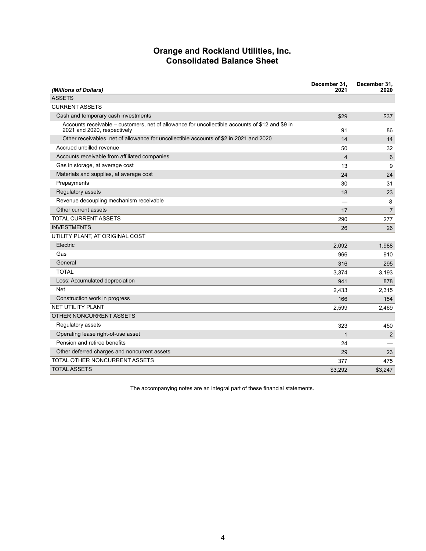## **Orange and Rockland Utilities, Inc. Consolidated Balance Sheet**

<span id="page-7-0"></span>

| (Millions of Dollars)                                                                                                          | December 31,<br>2021 | December 31.<br>2020 |
|--------------------------------------------------------------------------------------------------------------------------------|----------------------|----------------------|
| <b>ASSETS</b>                                                                                                                  |                      |                      |
| <b>CURRENT ASSETS</b>                                                                                                          |                      |                      |
| Cash and temporary cash investments                                                                                            | \$29                 | \$37                 |
| Accounts receivable – customers, net of allowance for uncollectible accounts of \$12 and \$9 in<br>2021 and 2020, respectively | 91                   | 86                   |
| Other receivables, net of allowance for uncollectible accounts of \$2 in 2021 and 2020                                         | 14                   | 14                   |
| Accrued unbilled revenue                                                                                                       | 50                   | 32                   |
| Accounts receivable from affiliated companies                                                                                  | $\overline{4}$       | 6                    |
| Gas in storage, at average cost                                                                                                | 13                   | 9                    |
| Materials and supplies, at average cost                                                                                        | 24                   | 24                   |
| Prepayments                                                                                                                    | 30                   | 31                   |
| Regulatory assets                                                                                                              | 18                   | 23                   |
| Revenue decoupling mechanism receivable                                                                                        |                      | 8                    |
| Other current assets                                                                                                           | 17                   | $\overline{7}$       |
| <b>TOTAL CURRENT ASSETS</b>                                                                                                    | 290                  | 277                  |
| <b>INVESTMENTS</b>                                                                                                             | 26                   | 26                   |
| UTILITY PLANT, AT ORIGINAL COST                                                                                                |                      |                      |
| Electric                                                                                                                       | 2,092                | 1,988                |
| Gas                                                                                                                            | 966                  | 910                  |
| General                                                                                                                        | 316                  | 295                  |
| <b>TOTAL</b>                                                                                                                   | 3,374                | 3,193                |
| Less: Accumulated depreciation                                                                                                 | 941                  | 878                  |
| <b>Net</b>                                                                                                                     | 2,433                | 2,315                |
| Construction work in progress                                                                                                  | 166                  | 154                  |
| NET UTILITY PLANT                                                                                                              | 2,599                | 2,469                |
| OTHER NONCURRENT ASSETS                                                                                                        |                      |                      |
| Regulatory assets                                                                                                              | 323                  | 450                  |
| Operating lease right-of-use asset                                                                                             | $\mathbf{1}$         | $\overline{2}$       |
| Pension and retiree benefits                                                                                                   | 24                   |                      |
| Other deferred charges and noncurrent assets                                                                                   | 29                   | 23                   |
| TOTAL OTHER NONCURRENT ASSETS                                                                                                  | 377                  | 475                  |
| <b>TOTAL ASSETS</b>                                                                                                            | \$3,292              | \$3,247              |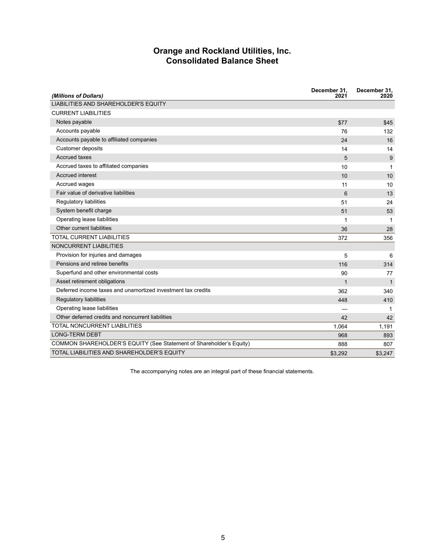## **Orange and Rockland Utilities, Inc. Consolidated Balance Sheet**

| (Millions of Dollars)                                               | December 31,<br>2021 | December 31,<br>2020 |
|---------------------------------------------------------------------|----------------------|----------------------|
| LIABILITIES AND SHAREHOLDER'S EQUITY                                |                      |                      |
| <b>CURRENT LIABILITIES</b>                                          |                      |                      |
| Notes payable                                                       | \$77                 | \$45                 |
| Accounts payable                                                    | 76                   | 132                  |
| Accounts payable to affiliated companies                            | 24                   | 16                   |
| <b>Customer deposits</b>                                            | 14                   | 14                   |
| <b>Accrued taxes</b>                                                | 5                    | 9                    |
| Accrued taxes to affiliated companies                               | 10                   | 1                    |
| <b>Accrued interest</b>                                             | 10                   | 10                   |
| Accrued wages                                                       | 11                   | 10                   |
| Fair value of derivative liabilities                                | $6\phantom{1}6$      | 13                   |
| Regulatory liabilities                                              | 51                   | 24                   |
| System benefit charge                                               | 51                   | 53                   |
| Operating lease liabilities                                         | 1                    | 1                    |
| Other current liabilities                                           | 36                   | 28                   |
| <b>TOTAL CURRENT LIABILITIES</b>                                    | 372                  | 356                  |
| NONCURRENT LIABILITIES                                              |                      |                      |
| Provision for injuries and damages                                  | 5                    | 6                    |
| Pensions and retiree benefits                                       | 116                  | 314                  |
| Superfund and other environmental costs                             | 90                   | 77                   |
| Asset retirement obligations                                        | $\mathbf{1}$         | $\mathbf{1}$         |
| Deferred income taxes and unamortized investment tax credits        | 362                  | 340                  |
| Regulatory liabilities                                              | 448                  | 410                  |
| Operating lease liabilities                                         |                      | 1                    |
| Other deferred credits and noncurrent liabilities                   | 42                   | 42                   |
| <b>TOTAL NONCURRENT LIABILITIES</b>                                 | 1,064                | 1,191                |
| <b>LONG-TERM DEBT</b>                                               | 968                  | 893                  |
| COMMON SHAREHOLDER'S EQUITY (See Statement of Shareholder's Equity) | 888                  | 807                  |
| TOTAL LIABILITIES AND SHAREHOLDER'S EQUITY                          | \$3,292              | \$3,247              |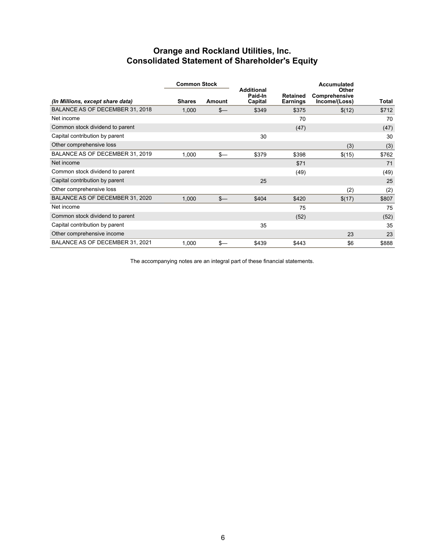## **Orange and Rockland Utilities, Inc. Consolidated Statement of Shareholder's Equity**

<span id="page-9-0"></span>

|                                  | <b>Common Stock</b><br>Additional |        |                    |                             |                                         |       |
|----------------------------------|-----------------------------------|--------|--------------------|-----------------------------|-----------------------------------------|-------|
| (In Millions, except share data) | <b>Shares</b>                     | Amount | Paid-In<br>Capital | Retained<br><b>Earnings</b> | Other<br>Comprehensive<br>Income/(Loss) | Total |
| BALANCE AS OF DECEMBER 31, 2018  | 1,000                             | $s-$   | \$349              | \$375                       | \$(12)                                  | \$712 |
| Net income                       |                                   |        |                    | 70                          |                                         | 70    |
| Common stock dividend to parent  |                                   |        |                    | (47)                        |                                         | (47)  |
| Capital contribution by parent   |                                   |        | 30                 |                             |                                         | 30    |
| Other comprehensive loss         |                                   |        |                    |                             | (3)                                     | (3)   |
| BALANCE AS OF DECEMBER 31, 2019  | 1,000                             | $s-$   | \$379              | \$398                       | \$(15)                                  | \$762 |
| Net income                       |                                   |        |                    | \$71                        |                                         | 71    |
| Common stock dividend to parent  |                                   |        |                    | (49)                        |                                         | (49)  |
| Capital contribution by parent   |                                   |        | 25                 |                             |                                         | 25    |
| Other comprehensive loss         |                                   |        |                    |                             | (2)                                     | (2)   |
| BALANCE AS OF DECEMBER 31, 2020  | 1.000                             | $s-$   | \$404              | \$420                       | \$(17)                                  | \$807 |
| Net income                       |                                   |        |                    | 75                          |                                         | 75    |
| Common stock dividend to parent  |                                   |        |                    | (52)                        |                                         | (52)  |
| Capital contribution by parent   |                                   |        | 35                 |                             |                                         | 35    |
| Other comprehensive income       |                                   |        |                    |                             | 23                                      | 23    |
| BALANCE AS OF DECEMBER 31, 2021  | 1.000                             | $s-$   | \$439              | \$443                       | \$6                                     | \$888 |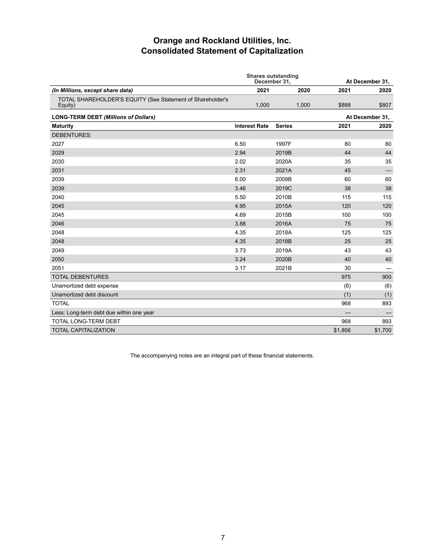## **Orange and Rockland Utilities, Inc. Consolidated Statement of Capitalization**

<span id="page-10-0"></span>

|                                                                       | <b>Shares outstanding</b> | December 31.  |       |         | At December 31, |
|-----------------------------------------------------------------------|---------------------------|---------------|-------|---------|-----------------|
| (In Millions, except share data)                                      | 2021                      |               | 2020  | 2021    | 2020            |
| TOTAL SHAREHOLDER'S EQUITY (See Statement of Shareholder's<br>Equity) | 1,000                     |               | 1,000 | \$888   | \$807           |
| <b>LONG-TERM DEBT (Millions of Dollars)</b>                           |                           |               |       |         | At December 31, |
| <b>Maturity</b>                                                       | <b>Interest Rate</b>      | <b>Series</b> |       | 2021    | 2020            |
| <b>DEBENTURES:</b>                                                    |                           |               |       |         |                 |
| 2027                                                                  | 6.50                      | 1997F         |       | 80      | 80              |
| 2029                                                                  | 2.94                      | 2019B         |       | 44      | 44              |
| 2030                                                                  | 2.02                      | 2020A         |       | 35      | 35              |
| 2031                                                                  | 2.31                      | 2021A         |       | 45      |                 |
| 2039                                                                  | 6.00                      | 2009B         |       | 60      | 60              |
| 2039                                                                  | 3.46                      | 2019C         |       | 38      | 38              |
| 2040                                                                  | 5.50                      | 2010B         |       | 115     | 115             |
| 2045                                                                  | 4.95                      | 2015A         |       | 120     | 120             |
| 2045                                                                  | 4.69                      | 2015B         |       | 100     | 100             |
| 2046                                                                  | 3.88                      | 2016A         |       | 75      | 75              |
| 2048                                                                  | 4.35                      | 2018A         |       | 125     | 125             |
| 2048                                                                  | 4.35                      | 2018B         |       | 25      | 25              |
| 2049                                                                  | 3.73                      | 2019A         |       | 43      | 43              |
| 2050                                                                  | 3.24                      | 2020B         |       | 40      | 40              |
| 2051                                                                  | 3.17                      | 2021B         |       | 30      |                 |
| <b>TOTAL DEBENTURES</b>                                               |                           |               |       | 975     | 900             |
| Unamortized debt expense                                              |                           |               |       | (6)     | (6)             |
| Unamortized debt discount                                             |                           |               |       | (1)     | (1)             |
| <b>TOTAL</b>                                                          |                           |               |       | 968     | 893             |
| Less: Long-term debt due within one year                              |                           |               |       |         |                 |
| <b>TOTAL LONG-TERM DEBT</b>                                           |                           |               |       | 968     | 893             |
| <b>TOTAL CAPITALIZATION</b>                                           |                           |               |       | \$1,856 | \$1,700         |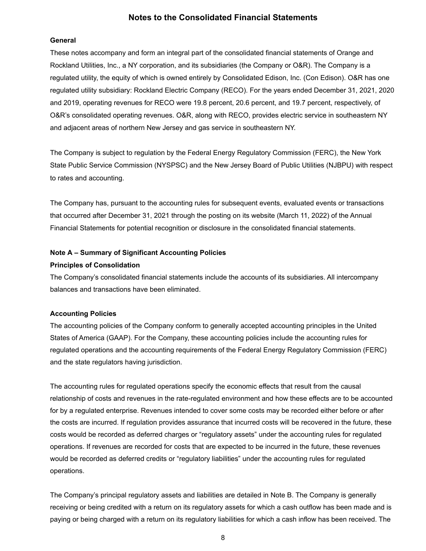## **Notes to the Consolidated Financial Statements**

#### <span id="page-11-0"></span>**General**

These notes accompany and form an integral part of the consolidated financial statements of Orange and Rockland Utilities, Inc., a NY corporation, and its subsidiaries (the Company or O&R). The Company is a regulated utility, the equity of which is owned entirely by Consolidated Edison, Inc. (Con Edison). O&R has one regulated utility subsidiary: Rockland Electric Company (RECO). For the years ended December 31, 2021, 2020 and 2019, operating revenues for RECO were 19.8 percent, 20.6 percent, and 19.7 percent, respectively, of O&R's consolidated operating revenues. O&R, along with RECO, provides electric service in southeastern NY and adjacent areas of northern New Jersey and gas service in southeastern NY.

The Company is subject to regulation by the Federal Energy Regulatory Commission (FERC), the New York State Public Service Commission (NYSPSC) and the New Jersey Board of Public Utilities (NJBPU) with respect to rates and accounting.

The Company has, pursuant to the accounting rules for subsequent events, evaluated events or transactions that occurred after December 31, 2021 through the posting on its website (March 11, 2022) of the Annual Financial Statements for potential recognition or disclosure in the consolidated financial statements.

### **Note A – Summary of Significant Accounting Policies**

#### **Principles of Consolidation**

The Company's consolidated financial statements include the accounts of its subsidiaries. All intercompany balances and transactions have been eliminated.

### **Accounting Policies**

The accounting policies of the Company conform to generally accepted accounting principles in the United States of America (GAAP). For the Company, these accounting policies include the accounting rules for regulated operations and the accounting requirements of the Federal Energy Regulatory Commission (FERC) and the state regulators having jurisdiction.

The accounting rules for regulated operations specify the economic effects that result from the causal relationship of costs and revenues in the rate-regulated environment and how these effects are to be accounted for by a regulated enterprise. Revenues intended to cover some costs may be recorded either before or after the costs are incurred. If regulation provides assurance that incurred costs will be recovered in the future, these costs would be recorded as deferred charges or "regulatory assets" under the accounting rules for regulated operations. If revenues are recorded for costs that are expected to be incurred in the future, these revenues would be recorded as deferred credits or "regulatory liabilities" under the accounting rules for regulated operations.

The Company's principal regulatory assets and liabilities are detailed in Note B. The Company is generally receiving or being credited with a return on its regulatory assets for which a cash outflow has been made and is paying or being charged with a return on its regulatory liabilities for which a cash inflow has been received. The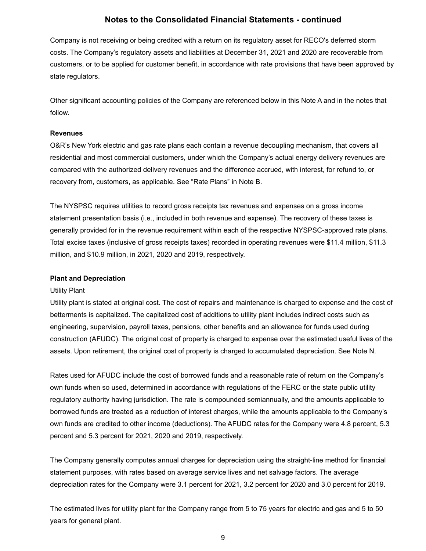Company is not receiving or being credited with a return on its regulatory asset for RECO's deferred storm costs. The Company's regulatory assets and liabilities at December 31, 2021 and 2020 are recoverable from customers, or to be applied for customer benefit, in accordance with rate provisions that have been approved by state regulators.

Other significant accounting policies of the Company are referenced below in this Note A and in the notes that follow.

#### **Revenues**

O&R's New York electric and gas rate plans each contain a revenue decoupling mechanism, that covers all residential and most commercial customers, under which the Company's actual energy delivery revenues are compared with the authorized delivery revenues and the difference accrued, with interest, for refund to, or recovery from, customers, as applicable. See "Rate Plans" in Note B.

The NYSPSC requires utilities to record gross receipts tax revenues and expenses on a gross income statement presentation basis (i.e., included in both revenue and expense). The recovery of these taxes is generally provided for in the revenue requirement within each of the respective NYSPSC-approved rate plans. Total excise taxes (inclusive of gross receipts taxes) recorded in operating revenues were \$11.4 million, \$11.3 million, and \$10.9 million, in 2021, 2020 and 2019, respectively.

#### **Plant and Depreciation**

#### Utility Plant

Utility plant is stated at original cost. The cost of repairs and maintenance is charged to expense and the cost of betterments is capitalized. The capitalized cost of additions to utility plant includes indirect costs such as engineering, supervision, payroll taxes, pensions, other benefits and an allowance for funds used during construction (AFUDC). The original cost of property is charged to expense over the estimated useful lives of the assets. Upon retirement, the original cost of property is charged to accumulated depreciation. See Note N.

Rates used for AFUDC include the cost of borrowed funds and a reasonable rate of return on the Company's own funds when so used, determined in accordance with regulations of the FERC or the state public utility regulatory authority having jurisdiction. The rate is compounded semiannually, and the amounts applicable to borrowed funds are treated as a reduction of interest charges, while the amounts applicable to the Company's own funds are credited to other income (deductions). The AFUDC rates for the Company were 4.8 percent, 5.3 percent and 5.3 percent for 2021, 2020 and 2019, respectively.

The Company generally computes annual charges for depreciation using the straight-line method for financial statement purposes, with rates based on average service lives and net salvage factors. The average depreciation rates for the Company were 3.1 percent for 2021, 3.2 percent for 2020 and 3.0 percent for 2019.

The estimated lives for utility plant for the Company range from 5 to 75 years for electric and gas and 5 to 50 years for general plant.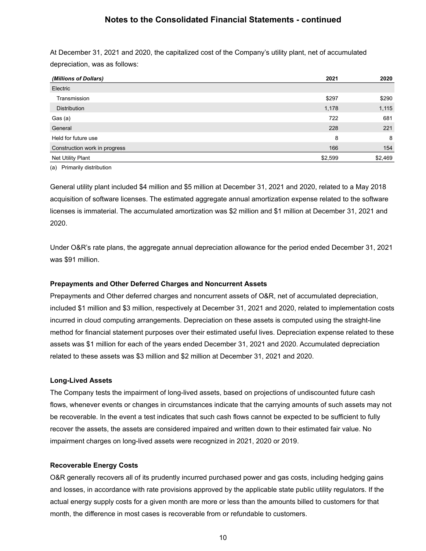At December 31, 2021 and 2020, the capitalized cost of the Company's utility plant, net of accumulated depreciation, was as follows:

| (Millions of Dollars)         | 2021    | 2020    |
|-------------------------------|---------|---------|
| Electric                      |         |         |
| Transmission                  | \$297   | \$290   |
| <b>Distribution</b>           | 1,178   | 1,115   |
| Gas (a)                       | 722     | 681     |
| General                       | 228     | 221     |
| Held for future use           | 8       | 8       |
| Construction work in progress | 166     | 154     |
| <b>Net Utility Plant</b>      | \$2,599 | \$2,469 |
| .                             |         |         |

(a) Primarily distribution

General utility plant included \$4 million and \$5 million at December 31, 2021 and 2020, related to a May 2018 acquisition of software licenses. The estimated aggregate annual amortization expense related to the software licenses is immaterial. The accumulated amortization was \$2 million and \$1 million at December 31, 2021 and 2020.

Under O&R's rate plans, the aggregate annual depreciation allowance for the period ended December 31, 2021 was \$91 million.

### **Prepayments and Other Deferred Charges and Noncurrent Assets**

Prepayments and Other deferred charges and noncurrent assets of O&R, net of accumulated depreciation, included \$1 million and \$3 million, respectively at December 31, 2021 and 2020, related to implementation costs incurred in cloud computing arrangements. Depreciation on these assets is computed using the straight-line method for financial statement purposes over their estimated useful lives. Depreciation expense related to these assets was \$1 million for each of the years ended December 31, 2021 and 2020. Accumulated depreciation related to these assets was \$3 million and \$2 million at December 31, 2021 and 2020.

### **Long-Lived Assets**

The Company tests the impairment of long-lived assets, based on projections of undiscounted future cash flows, whenever events or changes in circumstances indicate that the carrying amounts of such assets may not be recoverable. In the event a test indicates that such cash flows cannot be expected to be sufficient to fully recover the assets, the assets are considered impaired and written down to their estimated fair value. No impairment charges on long-lived assets were recognized in 2021, 2020 or 2019.

### **Recoverable Energy Costs**

O&R generally recovers all of its prudently incurred purchased power and gas costs, including hedging gains and losses, in accordance with rate provisions approved by the applicable state public utility regulators. If the actual energy supply costs for a given month are more or less than the amounts billed to customers for that month, the difference in most cases is recoverable from or refundable to customers.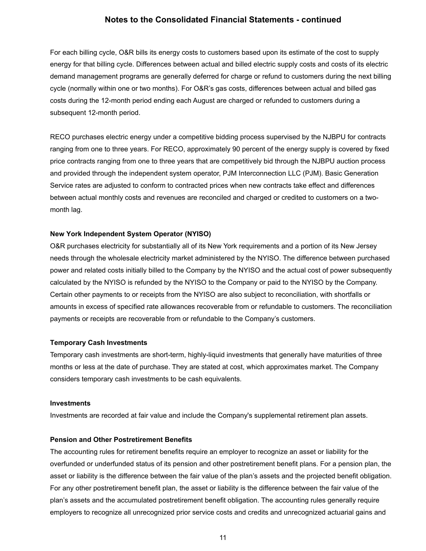For each billing cycle, O&R bills its energy costs to customers based upon its estimate of the cost to supply energy for that billing cycle. Differences between actual and billed electric supply costs and costs of its electric demand management programs are generally deferred for charge or refund to customers during the next billing cycle (normally within one or two months). For O&R's gas costs, differences between actual and billed gas costs during the 12-month period ending each August are charged or refunded to customers during a subsequent 12-month period.

RECO purchases electric energy under a competitive bidding process supervised by the NJBPU for contracts ranging from one to three years. For RECO, approximately 90 percent of the energy supply is covered by fixed price contracts ranging from one to three years that are competitively bid through the NJBPU auction process and provided through the independent system operator, PJM Interconnection LLC (PJM). Basic Generation Service rates are adjusted to conform to contracted prices when new contracts take effect and differences between actual monthly costs and revenues are reconciled and charged or credited to customers on a twomonth lag.

### **New York Independent System Operator (NYISO)**

O&R purchases electricity for substantially all of its New York requirements and a portion of its New Jersey needs through the wholesale electricity market administered by the NYISO. The difference between purchased power and related costs initially billed to the Company by the NYISO and the actual cost of power subsequently calculated by the NYISO is refunded by the NYISO to the Company or paid to the NYISO by the Company. Certain other payments to or receipts from the NYISO are also subject to reconciliation, with shortfalls or amounts in excess of specified rate allowances recoverable from or refundable to customers. The reconciliation payments or receipts are recoverable from or refundable to the Company's customers.

#### **Temporary Cash Investments**

Temporary cash investments are short-term, highly-liquid investments that generally have maturities of three months or less at the date of purchase. They are stated at cost, which approximates market. The Company considers temporary cash investments to be cash equivalents.

#### **Investments**

Investments are recorded at fair value and include the Company's supplemental retirement plan assets.

#### **Pension and Other Postretirement Benefits**

The accounting rules for retirement benefits require an employer to recognize an asset or liability for the overfunded or underfunded status of its pension and other postretirement benefit plans. For a pension plan, the asset or liability is the difference between the fair value of the plan's assets and the projected benefit obligation. For any other postretirement benefit plan, the asset or liability is the difference between the fair value of the plan's assets and the accumulated postretirement benefit obligation. The accounting rules generally require employers to recognize all unrecognized prior service costs and credits and unrecognized actuarial gains and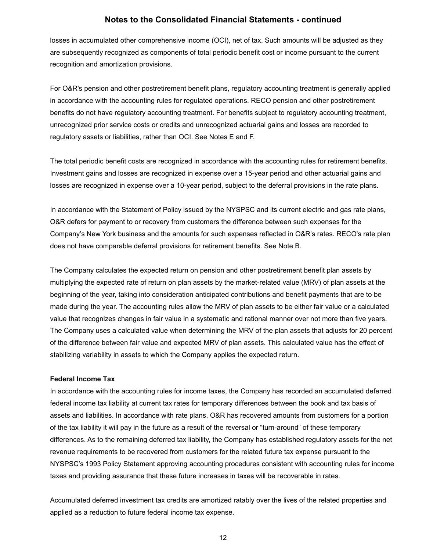losses in accumulated other comprehensive income (OCI), net of tax. Such amounts will be adjusted as they are subsequently recognized as components of total periodic benefit cost or income pursuant to the current recognition and amortization provisions.

For O&R's pension and other postretirement benefit plans, regulatory accounting treatment is generally applied in accordance with the accounting rules for regulated operations. RECO pension and other postretirement benefits do not have regulatory accounting treatment. For benefits subject to regulatory accounting treatment, unrecognized prior service costs or credits and unrecognized actuarial gains and losses are recorded to regulatory assets or liabilities, rather than OCI. See Notes E and F.

The total periodic benefit costs are recognized in accordance with the accounting rules for retirement benefits. Investment gains and losses are recognized in expense over a 15-year period and other actuarial gains and losses are recognized in expense over a 10-year period, subject to the deferral provisions in the rate plans.

In accordance with the Statement of Policy issued by the NYSPSC and its current electric and gas rate plans, O&R defers for payment to or recovery from customers the difference between such expenses for the Company's New York business and the amounts for such expenses reflected in O&R's rates. RECO's rate plan does not have comparable deferral provisions for retirement benefits. See Note B.

The Company calculates the expected return on pension and other postretirement benefit plan assets by multiplying the expected rate of return on plan assets by the market-related value (MRV) of plan assets at the beginning of the year, taking into consideration anticipated contributions and benefit payments that are to be made during the year. The accounting rules allow the MRV of plan assets to be either fair value or a calculated value that recognizes changes in fair value in a systematic and rational manner over not more than five years. The Company uses a calculated value when determining the MRV of the plan assets that adjusts for 20 percent of the difference between fair value and expected MRV of plan assets. This calculated value has the effect of stabilizing variability in assets to which the Company applies the expected return.

### **Federal Income Tax**

In accordance with the accounting rules for income taxes, the Company has recorded an accumulated deferred federal income tax liability at current tax rates for temporary differences between the book and tax basis of assets and liabilities. In accordance with rate plans, O&R has recovered amounts from customers for a portion of the tax liability it will pay in the future as a result of the reversal or "turn-around" of these temporary differences. As to the remaining deferred tax liability, the Company has established regulatory assets for the net revenue requirements to be recovered from customers for the related future tax expense pursuant to the NYSPSC's 1993 Policy Statement approving accounting procedures consistent with accounting rules for income taxes and providing assurance that these future increases in taxes will be recoverable in rates.

Accumulated deferred investment tax credits are amortized ratably over the lives of the related properties and applied as a reduction to future federal income tax expense.

12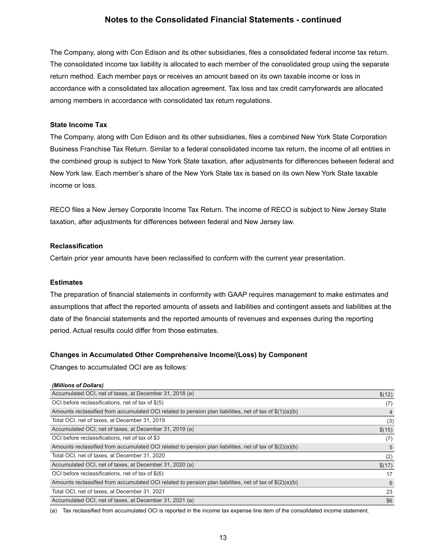The Company, along with Con Edison and its other subsidiaries, files a consolidated federal income tax return. The consolidated income tax liability is allocated to each member of the consolidated group using the separate return method. Each member pays or receives an amount based on its own taxable income or loss in accordance with a consolidated tax allocation agreement. Tax loss and tax credit carryforwards are allocated among members in accordance with consolidated tax return regulations.

#### **State Income Tax**

The Company, along with Con Edison and its other subsidiaries, files a combined New York State Corporation Business Franchise Tax Return. Similar to a federal consolidated income tax return, the income of all entities in the combined group is subject to New York State taxation, after adjustments for differences between federal and New York law. Each member's share of the New York State tax is based on its own New York State taxable income or loss.

RECO files a New Jersey Corporate Income Tax Return. The income of RECO is subject to New Jersey State taxation, after adjustments for differences between federal and New Jersey law.

#### **Reclassification**

Certain prior year amounts have been reclassified to conform with the current year presentation.

#### **Estimates**

The preparation of financial statements in conformity with GAAP requires management to make estimates and assumptions that affect the reported amounts of assets and liabilities and contingent assets and liabilities at the date of the financial statements and the reported amounts of revenues and expenses during the reporting period. Actual results could differ from those estimates.

### **Changes in Accumulated Other Comprehensive Income/(Loss) by Component**

Changes to accumulated OCI are as follows:

| (Millions of Dollars)                                                                                      |        |
|------------------------------------------------------------------------------------------------------------|--------|
| Accumulated OCI, net of taxes, at December 31, 2018 (a)                                                    | \$(12) |
| OCI before reclassifications, net of tax of \$(5)                                                          | (7)    |
| Amounts reclassified from accumulated OCI related to pension plan liabilities, net of tax of $$(1)(a)(b)$  |        |
| Total OCI, net of taxes, at December 31, 2019                                                              | (3)    |
| Accumulated OCI, net of taxes, at December 31, 2019 (a)                                                    | \$(15) |
| OCI before reclassifications, net of tax of \$3                                                            | (7)    |
| Amounts reclassified from accumulated OCI related to pension plan liabilities, net of tax of $\S(2)(a)(b)$ | 5      |
| Total OCI, net of taxes, at December 31, 2020                                                              | (2)    |
| Accumulated OCI, net of taxes, at December 31, 2020 (a)                                                    | \$(17) |
| OCI before reclassifications, net of tax of \$(6)                                                          | 17     |
| Amounts reclassified from accumulated OCI related to pension plan liabilities, net of tax of $(2)(a)(b)$   | 6      |
| Total OCI, net of taxes, at December 31, 2021                                                              | 23     |
| Accumulated OCI, net of taxes, at December 31, 2021 (a)                                                    | \$6    |

(a) Tax reclassified from accumulated OCI is reported in the income tax expense line item of the consolidated income statement.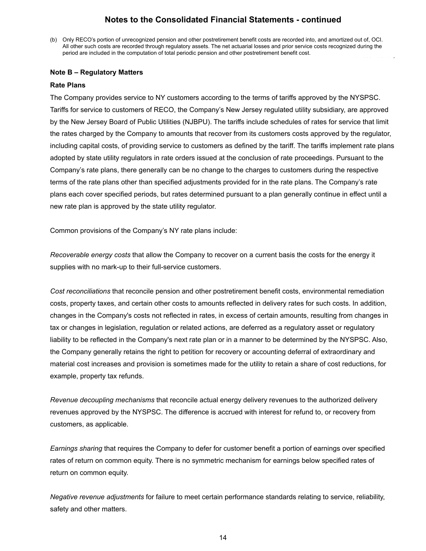(b) Only RECO's portion of unrecognized pension and other postretirement benefit costs are recorded into, and amortized out of, OCI. All other such costs are recorded through regulatory assets. The net actuarial losses and prior service costs recognized during the period are included in the computation of total periodic pension and other postretirement benefit cost.

### **Note B – Regulatory Matters**

### **Rate Plans**

The Company provides service to NY customers according to the terms of tariffs approved by the NYSPSC. Tariffs for service to customers of RECO, the Company's New Jersey regulated utility subsidiary, are approved by the New Jersey Board of Public Utilities (NJBPU). The tariffs include schedules of rates for service that limit the rates charged by the Company to amounts that recover from its customers costs approved by the regulator, including capital costs, of providing service to customers as defined by the tariff. The tariffs implement rate plans adopted by state utility regulators in rate orders issued at the conclusion of rate proceedings. Pursuant to the Company's rate plans, there generally can be no change to the charges to customers during the respective terms of the rate plans other than specified adjustments provided for in the rate plans. The Company's rate plans each cover specified periods, but rates determined pursuant to a plan generally continue in effect until a new rate plan is approved by the state utility regulator.

Common provisions of the Company's NY rate plans include:

*Recoverable energy costs* that allow the Company to recover on a current basis the costs for the energy it supplies with no mark-up to their full-service customers.

*Cost reconciliations* that reconcile pension and other postretirement benefit costs, environmental remediation costs, property taxes, and certain other costs to amounts reflected in delivery rates for such costs. In addition, changes in the Company's costs not reflected in rates, in excess of certain amounts, resulting from changes in tax or changes in legislation, regulation or related actions, are deferred as a regulatory asset or regulatory liability to be reflected in the Company's next rate plan or in a manner to be determined by the NYSPSC. Also, the Company generally retains the right to petition for recovery or accounting deferral of extraordinary and material cost increases and provision is sometimes made for the utility to retain a share of cost reductions, for example, property tax refunds.

*Revenue decoupling mechanisms* that reconcile actual energy delivery revenues to the authorized delivery revenues approved by the NYSPSC. The difference is accrued with interest for refund to, or recovery from customers, as applicable.

*Earnings sharing* that requires the Company to defer for customer benefit a portion of earnings over specified rates of return on common equity. There is no symmetric mechanism for earnings below specified rates of return on common equity.

*Negative revenue adjustments* for failure to meet certain performance standards relating to service, reliability, safety and other matters.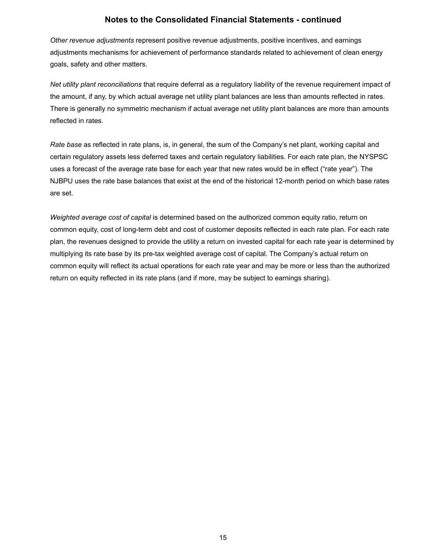*Other revenue adjustments* represent positive revenue adjustments, positive incentives, and earnings adjustments mechanisms for achievement of performance standards related to achievement of clean energy goals, safety and other matters.

*Net utility plant reconciliations* that require deferral as a regulatory liability of the revenue requirement impact of the amount, if any, by which actual average net utility plant balances are less than amounts reflected in rates. There is generally no symmetric mechanism if actual average net utility plant balances are more than amounts reflected in rates.

*Rate base* as reflected in rate plans, is, in general, the sum of the Company's net plant, working capital and certain regulatory assets less deferred taxes and certain regulatory liabilities. For each rate plan, the NYSPSC uses a forecast of the average rate base for each year that new rates would be in effect ("rate year"). The NJBPU uses the rate base balances that exist at the end of the historical 12-month period on which base rates are set.

*Weighted average cost of capital* is determined based on the authorized common equity ratio, return on common equity, cost of long-term debt and cost of customer deposits reflected in each rate plan. For each rate plan, the revenues designed to provide the utility a return on invested capital for each rate year is determined by multiplying its rate base by its pre-tax weighted average cost of capital. The Company's actual return on common equity will reflect its actual operations for each rate year and may be more or less than the authorized return on equity reflected in its rate plans (and if more, may be subject to earnings sharing).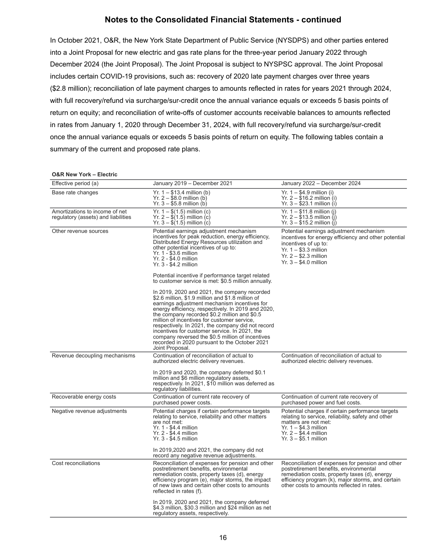In October 2021, O&R, the New York State Department of Public Service (NYSDPS) and other parties entered into a Joint Proposal for new electric and gas rate plans for the three-year period January 2022 through December 2024 (the Joint Proposal). The Joint Proposal is subject to NYSPSC approval. The Joint Proposal includes certain COVID-19 provisions, such as: recovery of 2020 late payment charges over three years (\$2.8 million); reconciliation of late payment charges to amounts reflected in rates for years 2021 through 2024, with full recovery/refund via surcharge/sur-credit once the annual variance equals or exceeds 5 basis points of return on equity; and reconciliation of write-offs of customer accounts receivable balances to amounts reflected in rates from January 1, 2020 through December 31, 2024, with full recovery/refund via surcharge/sur-credit once the annual variance equals or exceeds 5 basis points of return on equity. The following tables contain a summary of the current and proposed rate plans.

#### **O&R New York – Electric**

| Effective period (a)                                                  | January 2019 - December 2021                                                                                                                                                                                                                                                                                                                                                                                                                                                                                                         | January 2022 - December 2024                                                                                                                                                                                                                   |
|-----------------------------------------------------------------------|--------------------------------------------------------------------------------------------------------------------------------------------------------------------------------------------------------------------------------------------------------------------------------------------------------------------------------------------------------------------------------------------------------------------------------------------------------------------------------------------------------------------------------------|------------------------------------------------------------------------------------------------------------------------------------------------------------------------------------------------------------------------------------------------|
| Base rate changes                                                     | Yr. $1 - $13.4$ million (b)<br>$Yr. 2 - $8.0$ million (b)<br>Yr. $3 - $5.8$ million (b)                                                                                                                                                                                                                                                                                                                                                                                                                                              | $Yr. 1 - $4.9$ million (i)<br>Yr. $2 - $16.2$ million (i)<br>Yr. $3 - $23.1$ million (i)                                                                                                                                                       |
| Amortizations to income of net<br>regulatory (assets) and liabilities | Yr. $1 - $(1.5)$ million (c)<br>Yr. $2 - \hat{\mathcal{S}}(1.5)$ million (c)<br>Yr. $3 - $(1.5)$ million (c)                                                                                                                                                                                                                                                                                                                                                                                                                         | Yr. $1 - $11.8$ million (j)<br>Yr. $2 - $13.5$ million (j)<br>Yr. $3 - $15.2$ million (i)                                                                                                                                                      |
| Other revenue sources                                                 | Potential earnings adjustment mechanism<br>incentives for peak reduction, energy efficiency,<br>Distributed Energy Resources utilization and<br>other potential incentives of up to:<br>Yr. 1 - \$3.6 million<br>Yr. 2 - \$4.0 million<br>Yr. 3 - \$4.2 million                                                                                                                                                                                                                                                                      | Potential earnings adjustment mechanism<br>incentives for energy efficiency and other potential<br>incentives of up to:<br>$Yr. 1 - $3.3$ million<br>$Yr. 2 - $2.3$ million<br>$Yr. 3 - $4.0$ million                                          |
|                                                                       | Potential incentive if performance target related<br>to customer service is met: \$0.5 million annually.                                                                                                                                                                                                                                                                                                                                                                                                                             |                                                                                                                                                                                                                                                |
|                                                                       | In 2019, 2020 and 2021, the company recorded<br>\$2.6 million, \$1.9 million and \$1.8 million of<br>earnings adjustment mechanism incentives for<br>energy efficiency, respectively. In 2019 and 2020,<br>the company recorded \$0.2 million and \$0.5<br>million of incentives for customer service,<br>respectively. In 2021, the company did not record<br>incentives for customer service. In 2021, the<br>company reversed the \$0.5 million of incentives<br>recorded in 2020 pursuant to the October 2021<br>Joint Proposal. |                                                                                                                                                                                                                                                |
| Revenue decoupling mechanisms                                         | Continuation of reconciliation of actual to<br>authorized electric delivery revenues.                                                                                                                                                                                                                                                                                                                                                                                                                                                | Continuation of reconciliation of actual to<br>authorized electric delivery revenues.                                                                                                                                                          |
|                                                                       | In 2019 and 2020, the company deferred \$0.1<br>million and \$6 million regulatory assets,<br>respectively. In 2021, \$10 million was deferred as<br>regulatory liabilities.                                                                                                                                                                                                                                                                                                                                                         |                                                                                                                                                                                                                                                |
| Recoverable energy costs                                              | Continuation of current rate recovery of<br>purchased power costs.                                                                                                                                                                                                                                                                                                                                                                                                                                                                   | Continuation of current rate recovery of<br>purchased power and fuel costs.                                                                                                                                                                    |
| Negative revenue adjustments                                          | Potential charges if certain performance targets<br>relating to service, reliability and other matters<br>are not met:<br>Yr. 1 - \$4.4 million<br>Yr. 2 - \$4.4 million<br>Yr. 3 - \$4.5 million                                                                                                                                                                                                                                                                                                                                    | Potential charges if certain performance targets<br>relating to service, reliability, safety and other<br>matters are not met:<br>$Yr. 1 - $4.3$ million<br>$Yr. 2 - $4.4$ million<br>$Yr. 3 - $5.1$ million                                   |
|                                                                       | In 2019, 2020 and 2021, the company did not<br>record any negative revenue adjustments.                                                                                                                                                                                                                                                                                                                                                                                                                                              |                                                                                                                                                                                                                                                |
| Cost reconciliations                                                  | Reconciliation of expenses for pension and other<br>postretirement benefits, environmental<br>remediation costs, property taxes (d), energy<br>efficiency program (e), major storms, the impact<br>of new laws and certain other costs to amounts<br>reflected in rates (f).                                                                                                                                                                                                                                                         | Reconciliation of expenses for pension and other<br>postretirement benefits, environmental<br>remediation costs, property taxes (d), energy<br>efficiency program (k), major storms, and certain<br>other costs to amounts reflected in rates. |
|                                                                       | In 2019, 2020 and 2021, the company deferred<br>\$4.3 million, \$30.3 million and \$24 million as net<br>regulatory assets, respectively.                                                                                                                                                                                                                                                                                                                                                                                            |                                                                                                                                                                                                                                                |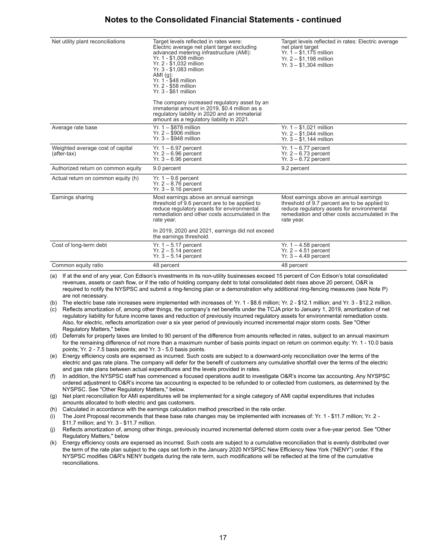| Net utility plant reconciliations               | Target levels reflected in rates were:<br>Electric average net plant target excluding<br>advanced metering infrastructure (AMI):<br>Yr. 1 - \$1.008 million<br>Yr. 2 - \$1,032 million<br>Yr. 3 - \$1,083 million<br>AMI (g):<br>Yr. 1 - \$48 million<br>Yr. 2 - \$58 million<br>$Yr. 3 - $61$ million | Target levels reflected in rates: Electric average<br>net plant target<br>Yr. $1 - $1,175$ million<br>$Yr. 2 - $1,198$ million<br>$Yr. 3 - $1,304$ million                                            |
|-------------------------------------------------|--------------------------------------------------------------------------------------------------------------------------------------------------------------------------------------------------------------------------------------------------------------------------------------------------------|-------------------------------------------------------------------------------------------------------------------------------------------------------------------------------------------------------|
|                                                 | The company increased regulatory asset by an<br>immaterial amount in 2019, \$0.4 million as a<br>regulatory liability in 2020 and an immaterial<br>amount as a regulatory liability in 2021.                                                                                                           |                                                                                                                                                                                                       |
| Average rate base                               | $Yr. 1 - $878$ million<br>$Yr. 2 - $906$ million<br>$Yr. 3 - $948$ million                                                                                                                                                                                                                             | $Yr. 1 - $1,021$ million<br>$Yr. 2 - $1.044$ million<br>$Yr. 3 - $1.144$ million                                                                                                                      |
| Weighted average cost of capital<br>(after-tax) | $Yr. 1 - 6.97$ percent<br>$Yr. 2 - 6.96$ percent<br>$Yr. 3 - 6.96$ percent                                                                                                                                                                                                                             | $Yr. 1 - 6.77$ percent<br>$Yr. 2 - 6.73$ percent<br>Yr. $3 - 6.72$ percent                                                                                                                            |
| Authorized return on common equity              | 9.0 percent                                                                                                                                                                                                                                                                                            | 9.2 percent                                                                                                                                                                                           |
| Actual return on common equity (h)              | $Yr. 1 - 9.6$ percent<br>$Yr. 2 - 8.76$ percent<br>$Yr. 3 - 9.16$ percent                                                                                                                                                                                                                              |                                                                                                                                                                                                       |
| Earnings sharing                                | Most earnings above an annual earnings<br>threshold of 9.6 percent are to be applied to<br>reduce regulatory assets for environmental<br>remediation and other costs accumulated in the<br>rate year.                                                                                                  | Most earnings above an annual earnings<br>threshold of 9.7 percent are to be applied to<br>reduce regulatory assets for environmental<br>remediation and other costs accumulated in the<br>rate year. |
|                                                 | In 2019, 2020 and 2021, earnings did not exceed<br>the earnings threshold.                                                                                                                                                                                                                             |                                                                                                                                                                                                       |
| Cost of long-term debt                          | $Yr. 1 - 5.17$ percent<br>$Yr. 2 - 5.14$ percent<br>$Yr. 3 - 5.14$ percent                                                                                                                                                                                                                             | Yr. $1 - 4.58$ percent<br>$Yr. 2 - 4.51$ percent<br>$Yr. 3 - 4.49$ percent                                                                                                                            |
| Common equity ratio                             | 48 percent                                                                                                                                                                                                                                                                                             | 48 percent                                                                                                                                                                                            |

(a) If at the end of any year, Con Edison's investments in its non-utility businesses exceed 15 percent of Con Edison's total consolidated revenues, assets or cash flow, or if the ratio of holding company debt to total consolidated debt rises above 20 percent, O&R is required to notify the NYSPSC and submit a ring-fencing plan or a demonstration why additional ring-fencing measures (see Note P) are not necessary.

(b) The electric base rate increases were implemented with increases of: Yr. 1 - \$8.6 million; Yr. 2 - \$12.1 million; and Yr. 3 - \$12.2 million.

- (c) Reflects amortization of, among other things, the company's net benefits under the TCJA prior to January 1, 2019, amortization of net regulatory liability for future income taxes and reduction of previously incurred regulatory assets for environmental remediation costs. Also, for electric, reflects amortization over a six year period of previously incurred incremental major storm costs. See "Other Regulatory Matters," below.
- (d) Deferrals for property taxes are limited to 90 percent of the difference from amounts reflected in rates, subject to an annual maximum for the remaining difference of not more than a maximum number of basis points impact on return on common equity: Yr. 1 - 10.0 basis points; Yr. 2 - 7.5 basis points; and Yr. 3 - 5.0 basis points.
- (e) Energy efficiency costs are expensed as incurred. Such costs are subject to a downward-only reconciliation over the terms of the electric and gas rate plans. The company will defer for the benefit of customers any cumulative shortfall over the terms of the electric and gas rate plans between actual expenditures and the levels provided in rates.
- (f) In addition, the NYSPSC staff has commenced a focused operations audit to investigate O&R's income tax accounting. Any NYSPSC ordered adjustment to O&R's income tax accounting is expected to be refunded to or collected from customers, as determined by the NYSPSC. See "Other Regulatory Matters," below.
- (g) Net plant reconciliation for AMI expenditures will be implemented for a single category of AMI capital expenditures that includes amounts allocated to both electric and gas customers.
- (h) Calculated in accordance with the earnings calculation method prescribed in the rate order.
- (i) The Joint Proposal recommends that these base rate changes may be implemented with increases of: Yr. 1 \$11.7 million; Yr. 2 \$11.7 million; and Yr. 3 - \$11.7 million.
- Reflects amortization of, among other things, previously incurred incremental deferred storm costs over a five-year period. See "Other Regulatory Matters," below
- (k) Energy efficiency costs are expensed as incurred. Such costs are subject to a cumulative reconciliation that is evenly distributed over the term of the rate plan subject to the caps set forth in the January 2020 NYSPSC New Efficiency New York ("NENY") order. If the NYSPSC modifies O&R's NENY budgets during the rate term, such modifications will be reflected at the time of the cumulative reconciliations.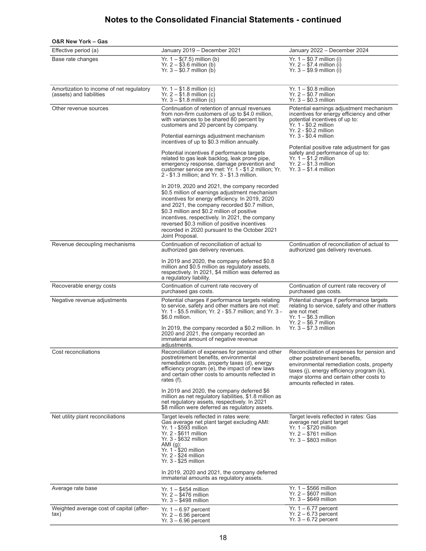| <b>O&amp;R New York - Gas</b>                                        |                                                                                                                                                                                                                                                                                                                                                                                                                                                                                            |                                                                                                                                                                                                                                                  |
|----------------------------------------------------------------------|--------------------------------------------------------------------------------------------------------------------------------------------------------------------------------------------------------------------------------------------------------------------------------------------------------------------------------------------------------------------------------------------------------------------------------------------------------------------------------------------|--------------------------------------------------------------------------------------------------------------------------------------------------------------------------------------------------------------------------------------------------|
| Effective period (a)                                                 | January 2019 - December 2021                                                                                                                                                                                                                                                                                                                                                                                                                                                               | January 2022 - December 2024                                                                                                                                                                                                                     |
| Base rate changes                                                    | Yr. $1 - $(7.5)$ million (b)<br>Yr. $2 - $3.6$ million (b)<br>Yr. $3 - $0.7$ million (b)                                                                                                                                                                                                                                                                                                                                                                                                   | $Yr. 1 - $0.7$ million (i)<br>Yr. $2 - $7.4$ million (i)<br>Yr. $3 - $9.9$ million (i)                                                                                                                                                           |
| Amortization to income of net regulatory<br>(assets) and liabilities | $Yr. 1 - $1.8$ million (c)<br>$Yr. 2 - $1.8$ million (c)<br>Yr. $3 - $1.8$ million (c)                                                                                                                                                                                                                                                                                                                                                                                                     | Yr. $1 - $0.8$ million<br>$Yr. 2 - $0.7$ million<br>Yr. $3 - $0.3$ million                                                                                                                                                                       |
| Other revenue sources                                                | Continuation of retention of annual revenues<br>from non-firm customers of up to \$4.0 million,<br>with variances to be shared 80 percent by<br>customers and 20 percent by company.<br>Potential earnings adjustment mechanism<br>incentives of up to \$0.3 million annually.                                                                                                                                                                                                             | Potential earnings adjustment mechanism<br>incentives for energy efficiency and other<br>potential incentives of up to:<br>Yr. 1 - \$0.2 million<br>Yr. 2 - \$0.2 million<br>Yr. 3 - \$0.4 million                                               |
|                                                                      | Potential incentives if performance targets<br>related to gas leak backlog, leak prone pipe,<br>emergency response, damage prevention and<br>customer service are met: Yr. 1 - \$1.2 million; Yr.<br>2 - \$1.3 million; and Yr. 3 - \$1.3 million.                                                                                                                                                                                                                                         | Potential positive rate adjustment for gas<br>safety and performance of up to:<br>Yr. $1 - $1.2$ million<br>$Yr. 2 - $1.3$ million<br>$Yr. 3 - $1.4$ million                                                                                     |
|                                                                      | In 2019, 2020 and 2021, the company recorded<br>\$0.5 million of earnings adjustment mechanism<br>incentives for energy efficiency. In 2019, 2020<br>and 2021, the company recorded \$0.7 million,<br>\$0.3 million and \$0.2 million of positive<br>incentives, respectively. In 2021, the company<br>reversed \$0.3 million of positive incentives<br>recorded in 2020 pursuant to the October 2021<br>Joint Proposal.                                                                   |                                                                                                                                                                                                                                                  |
| Revenue decoupling mechanisms                                        | Continuation of reconciliation of actual to<br>authorized gas delivery revenues.<br>In 2019 and 2020, the company deferred \$0.8<br>million and \$0.5 million as regulatory assets,<br>respectively. In 2021, \$4 million was deferred as                                                                                                                                                                                                                                                  | Continuation of reconciliation of actual to<br>authorized gas delivery revenues.                                                                                                                                                                 |
|                                                                      | a regulatory liability.                                                                                                                                                                                                                                                                                                                                                                                                                                                                    |                                                                                                                                                                                                                                                  |
| Recoverable energy costs                                             | Continuation of current rate recovery of<br>purchased gas costs.                                                                                                                                                                                                                                                                                                                                                                                                                           | Continuation of current rate recovery of<br>purchased gas costs.                                                                                                                                                                                 |
| Negative revenue adjustments                                         | Potential charges if performance targets relating<br>to service, safety and other matters are not met:<br>Yr. 1 - \$5.5 million; Yr. 2 - \$5.7 million; and Yr. 3 -<br>\$6.0 million.<br>In 2019, the company recorded a \$0.2 million. In<br>2020 and 2021, the company recorded an<br>immaterial amount of negative revenue                                                                                                                                                              | Potential charges if performance targets<br>relating to service, safety and other matters<br>are not met:<br>$Yr. 1 - $6.3$ million<br>Yr. $2 - $6.7$ million<br>$Yr. 3 - $7.3$ million                                                          |
| Cost reconciliations                                                 | adjustments.<br>Reconciliation of expenses for pension and other<br>postretirement benefits, environmental<br>remediation costs, property taxes (d), energy<br>efficiency program (e), the impact of new laws<br>and certain other costs to amounts reflected in<br>rates (f).<br>In 2019 and 2020, the company deferred \$6<br>million as net regulatory liabilities, \$1.8 million as<br>net regulatory assets, respectively. In 2021<br>\$8 million were deferred as regulatory assets. | Reconciliation of expenses for pension and<br>other postretirement benefits,<br>environmental remediation costs, property<br>taxes (j), energy efficiency program (k),<br>major storms and certain other costs to<br>amounts reflected in rates. |
| Net utility plant reconciliations                                    | Target levels reflected in rates were:<br>Gas average net plant target excluding AMI:<br>Yr. 1 - \$593 million<br>Yr. 2 - \$611 million<br>Yr. 3 - \$632 million<br>AMI $(g)$ :<br>Yr. $1 - $20$ million<br>Yr. 2 - \$24 million<br>Yr. 3 - \$25 million<br>In 2019, 2020 and 2021, the company deferred<br>immaterial amounts as regulatory assets.                                                                                                                                       | Target levels reflected in rates: Gas<br>average net plant target<br>Yr. $1 - $720$ million<br>$Yr. 2 - $761$ million<br>$Yr. 3 - $803$ million                                                                                                  |
| Average rate base                                                    | Yr. $1 - $454$ million<br>Yr. $2 - $476$ million<br>$Yr. 3 - $498$ million                                                                                                                                                                                                                                                                                                                                                                                                                 | Yr. $1 - $566$ million<br>Yr. $2 - $607$ million<br>$Yr. 3 - $649$ million                                                                                                                                                                       |
| Weighted average cost of capital (after-<br>tax)                     | $Yr. 1 - 6.97$ percent<br>$Yr. 2 - 6.96$ percent<br>$Yr. 3 - 6.96$ percent                                                                                                                                                                                                                                                                                                                                                                                                                 | Yr. $1 - 6.77$ percent<br>$Yr. 2 - 6.73$ percent<br>$Yr. 3 - 6.72$ percent                                                                                                                                                                       |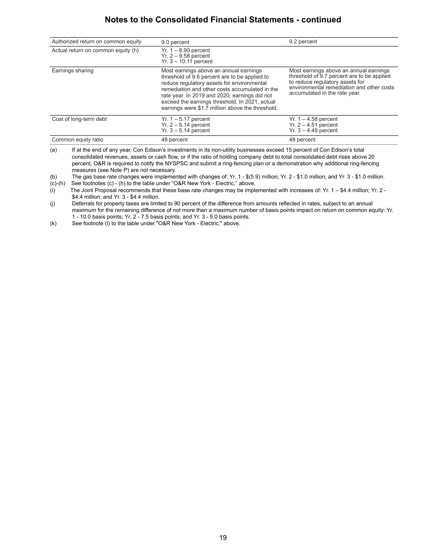| Authorized return on common equity | 9.0 percent                                                                                                                                                                                                                                                                                                                                    | 9.2 percent                                                                                                                                                                                           |
|------------------------------------|------------------------------------------------------------------------------------------------------------------------------------------------------------------------------------------------------------------------------------------------------------------------------------------------------------------------------------------------|-------------------------------------------------------------------------------------------------------------------------------------------------------------------------------------------------------|
| Actual return on common equity (h) | $Yr. 1 - 8.90$ percent<br>$Yr. 2 - 9.58$ percent<br>$Yr. 3 - 10.11$ percent                                                                                                                                                                                                                                                                    |                                                                                                                                                                                                       |
| Earnings sharing                   | Most earnings above an annual earnings<br>threshold of 9.6 percent are to be applied to<br>reduce regulatory assets for environmental<br>remediation and other costs accumulated in the<br>rate year. In 2019 and 2020, earnings did not<br>exceed the earnings threshold. In 2021, actual<br>earnings were \$1.7 million above the threshold. | Most earnings above an annual earnings<br>threshold of 9.7 percent are to be applied<br>to reduce regulatory assets for<br>environmental remediation and other costs<br>accumulated in the rate year. |
| Cost of long-term debt             | $Yr. 1 - 5.17$ percent<br>$Yr. 2 - 5.14$ percent<br>$Yr. 3 - 5.14$ percent                                                                                                                                                                                                                                                                     | Yr. $1 - 4.58$ percent<br>$Yr. 2 - 4.51$ percent<br>$Yr. 3 - 4.49$ percent                                                                                                                            |
| Common equity ratio                | 48 percent                                                                                                                                                                                                                                                                                                                                     | 48 percent                                                                                                                                                                                            |

(a) If at the end of any year, Con Edison's investments in its non-utility businesses exceed 15 percent of Con Edison's total consolidated revenues, assets or cash flow, or if the ratio of holding company debt to total consolidated debt rises above 20 percent, O&R is required to notify the NYSPSC and submit a ring-fencing plan or a demonstration why additional ring-fencing measures (see Note P) are not necessary.

(b) The gas base rate changes were implemented with changes of: Yr. 1 - \$(5.9) million; Yr. 2 - \$1.0 million; and Yr. 3 - \$1.0 million.<br>(c)-(h) See footnotes (c) - (h) to the table under "O&R New York - Electric," above.

See footnotes (c) - (h) to the table under "O&R New York - Electric," above.

(i) The Joint Proposal recommends that these base rate changes may be implemented with increases of: Yr. 1 – \$4.4 million; Yr. 2 - \$4.4 million; and Yr. 3 - \$4.4 million.

(j) Deferrals for property taxes are limited to 90 percent of the difference from amounts reflected in rates, subject to an annual maximum for the remaining difference of not more than a maximum number of basis points impact on return on common equity: Yr. 1 - 10.0 basis points; Yr. 2 - 7.5 basis points; and Yr. 3 - 5.0 basis points.

(k) See footnote (l) to the table under "O&R New York - Electric," above.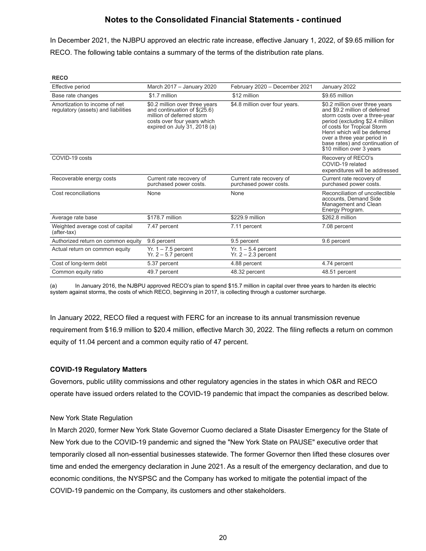In December 2021, the NJBPU approved an electric rate increase, effective January 1, 2022, of \$9.65 million for RECO. The following table contains a summary of the terms of the distribution rate plans.

| <b>RECO</b>                                                          |                                                                                                                                                             |                                                    |                                                                                                                                                                                                                                                                                                   |
|----------------------------------------------------------------------|-------------------------------------------------------------------------------------------------------------------------------------------------------------|----------------------------------------------------|---------------------------------------------------------------------------------------------------------------------------------------------------------------------------------------------------------------------------------------------------------------------------------------------------|
| Effective period                                                     | March 2017 - January 2020                                                                                                                                   | February 2020 - December 2021                      | January 2022                                                                                                                                                                                                                                                                                      |
| Base rate changes                                                    | \$1.7 million                                                                                                                                               | \$12 million                                       | \$9.65 million                                                                                                                                                                                                                                                                                    |
| Amortization to income of net<br>regulatory (assets) and liabilities | \$0.2 million over three years<br>and continuation of $$(25.6)$<br>million of deferred storm<br>costs over four years which<br>expired on July 31, 2018 (a) | \$4.8 million over four years.                     | \$0.2 million over three years<br>and \$9.2 million of deferred<br>storm costs over a three-year<br>period (excluding \$2.4 million<br>of costs for Tropical Storm<br>Henri which will be deferred<br>over a three year period in<br>base rates) and continuation of<br>\$10 million over 3 years |
| COVID-19 costs                                                       |                                                                                                                                                             |                                                    | Recovery of RECO's<br>COVID-19 related<br>expenditures will be addressed                                                                                                                                                                                                                          |
| Recoverable energy costs                                             | Current rate recovery of<br>purchased power costs.                                                                                                          | Current rate recovery of<br>purchased power costs. | Current rate recovery of<br>purchased power costs.                                                                                                                                                                                                                                                |
| Cost reconciliations                                                 | None                                                                                                                                                        | None                                               | Reconciliation of uncollectible<br>accounts, Demand Side<br>Management and Clean<br>Energy Program.                                                                                                                                                                                               |
| Average rate base                                                    | \$178.7 million                                                                                                                                             | \$229.9 million                                    | \$262.8 million                                                                                                                                                                                                                                                                                   |
| Weighted average cost of capital<br>(after-tax)                      | 7.47 percent                                                                                                                                                | 7.11 percent                                       | 7.08 percent                                                                                                                                                                                                                                                                                      |
| Authorized return on common equity                                   | 9.6 percent                                                                                                                                                 | 9.5 percent                                        | 9.6 percent                                                                                                                                                                                                                                                                                       |
| Actual return on common equity                                       | $Yr. 1 - 7.5$ percent<br>Yr. $2 - 5.7$ percent                                                                                                              | $Yr. 1 - 5.4$ percent<br>$Yr. 2 - 2.3$ percent     |                                                                                                                                                                                                                                                                                                   |
| Cost of long-term debt                                               | 5.37 percent                                                                                                                                                | 4.88 percent                                       | 4.74 percent                                                                                                                                                                                                                                                                                      |
| Common equity ratio                                                  | 49.7 percent                                                                                                                                                | 48.32 percent                                      | 48.51 percent                                                                                                                                                                                                                                                                                     |

(a) In January 2016, the NJBPU approved RECO's plan to spend \$15.7 million in capital over three years to harden its electric system against storms, the costs of which RECO, beginning in 2017, is collecting through a customer surcharge.

In January 2022, RECO filed a request with FERC for an increase to its annual transmission revenue requirement from \$16.9 million to \$20.4 million, effective March 30, 2022. The filing reflects a return on common equity of 11.04 percent and a common equity ratio of 47 percent.

## **COVID-19 Regulatory Matters**

Governors, public utility commissions and other regulatory agencies in the states in which O&R and RECO operate have issued orders related to the COVID-19 pandemic that impact the companies as described below.

## New York State Regulation

In March 2020, former New York State Governor Cuomo declared a State Disaster Emergency for the State of New York due to the COVID-19 pandemic and signed the "New York State on PAUSE" executive order that temporarily closed all non-essential businesses statewide. The former Governor then lifted these closures over time and ended the emergency declaration in June 2021. As a result of the emergency declaration, and due to economic conditions, the NYSPSC and the Company has worked to mitigate the potential impact of the COVID-19 pandemic on the Company, its customers and other stakeholders.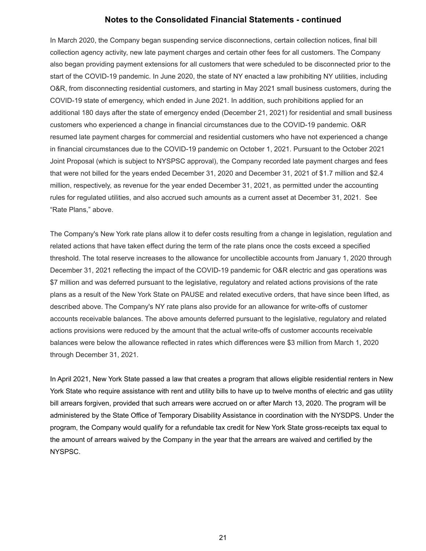In March 2020, the Company began suspending service disconnections, certain collection notices, final bill collection agency activity, new late payment charges and certain other fees for all customers. The Company also began providing payment extensions for all customers that were scheduled to be disconnected prior to the start of the COVID-19 pandemic. In June 2020, the state of NY enacted a law prohibiting NY utilities, including O&R, from disconnecting residential customers, and starting in May 2021 small business customers, during the COVID-19 state of emergency, which ended in June 2021. In addition, such prohibitions applied for an additional 180 days after the state of emergency ended (December 21, 2021) for residential and small business customers who experienced a change in financial circumstances due to the COVID-19 pandemic. O&R resumed late payment charges for commercial and residential customers who have not experienced a change in financial circumstances due to the COVID-19 pandemic on October 1, 2021. Pursuant to the October 2021 Joint Proposal (which is subject to NYSPSC approval), the Company recorded late payment charges and fees that were not billed for the years ended December 31, 2020 and December 31, 2021 of \$1.7 million and \$2.4 million, respectively, as revenue for the year ended December 31, 2021, as permitted under the accounting rules for regulated utilities, and also accrued such amounts as a current asset at December 31, 2021. See "Rate Plans," above.

The Company's New York rate plans allow it to defer costs resulting from a change in legislation, regulation and related actions that have taken effect during the term of the rate plans once the costs exceed a specified threshold. The total reserve increases to the allowance for uncollectible accounts from January 1, 2020 through December 31, 2021 reflecting the impact of the COVID-19 pandemic for O&R electric and gas operations was \$7 million and was deferred pursuant to the legislative, regulatory and related actions provisions of the rate plans as a result of the New York State on PAUSE and related executive orders, that have since been lifted, as described above. The Company's NY rate plans also provide for an allowance for write-offs of customer accounts receivable balances. The above amounts deferred pursuant to the legislative, regulatory and related actions provisions were reduced by the amount that the actual write-offs of customer accounts receivable balances were below the allowance reflected in rates which differences were \$3 million from March 1, 2020 through December 31, 2021.

In April 2021, New York State passed a law that creates a program that allows eligible residential renters in New York State who require assistance with rent and utility bills to have up to twelve months of electric and gas utility bill arrears forgiven, provided that such arrears were accrued on or after March 13, 2020. The program will be administered by the State Office of Temporary Disability Assistance in coordination with the NYSDPS. Under the program, the Company would qualify for a refundable tax credit for New York State gross-receipts tax equal to the amount of arrears waived by the Company in the year that the arrears are waived and certified by the NYSPSC.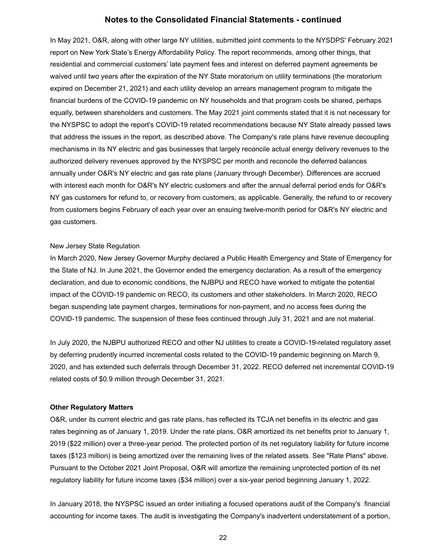In May 2021, O&R, along with other large NY utilities, submitted joint comments to the NYSDPS' February 2021 report on New York State's Energy Affordability Policy. The report recommends, among other things, that residential and commercial customers' late payment fees and interest on deferred payment agreements be waived until two years after the expiration of the NY State moratorium on utility terminations (the moratorium expired on December 21, 2021) and each utility develop an arrears management program to mitigate the financial burdens of the COVID-19 pandemic on NY households and that program costs be shared, perhaps equally, between shareholders and customers. The May 2021 joint comments stated that it is not necessary for the NYSPSC to adopt the report's COVID-19 related recommendations because NY State already passed laws that address the issues in the report, as described above. The Company's rate plans have revenue decoupling mechanisms in its NY electric and gas businesses that largely reconcile actual energy delivery revenues to the authorized delivery revenues approved by the NYSPSC per month and reconcile the deferred balances annually under O&R's NY electric and gas rate plans (January through December). Differences are accrued with interest each month for O&R's NY electric customers and after the annual deferral period ends for O&R's NY gas customers for refund to, or recovery from customers, as applicable. Generally, the refund to or recovery from customers begins February of each year over an ensuing twelve-month period for O&R's NY electric and gas customers.

#### New Jersey State Regulation

In March 2020, New Jersey Governor Murphy declared a Public Health Emergency and State of Emergency for the State of NJ. In June 2021, the Governor ended the emergency declaration. As a result of the emergency declaration, and due to economic conditions, the NJBPU and RECO have worked to mitigate the potential impact of the COVID-19 pandemic on RECO, its customers and other stakeholders. In March 2020, RECO began suspending late payment charges, terminations for non-payment, and no access fees during the COVID-19 pandemic. The suspension of these fees continued through July 31, 2021 and are not material.

In July 2020, the NJBPU authorized RECO and other NJ utilities to create a COVID-19-related regulatory asset by deferring prudently incurred incremental costs related to the COVID-19 pandemic beginning on March 9, 2020, and has extended such deferrals through December 31, 2022. RECO deferred net incremental COVID-19 related costs of \$0.9 million through December 31, 2021.

#### **Other Regulatory Matters**

O&R, under its current electric and gas rate plans, has reflected its TCJA net benefits in its electric and gas rates beginning as of January 1, 2019. Under the rate plans, O&R amortized its net benefits prior to January 1, 2019 (\$22 million) over a three-year period. The protected portion of its net regulatory liability for future income taxes (\$123 million) is being amortized over the remaining lives of the related assets. See "Rate Plans" above. Pursuant to the October 2021 Joint Proposal, O&R will amortize the remaining unprotected portion of its net regulatory liability for future income taxes (\$34 million) over a six-year period beginning January 1, 2022.

In January 2018, the NYSPSC issued an order initiating a focused operations audit of the Company's financial accounting for income taxes. The audit is investigating the Company's inadvertent understatement of a portion,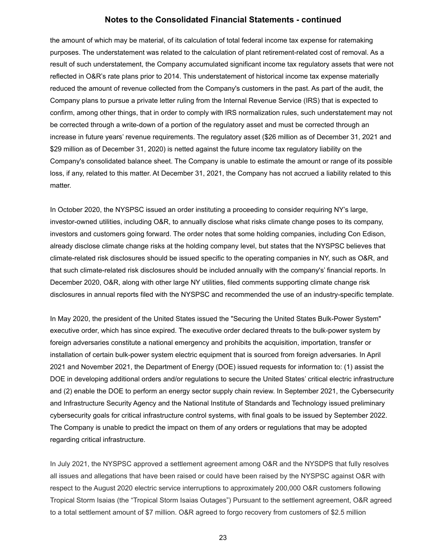the amount of which may be material, of its calculation of total federal income tax expense for ratemaking purposes. The understatement was related to the calculation of plant retirement-related cost of removal. As a result of such understatement, the Company accumulated significant income tax regulatory assets that were not reflected in O&R's rate plans prior to 2014. This understatement of historical income tax expense materially reduced the amount of revenue collected from the Company's customers in the past. As part of the audit, the Company plans to pursue a private letter ruling from the Internal Revenue Service (IRS) that is expected to confirm, among other things, that in order to comply with IRS normalization rules, such understatement may not be corrected through a write-down of a portion of the regulatory asset and must be corrected through an increase in future years' revenue requirements. The regulatory asset (\$26 million as of December 31, 2021 and \$29 million as of December 31, 2020) is netted against the future income tax regulatory liability on the Company's consolidated balance sheet. The Company is unable to estimate the amount or range of its possible loss, if any, related to this matter. At December 31, 2021, the Company has not accrued a liability related to this matter.

In October 2020, the NYSPSC issued an order instituting a proceeding to consider requiring NY's large, investor-owned utilities, including O&R, to annually disclose what risks climate change poses to its company, investors and customers going forward. The order notes that some holding companies, including Con Edison, already disclose climate change risks at the holding company level, but states that the NYSPSC believes that climate-related risk disclosures should be issued specific to the operating companies in NY, such as O&R, and that such climate-related risk disclosures should be included annually with the company's' financial reports. In December 2020, O&R, along with other large NY utilities, filed comments supporting climate change risk disclosures in annual reports filed with the NYSPSC and recommended the use of an industry-specific template.

In May 2020, the president of the United States issued the "Securing the United States Bulk-Power System" executive order, which has since expired. The executive order declared threats to the bulk-power system by foreign adversaries constitute a national emergency and prohibits the acquisition, importation, transfer or installation of certain bulk-power system electric equipment that is sourced from foreign adversaries. In April 2021 and November 2021, the Department of Energy (DOE) issued requests for information to: (1) assist the DOE in developing additional orders and/or regulations to secure the United States' critical electric infrastructure and (2) enable the DOE to perform an energy sector supply chain review. In September 2021, the Cybersecurity and Infrastructure Security Agency and the National Institute of Standards and Technology issued preliminary cybersecurity goals for critical infrastructure control systems, with final goals to be issued by September 2022. The Company is unable to predict the impact on them of any orders or regulations that may be adopted regarding critical infrastructure.

In July 2021, the NYSPSC approved a settlement agreement among O&R and the NYSDPS that fully resolves all issues and allegations that have been raised or could have been raised by the NYSPSC against O&R with respect to the August 2020 electric service interruptions to approximately 200,000 O&R customers following Tropical Storm Isaias (the "Tropical Storm Isaias Outages") Pursuant to the settlement agreement, O&R agreed to a total settlement amount of \$7 million. O&R agreed to forgo recovery from customers of \$2.5 million

23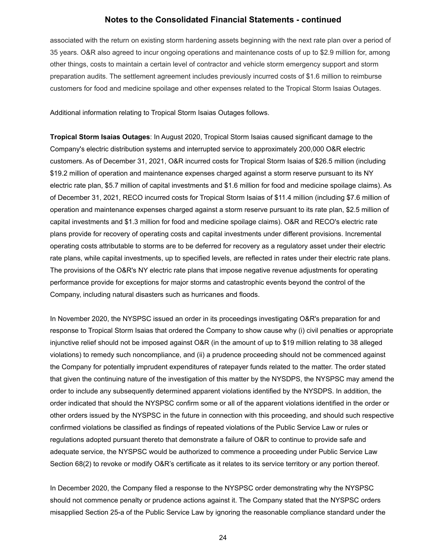associated with the return on existing storm hardening assets beginning with the next rate plan over a period of 35 years. O&R also agreed to incur ongoing operations and maintenance costs of up to \$2.9 million for, among other things, costs to maintain a certain level of contractor and vehicle storm emergency support and storm preparation audits. The settlement agreement includes previously incurred costs of \$1.6 million to reimburse customers for food and medicine spoilage and other expenses related to the Tropical Storm Isaias Outages.

Additional information relating to Tropical Storm Isaias Outages follows.

**Tropical Storm Isaias Outages**: In August 2020, Tropical Storm Isaias caused significant damage to the Company's electric distribution systems and interrupted service to approximately 200,000 O&R electric customers. As of December 31, 2021, O&R incurred costs for Tropical Storm Isaias of \$26.5 million (including \$19.2 million of operation and maintenance expenses charged against a storm reserve pursuant to its NY electric rate plan, \$5.7 million of capital investments and \$1.6 million for food and medicine spoilage claims). As of December 31, 2021, RECO incurred costs for Tropical Storm Isaias of \$11.4 million (including \$7.6 million of operation and maintenance expenses charged against a storm reserve pursuant to its rate plan, \$2.5 million of capital investments and \$1.3 million for food and medicine spoilage claims). O&R and RECO's electric rate plans provide for recovery of operating costs and capital investments under different provisions. Incremental operating costs attributable to storms are to be deferred for recovery as a regulatory asset under their electric rate plans, while capital investments, up to specified levels, are reflected in rates under their electric rate plans. The provisions of the O&R's NY electric rate plans that impose negative revenue adjustments for operating performance provide for exceptions for major storms and catastrophic events beyond the control of the Company, including natural disasters such as hurricanes and floods.

In November 2020, the NYSPSC issued an order in its proceedings investigating O&R's preparation for and response to Tropical Storm Isaias that ordered the Company to show cause why (i) civil penalties or appropriate injunctive relief should not be imposed against O&R (in the amount of up to \$19 million relating to 38 alleged violations) to remedy such noncompliance, and (ii) a prudence proceeding should not be commenced against the Company for potentially imprudent expenditures of ratepayer funds related to the matter. The order stated that given the continuing nature of the investigation of this matter by the NYSDPS, the NYSPSC may amend the order to include any subsequently determined apparent violations identified by the NYSDPS. In addition, the order indicated that should the NYSPSC confirm some or all of the apparent violations identified in the order or other orders issued by the NYSPSC in the future in connection with this proceeding, and should such respective confirmed violations be classified as findings of repeated violations of the Public Service Law or rules or regulations adopted pursuant thereto that demonstrate a failure of O&R to continue to provide safe and adequate service, the NYSPSC would be authorized to commence a proceeding under Public Service Law Section 68(2) to revoke or modify O&R's certificate as it relates to its service territory or any portion thereof.

In December 2020, the Company filed a response to the NYSPSC order demonstrating why the NYSPSC should not commence penalty or prudence actions against it. The Company stated that the NYSPSC orders misapplied Section 25-a of the Public Service Law by ignoring the reasonable compliance standard under the

24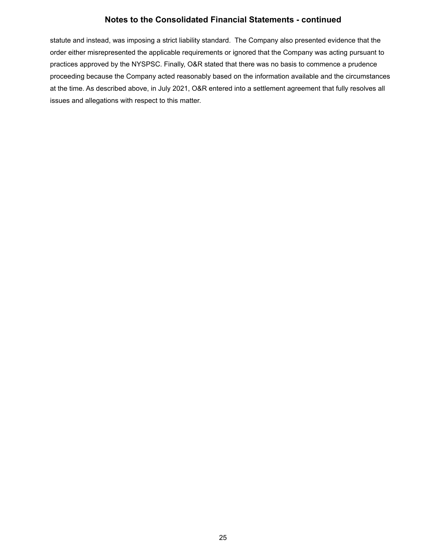statute and instead, was imposing a strict liability standard. The Company also presented evidence that the order either misrepresented the applicable requirements or ignored that the Company was acting pursuant to practices approved by the NYSPSC. Finally, O&R stated that there was no basis to commence a prudence proceeding because the Company acted reasonably based on the information available and the circumstances at the time. As described above, in July 2021, O&R entered into a settlement agreement that fully resolves all issues and allegations with respect to this matter.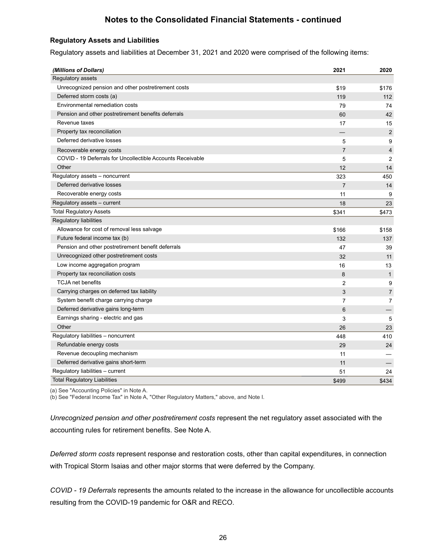## **Regulatory Assets and Liabilities**

Regulatory assets and liabilities at December 31, 2021 and 2020 were comprised of the following items:

| (Millions of Dollars)                                      | 2021           | 2020           |
|------------------------------------------------------------|----------------|----------------|
| Regulatory assets                                          |                |                |
| Unrecognized pension and other postretirement costs        | \$19           | \$176          |
| Deferred storm costs (a)                                   | 119            | 112            |
| Environmental remediation costs                            | 79             | 74             |
| Pension and other postretirement benefits deferrals        | 60             | 42             |
| Revenue taxes                                              | 17             | 15             |
| Property tax reconciliation                                |                | $\sqrt{2}$     |
| Deferred derivative losses                                 | 5              | 9              |
| Recoverable energy costs                                   | $\overline{7}$ | $\overline{4}$ |
| COVID - 19 Deferrals for Uncollectible Accounts Receivable | 5              | 2              |
| Other                                                      | 12             | 14             |
| Regulatory assets - noncurrent                             | 323            | 450            |
| Deferred derivative losses                                 | $\overline{7}$ | 14             |
| Recoverable energy costs                                   | 11             | 9              |
| Regulatory assets - current                                | 18             | 23             |
| <b>Total Regulatory Assets</b>                             | \$341          | \$473          |
| Regulatory liabilities                                     |                |                |
| Allowance for cost of removal less salvage                 | \$166          | \$158          |
| Future federal income tax (b)                              | 132            | 137            |
| Pension and other postretirement benefit deferrals         | 47             | 39             |
| Unrecognized other postretirement costs                    | 32             | 11             |
| Low income aggregation program                             | 16             | 13             |
| Property tax reconciliation costs                          | 8              | $\mathbf{1}$   |
| <b>TCJA</b> net benefits                                   | $\overline{2}$ | 9              |
| Carrying charges on deferred tax liability                 | 3              | $\overline{7}$ |
| System benefit charge carrying charge                      | $\overline{7}$ | $\overline{7}$ |
| Deferred derivative gains long-term                        | 6              |                |
| Earnings sharing - electric and gas                        | 3              | 5              |
| Other                                                      | 26             | 23             |
| Regulatory liabilities - noncurrent                        | 448            | 410            |
| Refundable energy costs                                    | 29             | 24             |
| Revenue decoupling mechanism                               | 11             |                |
| Deferred derivative gains short-term                       | 11             |                |
| Regulatory liabilities - current                           | 51             | 24             |
| <b>Total Regulatory Liabilities</b>                        | \$499          | \$434          |

(a) See "Accounting Policies" in Note A.

(b) See "Federal Income Tax" in Note A, "Other Regulatory Matters," above, and Note I.

*Unrecognized pension and other postretirement costs* represent the net regulatory asset associated with the accounting rules for retirement benefits. See Note A.

*Deferred storm costs* represent response and restoration costs, other than capital expenditures, in connection with Tropical Storm Isaias and other major storms that were deferred by the Company.

*COVID - 19 Deferrals* represents the amounts related to the increase in the allowance for uncollectible accounts resulting from the COVID-19 pandemic for O&R and RECO.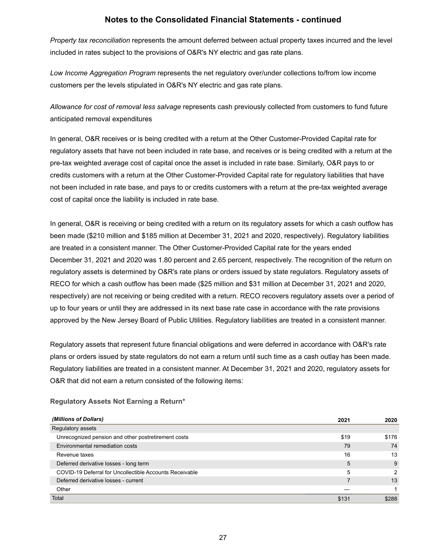*Property tax reconciliation* represents the amount deferred between actual property taxes incurred and the level included in rates subject to the provisions of O&R's NY electric and gas rate plans.

*Low Income Aggregation Program* represents the net regulatory over/under collections to/from low income customers per the levels stipulated in O&R's NY electric and gas rate plans.

*Allowance for cost of removal less salvage* represents cash previously collected from customers to fund future anticipated removal expenditures

In general, O&R receives or is being credited with a return at the Other Customer-Provided Capital rate for regulatory assets that have not been included in rate base, and receives or is being credited with a return at the pre-tax weighted average cost of capital once the asset is included in rate base. Similarly, O&R pays to or credits customers with a return at the Other Customer-Provided Capital rate for regulatory liabilities that have not been included in rate base, and pays to or credits customers with a return at the pre-tax weighted average cost of capital once the liability is included in rate base.

In general, O&R is receiving or being credited with a return on its regulatory assets for which a cash outflow has been made (\$210 million and \$185 million at December 31, 2021 and 2020, respectively). Regulatory liabilities are treated in a consistent manner. The Other Customer-Provided Capital rate for the years ended December 31, 2021 and 2020 was 1.80 percent and 2.65 percent, respectively. The recognition of the return on regulatory assets is determined by O&R's rate plans or orders issued by state regulators. Regulatory assets of RECO for which a cash outflow has been made (\$25 million and \$31 million at December 31, 2021 and 2020, respectively) are not receiving or being credited with a return. RECO recovers regulatory assets over a period of up to four years or until they are addressed in its next base rate case in accordance with the rate provisions approved by the New Jersey Board of Public Utilities. Regulatory liabilities are treated in a consistent manner.

Regulatory assets that represent future financial obligations and were deferred in accordance with O&R's rate plans or orders issued by state regulators do not earn a return until such time as a cash outlay has been made. Regulatory liabilities are treated in a consistent manner. At December 31, 2021 and 2020, regulatory assets for O&R that did not earn a return consisted of the following items:

| (Millions of Dollars)                                   | 2021  | 2020          |
|---------------------------------------------------------|-------|---------------|
| Regulatory assets                                       |       |               |
| Unrecognized pension and other postretirement costs     | \$19  | \$176         |
| Environmental remediation costs                         | 79    | 74            |
| Revenue taxes                                           | 16    | 13            |
| Deferred derivative losses - long term                  | 5     | 9             |
| COVID-19 Deferral for Uncollectible Accounts Receivable | 5     | $\mathcal{P}$ |
| Deferred derivative losses - current                    |       | 13            |
| Other                                                   |       |               |
| Total                                                   | \$131 | \$288         |

## **Regulatory Assets Not Earning a Return\***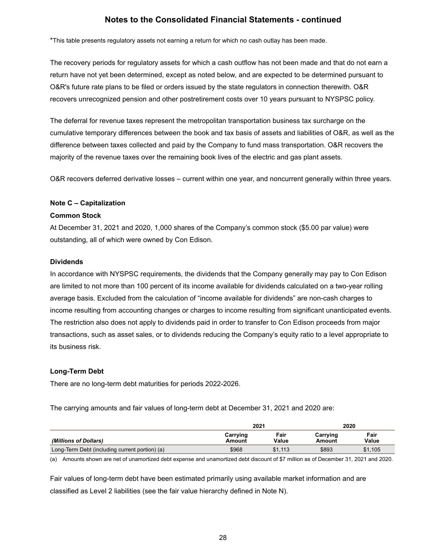\*This table presents regulatory assets not earning a return for which no cash outlay has been made.

The recovery periods for regulatory assets for which a cash outflow has not been made and that do not earn a return have not yet been determined, except as noted below, and are expected to be determined pursuant to O&R's future rate plans to be filed or orders issued by the state regulators in connection therewith. O&R recovers unrecognized pension and other postretirement costs over 10 years pursuant to NYSPSC policy.

The deferral for revenue taxes represent the metropolitan transportation business tax surcharge on the cumulative temporary differences between the book and tax basis of assets and liabilities of O&R, as well as the difference between taxes collected and paid by the Company to fund mass transportation. O&R recovers the majority of the revenue taxes over the remaining book lives of the electric and gas plant assets.

O&R recovers deferred derivative losses – current within one year, and noncurrent generally within three years.

### **Note C – Capitalization**

### **Common Stock**

At December 31, 2021 and 2020, 1,000 shares of the Company's common stock (\$5.00 par value) were outstanding, all of which were owned by Con Edison.

### **Dividends**

In accordance with NYSPSC requirements, the dividends that the Company generally may pay to Con Edison are limited to not more than 100 percent of its income available for dividends calculated on a two-year rolling average basis. Excluded from the calculation of "income available for dividends" are non-cash charges to income resulting from accounting changes or charges to income resulting from significant unanticipated events. The restriction also does not apply to dividends paid in order to transfer to Con Edison proceeds from major transactions, such as asset sales, or to dividends reducing the Company's equity ratio to a level appropriate to its business risk.

## **Long-Term Debt**

There are no long-term debt maturities for periods 2022-2026.

The carrying amounts and fair values of long-term debt at December 31, 2021 and 2020 are:

|                                                | 2021               |               | 2020               |               |
|------------------------------------------------|--------------------|---------------|--------------------|---------------|
| (Millions of Dollars)                          | Carrying<br>Amount | Fair<br>Value | Carrying<br>Amount | Fair<br>Value |
| Long-Term Debt (including current portion) (a) | \$968              | \$1.113       | \$893              | \$1.105       |

(a) Amounts shown are net of unamortized debt expense and unamortized debt discount of \$7 million as of December 31, 2021 and 2020.

Fair values of long-term debt have been estimated primarily using available market information and are classified as Level 2 liabilities (see the fair value hierarchy defined in Note N).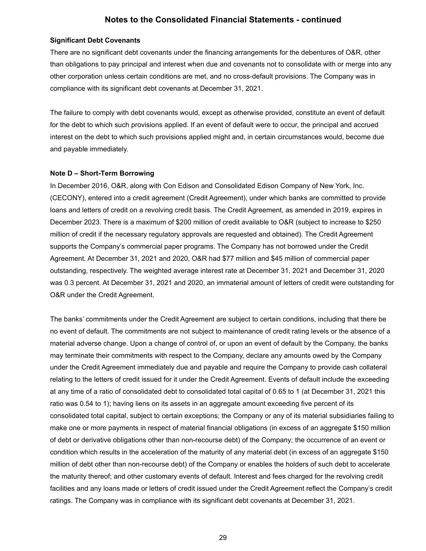#### **Significant Debt Covenants**

There are no significant debt covenants under the financing arrangements for the debentures of O&R, other than obligations to pay principal and interest when due and covenants not to consolidate with or merge into any other corporation unless certain conditions are met, and no cross-default provisions. The Company was in compliance with its significant debt covenants at December 31, 2021.

The failure to comply with debt covenants would, except as otherwise provided, constitute an event of default for the debt to which such provisions applied. If an event of default were to occur, the principal and accrued interest on the debt to which such provisions applied might and, in certain circumstances would, become due and payable immediately.

#### **Note D – Short-Term Borrowing**

In December 2016, O&R, along with Con Edison and Consolidated Edison Company of New York, Inc. (CECONY), entered into a credit agreement (Credit Agreement), under which banks are committed to provide loans and letters of credit on a revolving credit basis. The Credit Agreement, as amended in 2019, expires in December 2023. There is a maximum of \$200 million of credit available to O&R (subject to increase to \$250 million of credit if the necessary regulatory approvals are requested and obtained). The Credit Agreement supports the Company's commercial paper programs. The Company has not borrowed under the Credit Agreement. At December 31, 2021 and 2020, O&R had \$77 million and \$45 million of commercial paper outstanding, respectively. The weighted average interest rate at December 31, 2021 and December 31, 2020 was 0.3 percent. At December 31, 2021 and 2020, an immaterial amount of letters of credit were outstanding for O&R under the Credit Agreement.

The banks' commitments under the Credit Agreement are subject to certain conditions, including that there be no event of default. The commitments are not subject to maintenance of credit rating levels or the absence of a material adverse change. Upon a change of control of, or upon an event of default by the Company, the banks may terminate their commitments with respect to the Company, declare any amounts owed by the Company under the Credit Agreement immediately due and payable and require the Company to provide cash collateral relating to the letters of credit issued for it under the Credit Agreement. Events of default include the exceeding at any time of a ratio of consolidated debt to consolidated total capital of 0.65 to 1 (at December 31, 2021 this ratio was 0.54 to 1); having liens on its assets in an aggregate amount exceeding five percent of its consolidated total capital, subject to certain exceptions; the Company or any of its material subsidiaries failing to make one or more payments in respect of material financial obligations (in excess of an aggregate \$150 million of debt or derivative obligations other than non-recourse debt) of the Company; the occurrence of an event or condition which results in the acceleration of the maturity of any material debt (in excess of an aggregate \$150 million of debt other than non-recourse debt) of the Company or enables the holders of such debt to accelerate the maturity thereof; and other customary events of default. Interest and fees charged for the revolving credit facilities and any loans made or letters of credit issued under the Credit Agreement reflect the Company's credit ratings. The Company was in compliance with its significant debt covenants at December 31, 2021.

29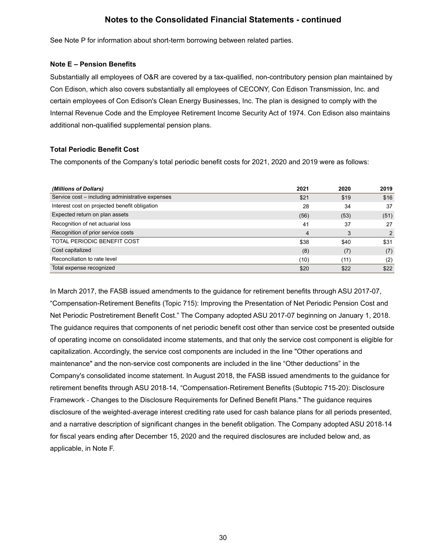See Note P for information about short-term borrowing between related parties.

### **Note E – Pension Benefits**

Substantially all employees of O&R are covered by a tax-qualified, non-contributory pension plan maintained by Con Edison, which also covers substantially all employees of CECONY, Con Edison Transmission, Inc. and certain employees of Con Edison's Clean Energy Businesses, Inc. The plan is designed to comply with the Internal Revenue Code and the Employee Retirement Income Security Act of 1974. Con Edison also maintains additional non-qualified supplemental pension plans.

## **Total Periodic Benefit Cost**

The components of the Company's total periodic benefit costs for 2021, 2020 and 2019 were as follows:

| (Millions of Dollars)                            | 2021 | 2020 | 2019          |
|--------------------------------------------------|------|------|---------------|
| Service cost - including administrative expenses | \$21 | \$19 | \$16          |
| Interest cost on projected benefit obligation    | 28   | 34   | 37            |
| Expected return on plan assets                   | (56) | (53) | (51)          |
| Recognition of net actuarial loss                | 41   | 37   | 27            |
| Recognition of prior service costs               | 4    | 3    | $\mathcal{P}$ |
| <b>TOTAL PERIODIC BENEFIT COST</b>               | \$38 | \$40 | \$31          |
| Cost capitalized                                 | (8)  | (7)  | (7)           |
| Reconciliation to rate level                     | (10) | (11) | (2)           |
| Total expense recognized                         | \$20 | \$22 | \$22          |

In March 2017, the FASB issued amendments to the guidance for retirement benefits through ASU 2017-07, "Compensation-Retirement Benefits (Topic 715): Improving the Presentation of Net Periodic Pension Cost and Net Periodic Postretirement Benefit Cost." The Company adopted ASU 2017-07 beginning on January 1, 2018. The guidance requires that components of net periodic benefit cost other than service cost be presented outside of operating income on consolidated income statements, and that only the service cost component is eligible for capitalization. Accordingly, the service cost components are included in the line "Other operations and maintenance" and the non-service cost components are included in the line "Other deductions" in the Company's consolidated income statement. In August 2018, the FASB issued amendments to the guidance for retirement benefits through ASU 2018-14, "Compensation-Retirement Benefits (Subtopic 715-20): Disclosure Framework - Changes to the Disclosure Requirements for Defined Benefit Plans." The guidance requires disclosure of the weighted-average interest crediting rate used for cash balance plans for all periods presented, and a narrative description of significant changes in the benefit obligation. The Company adopted ASU 2018-14 for fiscal years ending after December 15, 2020 and the required disclosures are included below and, as applicable, in Note F.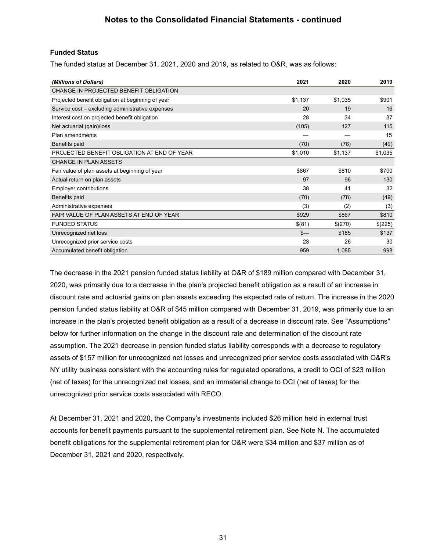## **Funded Status**

The funded status at December 31, 2021, 2020 and 2019, as related to O&R, was as follows:

| (Millions of Dollars)                             | 2021    | 2020    | 2019    |
|---------------------------------------------------|---------|---------|---------|
| CHANGE IN PROJECTED BENEFIT OBLIGATION            |         |         |         |
| Projected benefit obligation at beginning of year | \$1,137 | \$1,035 | \$901   |
| Service cost – excluding administrative expenses  | 20      | 19      | 16      |
| Interest cost on projected benefit obligation     | 28      | 34      | 37      |
| Net actuarial (gain)/loss                         | (105)   | 127     | 115     |
| Plan amendments                                   |         |         | 15      |
| Benefits paid                                     | (70)    | (78)    | (49)    |
| PROJECTED BENEFIT OBLIGATION AT END OF YEAR       | \$1,010 | \$1,137 | \$1,035 |
| <b>CHANGE IN PLAN ASSETS</b>                      |         |         |         |
| Fair value of plan assets at beginning of year    | \$867   | \$810   | \$700   |
| Actual return on plan assets                      | 97      | 96      | 130     |
| Employer contributions                            | 38      | 41      | 32      |
| Benefits paid                                     | (70)    | (78)    | (49)    |
| Administrative expenses                           | (3)     | (2)     | (3)     |
| FAIR VALUE OF PLAN ASSETS AT END OF YEAR          | \$929   | \$867   | \$810   |
| <b>FUNDED STATUS</b>                              | \$(81)  | \$(270) | \$(225) |
| Unrecognized net loss                             | $s-$    | \$185   | \$137   |
| Unrecognized prior service costs                  | 23      | 26      | 30      |
| Accumulated benefit obligation                    | 959     | 1,085   | 998     |

The decrease in the 2021 pension funded status liability at O&R of \$189 million compared with December 31, 2020, was primarily due to a decrease in the plan's projected benefit obligation as a result of an increase in discount rate and actuarial gains on plan assets exceeding the expected rate of return. The increase in the 2020 pension funded status liability at O&R of \$45 million compared with December 31, 2019, was primarily due to an increase in the plan's projected benefit obligation as a result of a decrease in discount rate. See "Assumptions" below for further information on the change in the discount rate and determination of the discount rate assumption. The 2021 decrease in pension funded status liability corresponds with a decrease to regulatory assets of \$157 million for unrecognized net losses and unrecognized prior service costs associated with O&R's NY utility business consistent with the accounting rules for regulated operations, a credit to OCI of \$23 million (net of taxes) for the unrecognized net losses, and an immaterial change to OCI (net of taxes) for the unrecognized prior service costs associated with RECO.

At December 31, 2021 and 2020, the Company's investments included \$26 million held in external trust accounts for benefit payments pursuant to the supplemental retirement plan. See Note N. The accumulated benefit obligations for the supplemental retirement plan for O&R were \$34 million and \$37 million as of December 31, 2021 and 2020, respectively.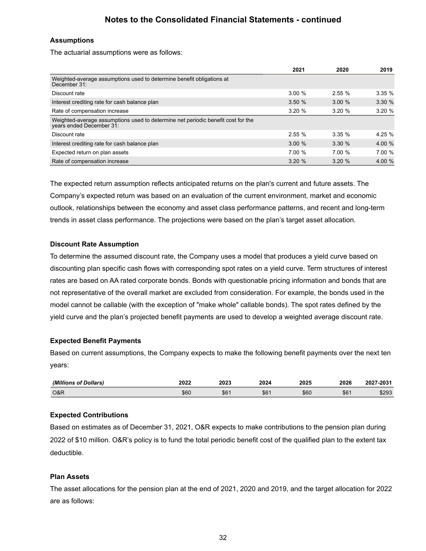### **Assumptions**

The actuarial assumptions were as follows:

|                                                                                                              | 2021  | 2020  | 2019   |
|--------------------------------------------------------------------------------------------------------------|-------|-------|--------|
| Weighted-average assumptions used to determine benefit obligations at<br>December 31:                        |       |       |        |
| Discount rate                                                                                                | 3.00% | 2.55% | 3.35%  |
| Interest crediting rate for cash balance plan                                                                | 3.50% | 3.00% | 3.30%  |
| Rate of compensation increase                                                                                | 3.20% | 3.20% | 3.20%  |
| Weighted-average assumptions used to determine net periodic benefit cost for the<br>years ended December 31: |       |       |        |
| Discount rate                                                                                                | 2.55% | 3.35% | 4.25%  |
| Interest crediting rate for cash balance plan                                                                | 3.00% | 3.30% | 4.00 % |
| Expected return on plan assets                                                                               | 7.00% | 7.00% | 7.00%  |
| Rate of compensation increase                                                                                | 3.20% | 3.20% | 4.00 % |

The expected return assumption reflects anticipated returns on the plan's current and future assets. The Company's expected return was based on an evaluation of the current environment, market and economic outlook, relationships between the economy and asset class performance patterns, and recent and long-term trends in asset class performance. The projections were based on the plan's target asset allocation.

### **Discount Rate Assumption**

To determine the assumed discount rate, the Company uses a model that produces a yield curve based on discounting plan specific cash flows with corresponding spot rates on a yield curve. Term structures of interest rates are based on AA rated corporate bonds. Bonds with questionable pricing information and bonds that are not representative of the overall market are excluded from consideration. For example, the bonds used in the model cannot be callable (with the exception of "make whole" callable bonds). The spot rates defined by the yield curve and the plan's projected benefit payments are used to develop a weighted average discount rate.

## **Expected Benefit Payments**

Based on current assumptions, the Company expects to make the following benefit payments over the next ten years:

| (Millions of Dollars) | 2022 | 2023 | 2024          | 2025 | 2026 | 2027-2031 |
|-----------------------|------|------|---------------|------|------|-----------|
| O&R                   | \$60 | \$61 | $\sim$<br>JO. | \$60 | \$6  | \$293     |

### **Expected Contributions**

Based on estimates as of December 31, 2021, O&R expects to make contributions to the pension plan during 2022 of \$10 million. O&R's policy is to fund the total periodic benefit cost of the qualified plan to the extent tax deductible.

### **Plan Assets**

The asset allocations for the pension plan at the end of 2021, 2020 and 2019, and the target allocation for 2022 are as follows: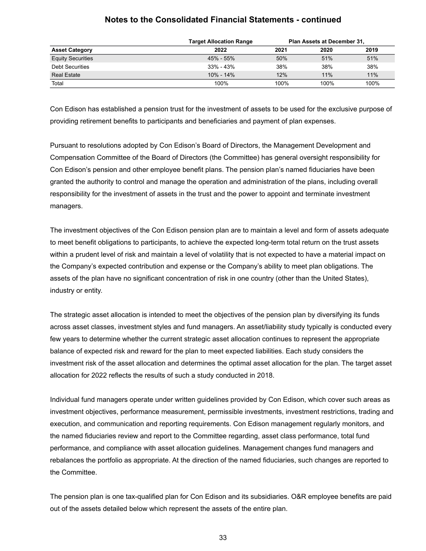|                          | <b>Target Allocation Range</b> |      | Plan Assets at December 31, |      |  |
|--------------------------|--------------------------------|------|-----------------------------|------|--|
| <b>Asset Category</b>    | 2022                           | 2021 | 2020                        | 2019 |  |
| <b>Equity Securities</b> | $45\% - 55\%$                  | 50%  | 51%                         | 51%  |  |
| <b>Debt Securities</b>   | $33\% - 43\%$                  | 38%  | 38%                         | 38%  |  |
| Real Estate              | $10\% - 14\%$                  | 12%  | 11%                         | 11%  |  |
| Total                    | 100%                           | 100% | 100%                        | 100% |  |

Con Edison has established a pension trust for the investment of assets to be used for the exclusive purpose of providing retirement benefits to participants and beneficiaries and payment of plan expenses.

Pursuant to resolutions adopted by Con Edison's Board of Directors, the Management Development and Compensation Committee of the Board of Directors (the Committee) has general oversight responsibility for Con Edison's pension and other employee benefit plans. The pension plan's named fiduciaries have been granted the authority to control and manage the operation and administration of the plans, including overall responsibility for the investment of assets in the trust and the power to appoint and terminate investment managers.

The investment objectives of the Con Edison pension plan are to maintain a level and form of assets adequate to meet benefit obligations to participants, to achieve the expected long-term total return on the trust assets within a prudent level of risk and maintain a level of volatility that is not expected to have a material impact on the Company's expected contribution and expense or the Company's ability to meet plan obligations. The assets of the plan have no significant concentration of risk in one country (other than the United States), industry or entity.

The strategic asset allocation is intended to meet the objectives of the pension plan by diversifying its funds across asset classes, investment styles and fund managers. An asset/liability study typically is conducted every few years to determine whether the current strategic asset allocation continues to represent the appropriate balance of expected risk and reward for the plan to meet expected liabilities. Each study considers the investment risk of the asset allocation and determines the optimal asset allocation for the plan. The target asset allocation for 2022 reflects the results of such a study conducted in 2018.

Individual fund managers operate under written guidelines provided by Con Edison, which cover such areas as investment objectives, performance measurement, permissible investments, investment restrictions, trading and execution, and communication and reporting requirements. Con Edison management regularly monitors, and the named fiduciaries review and report to the Committee regarding, asset class performance, total fund performance, and compliance with asset allocation guidelines. Management changes fund managers and rebalances the portfolio as appropriate. At the direction of the named fiduciaries, such changes are reported to the Committee.

The pension plan is one tax-qualified plan for Con Edison and its subsidiaries. O&R employee benefits are paid out of the assets detailed below which represent the assets of the entire plan.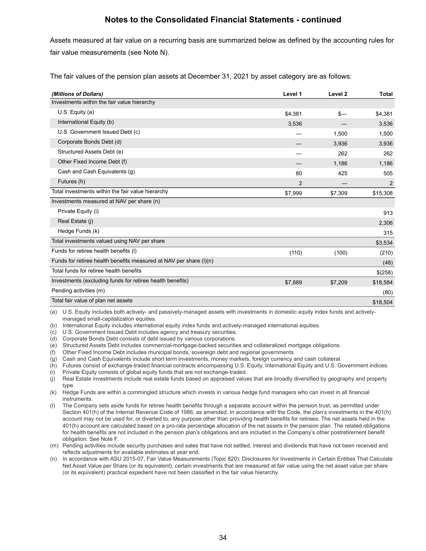Assets measured at fair value on a recurring basis are summarized below as defined by the accounting rules for fair value measurements (see Note N).

The fair values of the pension plan assets at December 31, 2021 by asset category are as follows:

| (Millions of Dollars)                                              | Level 1        | Level 2 | Total          |
|--------------------------------------------------------------------|----------------|---------|----------------|
| Investments within the fair value hierarchy                        |                |         |                |
| U.S. Equity $(a)$                                                  | \$4,381        | $s-$    | \$4,381        |
| International Equity (b)                                           | 3,536          |         | 3,536          |
| U.S. Government Issued Debt (c)                                    |                | 1,500   | 1,500          |
| Corporate Bonds Debt (d)                                           |                | 3,936   | 3,936          |
| Structured Assets Debt (e)                                         |                | 262     | 262            |
| Other Fixed Income Debt (f)                                        |                | 1,186   | 1,186          |
| Cash and Cash Equivalents (g)                                      | 80             | 425     | 505            |
| Futures (h)                                                        | $\overline{2}$ |         | $\overline{2}$ |
| Total investments within the fair value hierarchy                  | \$7,999        | \$7,309 | \$15,308       |
| Investments measured at NAV per share (n)                          |                |         |                |
| Private Equity (i)                                                 |                |         | 913            |
| Real Estate (j)                                                    |                |         | 2,306          |
| Hedge Funds (k)                                                    |                |         | 315            |
| Total investments valued using NAV per share                       |                |         | \$3,534        |
| Funds for retiree health benefits (I)                              | (110)          | (100)   | (210)          |
| Funds for retiree health benefits measured at NAV per share (I)(n) |                |         | (48)           |
| Total funds for retiree health benefits                            |                |         | \$(258)        |
| Investments (excluding funds for retiree health benefits)          | \$7,889        | \$7,209 | \$18,584       |
| Pending activities (m)                                             |                |         | (80)           |
| Total fair value of plan net assets                                |                |         | \$18,504       |

(a) U.S. Equity includes both actively- and passively-managed assets with investments in domestic equity index funds and activelymanaged small-capitalization equities.

(b) International Equity includes international equity index funds and actively-managed international equities.

(c) U.S. Government Issued Debt includes agency and treasury securities.

(d) Corporate Bonds Debt consists of debt issued by various corporations.

(e) Structured Assets Debt includes commercial-mortgage-backed securities and collateralized mortgage obligations.

(f) Other Fixed Income Debt includes municipal bonds, sovereign debt and regional governments.

(g) Cash and Cash Equivalents include short term investments, money markets, foreign currency and cash collateral.

(h) Futures consist of exchange-traded financial contracts encompassing U.S. Equity, International Equity and U.S. Government indices.

(i) Private Equity consists of global equity funds that are not exchange-traded.

(j) Real Estate investments include real estate funds based on appraised values that are broadly diversified by geography and property type.

(k) Hedge Funds are within a commingled structure which invests in various hedge fund managers who can invest in all financial instruments.

(l) The Company sets aside funds for retiree health benefits through a separate account within the pension trust, as permitted under Section 401(h) of the Internal Revenue Code of 1986, as amended. In accordance with the Code, the plan's investments in the 401(h) account may not be used for, or diverted to, any purpose other than providing health benefits for retirees. The net assets held in the 401(h) account are calculated based on a pro-rata percentage allocation of the net assets in the pension plan. The related obligations for health benefits are not included in the pension plan's obligations and are included in the Company's other postretirement benefit obligation. See Note F.

(m) Pending activities include security purchases and sales that have not settled, interest and dividends that have not been received and reflects adjustments for available estimates at year end.

(n) In accordance with ASU 2015-07, Fair Value Measurements (Topic 820): Disclosures for Investments in Certain Entities That Calculate Net Asset Value per Share (or its equivalent), certain investments that are measured at fair value using the net asset value per share (or its equivalent) practical expedient have not been classified in the fair value hierarchy.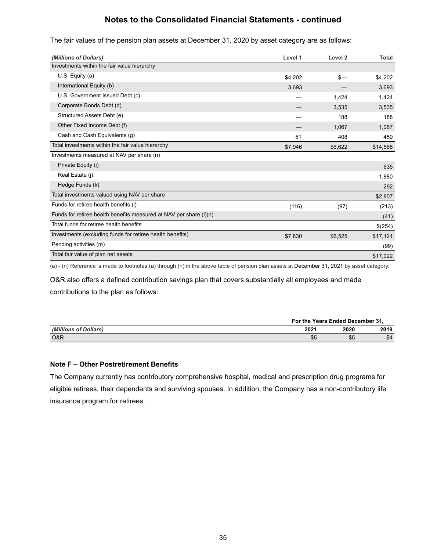The fair values of the pension plan assets at December 31, 2020 by asset category are as follows:

| (Millions of Dollars)                                              | Level 1 | Level <sub>2</sub> | Total    |
|--------------------------------------------------------------------|---------|--------------------|----------|
| Investments within the fair value hierarchy                        |         |                    |          |
| U.S. Equity (a)                                                    | \$4,202 | $s-$               | \$4,202  |
| International Equity (b)                                           | 3,693   |                    | 3,693    |
| U.S. Government Issued Debt (c)                                    |         | 1,424              | 1,424    |
| Corporate Bonds Debt (d)                                           |         | 3,535              | 3,535    |
| Structured Assets Debt (e)                                         |         | 188                | 188      |
| Other Fixed Income Debt (f)                                        |         | 1,067              | 1,067    |
| Cash and Cash Equivalents (g)                                      | 51      | 408                | 459      |
| Total investments within the fair value hierarchy                  | \$7,946 | \$6,622            | \$14,568 |
| Investments measured at NAV per share (n)                          |         |                    |          |
| Private Equity (i)                                                 |         |                    | 635      |
| Real Estate (j)                                                    |         |                    | 1,880    |
| Hedge Funds (k)                                                    |         |                    | 292      |
| Total investments valued using NAV per share                       |         |                    | \$2,807  |
| Funds for retiree health benefits (I)                              | (116)   | (97)               | (213)    |
| Funds for retiree health benefits measured at NAV per share (I)(n) |         |                    | (41)     |
| Total funds for retiree health benefits                            |         |                    | \$(254)  |
| Investments (excluding funds for retiree health benefits)          | \$7,830 | \$6,525            | \$17,121 |
| Pending activities (m)                                             |         |                    | (99)     |
| Total fair value of plan net assets                                |         |                    | \$17.022 |

(a) - (n) Reference is made to footnotes (a) through (n) in the above table of pension plan assets at December 31, 2021 by asset category.

O&R also offers a defined contribution savings plan that covers substantially all employees and made contributions to the plan as follows:

|                       |      | For the Years Ended December 31. |      |
|-----------------------|------|----------------------------------|------|
| (Millions of Dollars) | 2021 | 2020                             | 2019 |
| O&R                   | ن⊽   | ახ                               | \$4  |

## **Note F – Other Postretirement Benefits**

The Company currently has contributory comprehensive hospital, medical and prescription drug programs for eligible retirees, their dependents and surviving spouses. In addition, the Company has a non-contributory life insurance program for retirees.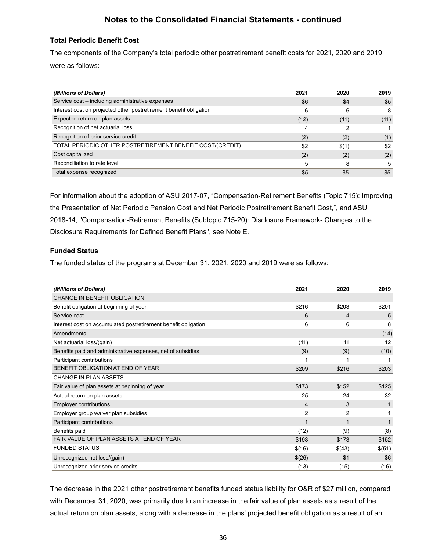## **Total Periodic Benefit Cost**

The components of the Company's total periodic other postretirement benefit costs for 2021, 2020 and 2019 were as follows:

| (Millions of Dollars)                                              | 2021 | 2020  | 2019 |
|--------------------------------------------------------------------|------|-------|------|
| Service cost – including administrative expenses                   | \$6  | \$4   | \$5  |
| Interest cost on projected other postretirement benefit obligation | 6    | 6     | 8    |
| Expected return on plan assets                                     | (12) | (11)  | (11) |
| Recognition of net actuarial loss                                  |      |       |      |
| Recognition of prior service credit                                | (2)  | (2)   | (1)  |
| TOTAL PERIODIC OTHER POSTRETIREMENT BENEFIT COST/(CREDIT)          | \$2  | \$(1) | \$2  |
| Cost capitalized                                                   | (2)  | (2)   | (2)  |
| Reconciliation to rate level                                       | 5    | 8     | 5    |
| Total expense recognized                                           | \$5  | \$5   | \$5  |

For information about the adoption of ASU 2017-07, "Compensation-Retirement Benefits (Topic 715): Improving the Presentation of Net Periodic Pension Cost and Net Periodic Postretirement Benefit Cost,", and ASU 2018-14, "Compensation-Retirement Benefits (Subtopic 715-20): Disclosure Framework- Changes to the Disclosure Requirements for Defined Benefit Plans", see Note E.

### **Funded Status**

The funded status of the programs at December 31, 2021, 2020 and 2019 were as follows:

| (Millions of Dollars)                                          | 2021           | 2020   | 2019   |
|----------------------------------------------------------------|----------------|--------|--------|
| CHANGE IN BENEFIT OBLIGATION                                   |                |        |        |
| Benefit obligation at beginning of year                        | \$216          | \$203  | \$201  |
| Service cost                                                   | 6              | 4      | 5      |
| Interest cost on accumulated postretirement benefit obligation | 6              | 6      | 8      |
| Amendments                                                     |                |        | (14)   |
| Net actuarial loss/(gain)                                      | (11)           | 11     | 12     |
| Benefits paid and administrative expenses, net of subsidies    | (9)            | (9)    | (10)   |
| Participant contributions                                      |                |        |        |
| BENEFIT OBLIGATION AT END OF YEAR                              | \$209          | \$216  | \$203  |
| <b>CHANGE IN PLAN ASSETS</b>                                   |                |        |        |
| Fair value of plan assets at beginning of year                 | \$173          | \$152  | \$125  |
| Actual return on plan assets                                   | 25             | 24     | 32     |
| <b>Employer contributions</b>                                  | 4              | 3      | 1      |
| Employer group waiver plan subsidies                           | $\overline{2}$ | 2      |        |
| Participant contributions                                      | 1              |        |        |
| Benefits paid                                                  | (12)           | (9)    | (8)    |
| FAIR VALUE OF PLAN ASSETS AT END OF YEAR                       | \$193          | \$173  | \$152  |
| <b>FUNDED STATUS</b>                                           | \$(16)         | \$(43) | \$(51) |
| Unrecognized net loss/(gain)                                   | \$(26)         | \$1    | \$6    |
| Unrecognized prior service credits                             | (13)           | (15)   | (16)   |

The decrease in the 2021 other postretirement benefits funded status liability for O&R of \$27 million, compared with December 31, 2020, was primarily due to an increase in the fair value of plan assets as a result of the actual return on plan assets, along with a decrease in the plans' projected benefit obligation as a result of an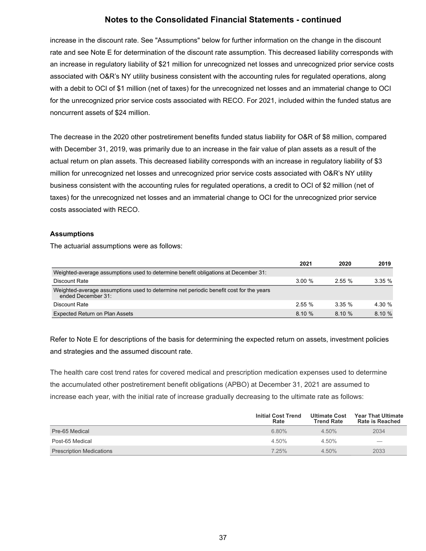increase in the discount rate. See "Assumptions" below for further information on the change in the discount rate and see Note E for determination of the discount rate assumption. This decreased liability corresponds with an increase in regulatory liability of \$21 million for unrecognized net losses and unrecognized prior service costs associated with O&R's NY utility business consistent with the accounting rules for regulated operations, along with a debit to OCI of \$1 million (net of taxes) for the unrecognized net losses and an immaterial change to OCI for the unrecognized prior service costs associated with RECO. For 2021, included within the funded status are noncurrent assets of \$24 million.

The decrease in the 2020 other postretirement benefits funded status liability for O&R of \$8 million, compared with December 31, 2019, was primarily due to an increase in the fair value of plan assets as a result of the actual return on plan assets. This decreased liability corresponds with an increase in regulatory liability of \$3 million for unrecognized net losses and unrecognized prior service costs associated with O&R's NY utility business consistent with the accounting rules for regulated operations, a credit to OCI of \$2 million (net of taxes) for the unrecognized net losses and an immaterial change to OCI for the unrecognized prior service costs associated with RECO.

### **Assumptions**

The actuarial assumptions were as follows:

|                                                                                                              | 2021  | 2020  | 2019     |
|--------------------------------------------------------------------------------------------------------------|-------|-------|----------|
| Weighted-average assumptions used to determine benefit obligations at December 31:                           |       |       |          |
| Discount Rate                                                                                                | 3.00% | 2.55% | 3.35%    |
| Weighted-average assumptions used to determine net periodic benefit cost for the years<br>ended December 31: |       |       |          |
| Discount Rate                                                                                                | 2.55% | 3.35% | 4.30 $%$ |
| <b>Expected Return on Plan Assets</b>                                                                        | 8.10% | 8.10% | 8.10%    |

Refer to Note E for descriptions of the basis for determining the expected return on assets, investment policies and strategies and the assumed discount rate.

The health care cost trend rates for covered medical and prescription medication expenses used to determine the accumulated other postretirement benefit obligations (APBO) at December 31, 2021 are assumed to increase each year, with the initial rate of increase gradually decreasing to the ultimate rate as follows:

|                                 | <b>Initial Cost Trend</b><br>Rate | <b>Ultimate Cost</b><br><b>Trend Rate</b> | <b>Year That Ultimate</b><br>Rate is Reached |
|---------------------------------|-----------------------------------|-------------------------------------------|----------------------------------------------|
| Pre-65 Medical                  | 6.80%                             | $4.50\%$                                  | 2034                                         |
| Post-65 Medical                 | $4.50\%$                          | $4.50\%$                                  | $\hspace{0.1mm}-\hspace{0.1mm}$              |
| <b>Prescription Medications</b> | 7.25%                             | 4.50%                                     | 2033                                         |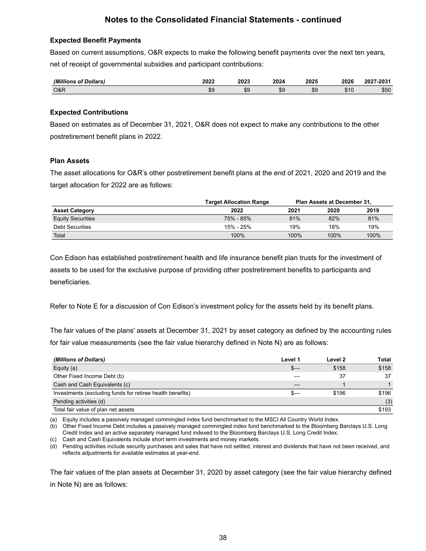## **Expected Benefit Payments**

Based on current assumptions, O&R expects to make the following benefit payments over the next ten years*,*  net of receipt of governmental subsidies and participant contributions:

| (Millions  | 2022 | 2023    | 2024     | 2025     | 2026 | 2027-2031 |
|------------|------|---------|----------|----------|------|-----------|
| of Dollars |      |         |          | ____     |      |           |
| O&R        | \$9  | n<br>we | ۴c<br>১২ | œ<br>্রু | טונט | \$50      |

### **Expected Contributions**

Based on estimates as of December 31, 2021, O&R does not expect to make any contributions to the other postretirement benefit plans in 2022.

#### **Plan Assets**

The asset allocations for O&R's other postretirement benefit plans at the end of 2021, 2020 and 2019 and the target allocation for 2022 are as follows:

|                          | <b>Target Allocation Range</b> | <b>Plan Assets at December 31,</b> |      |      |
|--------------------------|--------------------------------|------------------------------------|------|------|
| <b>Asset Category</b>    | 2022                           | 2021                               | 2020 | 2019 |
| <b>Equity Securities</b> | 75% - 85%                      | 81%                                | 82%  | 81%  |
| <b>Debt Securities</b>   | 15% - 25%                      | 19%                                | 18%  | 19%  |
| Total                    | 100%                           | 100%                               | 100% | 100% |

Con Edison has established postretirement health and life insurance benefit plan trusts for the investment of assets to be used for the exclusive purpose of providing other postretirement benefits to participants and beneficiaries.

Refer to Note E for a discussion of Con Edison's investment policy for the assets held by its benefit plans.

The fair values of the plans' assets at December 31, 2021 by asset category as defined by the accounting rules for fair value measurements (see the fair value hierarchy defined in Note N) are as follows:

| (Millions of Dollars)                                     | Level 1 | Level 2 | Total |
|-----------------------------------------------------------|---------|---------|-------|
| Equity $(a)$                                              |         | \$158   | \$158 |
| Other Fixed Income Debt (b)                               |         | 37      | 37    |
| Cash and Cash Equivalents (c)                             |         |         |       |
| Investments (excluding funds for retiree health benefits) |         | \$196   | \$196 |
| Pending activities (d)                                    |         |         | (3)   |
| Total fair value of plan net assets                       |         |         | \$193 |

(a) Equity includes a passively managed commingled index fund benchmarked to the MSCI All Country World Index.

(b) Other Fixed Income Debt includes a passively managed commingled index fund benchmarked to the Bloomberg Barclays U.S. Long Credit Index and an active separately managed fund indexed to the Bloomberg Barclays U.S. Long Credit Index.

(c) Cash and Cash Equivalents include short term investments and money markets.

(d) Pending activities include security purchases and sales that have not settled, interest and dividends that have not been received, and reflects adjustments for available estimates at year-end.

The fair values of the plan assets at December 31, 2020 by asset category (see the fair value hierarchy defined in Note N) are as follows: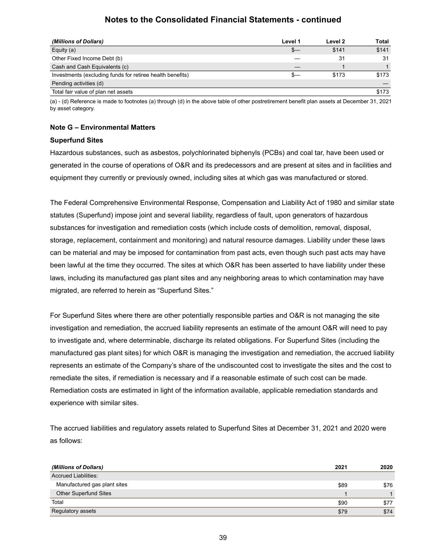| (Millions of Dollars)                                     | Level 1 | Level 2 | <b>Total</b> |
|-----------------------------------------------------------|---------|---------|--------------|
| Equity (a)                                                |         | \$141   | \$141        |
| Other Fixed Income Debt (b)                               |         | 31      | 31           |
| Cash and Cash Equivalents (c)                             |         |         |              |
| Investments (excluding funds for retiree health benefits) |         | \$173   | \$173        |
| Pending activities (d)                                    |         |         |              |
| Total fair value of plan net assets                       |         |         | \$173        |

(a) - (d) Reference is made to footnotes (a) through (d) in the above table of other postretirement benefit plan assets at December 31, 2021 by asset category.

## **Note G – Environmental Matters**

### **Superfund Sites**

Hazardous substances, such as asbestos, polychlorinated biphenyls (PCBs) and coal tar, have been used or generated in the course of operations of O&R and its predecessors and are present at sites and in facilities and equipment they currently or previously owned, including sites at which gas was manufactured or stored.

The Federal Comprehensive Environmental Response, Compensation and Liability Act of 1980 and similar state statutes (Superfund) impose joint and several liability, regardless of fault, upon generators of hazardous substances for investigation and remediation costs (which include costs of demolition, removal, disposal, storage, replacement, containment and monitoring) and natural resource damages. Liability under these laws can be material and may be imposed for contamination from past acts, even though such past acts may have been lawful at the time they occurred. The sites at which O&R has been asserted to have liability under these laws, including its manufactured gas plant sites and any neighboring areas to which contamination may have migrated, are referred to herein as "Superfund Sites."

For Superfund Sites where there are other potentially responsible parties and O&R is not managing the site investigation and remediation, the accrued liability represents an estimate of the amount O&R will need to pay to investigate and, where determinable, discharge its related obligations. For Superfund Sites (including the manufactured gas plant sites) for which O&R is managing the investigation and remediation, the accrued liability represents an estimate of the Company's share of the undiscounted cost to investigate the sites and the cost to remediate the sites, if remediation is necessary and if a reasonable estimate of such cost can be made. Remediation costs are estimated in light of the information available, applicable remediation standards and experience with similar sites.

The accrued liabilities and regulatory assets related to Superfund Sites at December 31, 2021 and 2020 were as follows:

| (Millions of Dollars)        | 2021 | 2020 |
|------------------------------|------|------|
| <b>Accrued Liabilities:</b>  |      |      |
| Manufactured gas plant sites | \$89 | \$76 |
| <b>Other Superfund Sites</b> |      |      |
| Total                        | \$90 | \$77 |
| Regulatory assets            | \$79 | \$74 |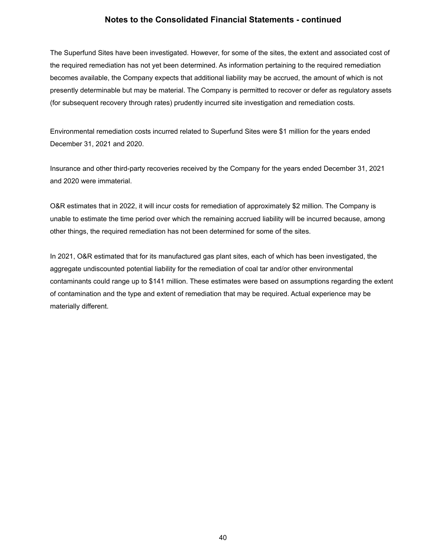The Superfund Sites have been investigated. However, for some of the sites, the extent and associated cost of the required remediation has not yet been determined. As information pertaining to the required remediation becomes available, the Company expects that additional liability may be accrued, the amount of which is not presently determinable but may be material. The Company is permitted to recover or defer as regulatory assets (for subsequent recovery through rates) prudently incurred site investigation and remediation costs.

Environmental remediation costs incurred related to Superfund Sites were \$1 million for the years ended December 31, 2021 and 2020.

Insurance and other third-party recoveries received by the Company for the years ended December 31, 2021 and 2020 were immaterial.

O&R estimates that in 2022, it will incur costs for remediation of approximately \$2 million. The Company is unable to estimate the time period over which the remaining accrued liability will be incurred because, among other things, the required remediation has not been determined for some of the sites.

In 2021, O&R estimated that for its manufactured gas plant sites, each of which has been investigated, the aggregate undiscounted potential liability for the remediation of coal tar and/or other environmental contaminants could range up to \$141 million. These estimates were based on assumptions regarding the extent of contamination and the type and extent of remediation that may be required. Actual experience may be materially different.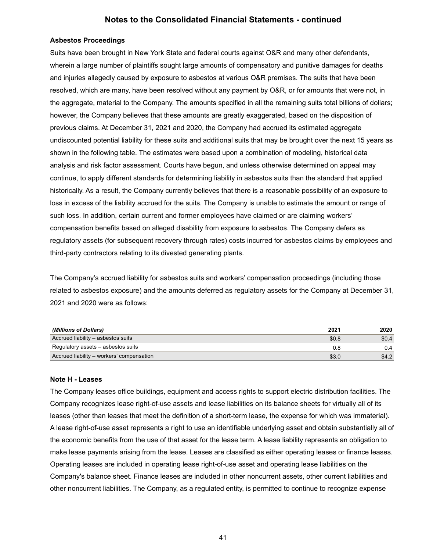#### **Asbestos Proceedings**

Suits have been brought in New York State and federal courts against O&R and many other defendants, wherein a large number of plaintiffs sought large amounts of compensatory and punitive damages for deaths and injuries allegedly caused by exposure to asbestos at various O&R premises. The suits that have been resolved, which are many, have been resolved without any payment by O&R, or for amounts that were not, in the aggregate, material to the Company. The amounts specified in all the remaining suits total billions of dollars; however, the Company believes that these amounts are greatly exaggerated, based on the disposition of previous claims. At December 31, 2021 and 2020, the Company had accrued its estimated aggregate undiscounted potential liability for these suits and additional suits that may be brought over the next 15 years as shown in the following table. The estimates were based upon a combination of modeling, historical data analysis and risk factor assessment. Courts have begun, and unless otherwise determined on appeal may continue, to apply different standards for determining liability in asbestos suits than the standard that applied historically. As a result, the Company currently believes that there is a reasonable possibility of an exposure to loss in excess of the liability accrued for the suits. The Company is unable to estimate the amount or range of such loss. In addition, certain current and former employees have claimed or are claiming workers' compensation benefits based on alleged disability from exposure to asbestos. The Company defers as regulatory assets (for subsequent recovery through rates) costs incurred for asbestos claims by employees and third-party contractors relating to its divested generating plants.

The Company's accrued liability for asbestos suits and workers' compensation proceedings (including those related to asbestos exposure) and the amounts deferred as regulatory assets for the Company at December 31, 2021 and 2020 were as follows:

| (Millions of Dollars)                     | 2021  | 2020    |
|-------------------------------------------|-------|---------|
| Accrued liability - asbestos suits        | \$0.8 | \$0.4\$ |
| Regulatory assets – asbestos suits        | 0.8   | 0.4     |
| Accrued liability – workers' compensation | \$3.0 | \$4.2   |

#### **Note H - Leases**

The Company leases office buildings, equipment and access rights to support electric distribution facilities. The Company recognizes lease right-of-use assets and lease liabilities on its balance sheets for virtually all of its leases (other than leases that meet the definition of a short-term lease, the expense for which was immaterial). A lease right-of-use asset represents a right to use an identifiable underlying asset and obtain substantially all of the economic benefits from the use of that asset for the lease term. A lease liability represents an obligation to make lease payments arising from the lease. Leases are classified as either operating leases or finance leases. Operating leases are included in operating lease right-of-use asset and operating lease liabilities on the Company's balance sheet. Finance leases are included in other noncurrent assets, other current liabilities and other noncurrent liabilities. The Company, as a regulated entity, is permitted to continue to recognize expense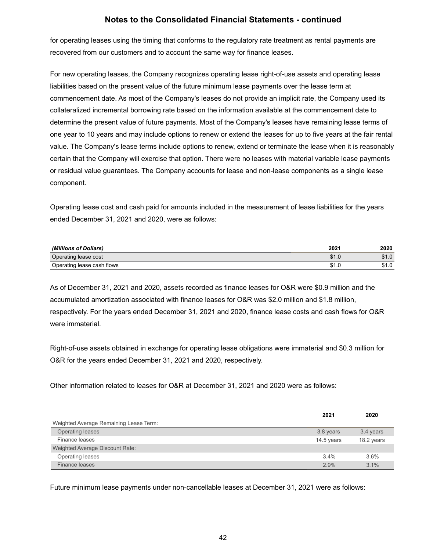for operating leases using the timing that conforms to the regulatory rate treatment as rental payments are recovered from our customers and to account the same way for finance leases.

For new operating leases, the Company recognizes operating lease right-of-use assets and operating lease liabilities based on the present value of the future minimum lease payments over the lease term at commencement date. As most of the Company's leases do not provide an implicit rate, the Company used its collateralized incremental borrowing rate based on the information available at the commencement date to determine the present value of future payments. Most of the Company's leases have remaining lease terms of one year to 10 years and may include options to renew or extend the leases for up to five years at the fair rental value. The Company's lease terms include options to renew, extend or terminate the lease when it is reasonably certain that the Company will exercise that option. There were no leases with material variable lease payments or residual value guarantees. The Company accounts for lease and non-lease components as a single lease component.

Operating lease cost and cash paid for amounts included in the measurement of lease liabilities for the years ended December 31, 2021 and 2020, were as follows:

| (Millions of Dollars)      | $202^t$ | 2020  |
|----------------------------|---------|-------|
| Operating lease cost       | \$1.0   | \$1.0 |
| Operating lease cash flows |         | \$1.0 |

As of December 31, 2021 and 2020, assets recorded as finance leases for O&R were \$0.9 million and the accumulated amortization associated with finance leases for O&R was \$2.0 million and \$1.8 million, respectively. For the years ended December 31, 2021 and 2020, finance lease costs and cash flows for O&R were immaterial

Right-of-use assets obtained in exchange for operating lease obligations were immaterial and \$0.3 million for O&R for the years ended December 31, 2021 and 2020, respectively.

Other information related to leases for O&R at December 31, 2021 and 2020 were as follows:

|                                        | 2021       | 2020       |
|----------------------------------------|------------|------------|
| Weighted Average Remaining Lease Term: |            |            |
| <b>Operating leases</b>                | 3.8 years  | 3.4 years  |
| Finance leases                         | 14.5 years | 18.2 years |
| Weighted Average Discount Rate:        |            |            |
| Operating leases                       | 3.4%       | 3.6%       |
| Finance leases                         | 2.9%       | 3.1%       |

Future minimum lease payments under non-cancellable leases at December 31, 2021 were as follows: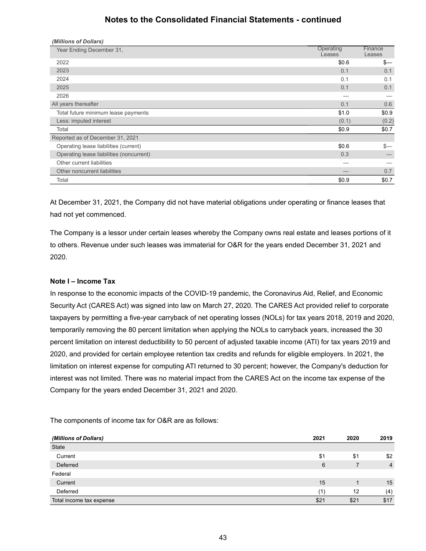| (Millions of Dollars)                    |                     |                   |
|------------------------------------------|---------------------|-------------------|
| Year Ending December 31,                 | Operating<br>Leases | Finance<br>Leases |
| 2022                                     | \$0.6               | $s-$              |
| 2023                                     | 0.1                 | 0.1               |
| 2024                                     | 0.1                 | 0.1               |
| 2025                                     | 0.1                 | 0.1               |
| 2026                                     |                     |                   |
| All years thereafter                     | 0.1                 | 0.6               |
| Total future minimum lease payments      | \$1.0               | \$0.9             |
| Less: imputed interest                   | (0.1)               | (0.2)             |
| Total                                    | \$0.9               | \$0.7             |
| Reported as of December 31, 2021         |                     |                   |
| Operating lease liabilities (current)    | \$0.6               | $s-$              |
| Operating lease liabilities (noncurrent) | 0.3                 |                   |
| Other current liabilities                |                     |                   |
| Other noncurrent liabilities             |                     | 0.7               |
| Total                                    | \$0.9               | \$0.7             |

At December 31, 2021, the Company did not have material obligations under operating or finance leases that had not yet commenced.

The Company is a lessor under certain leases whereby the Company owns real estate and leases portions of it to others. Revenue under such leases was immaterial for O&R for the years ended December 31, 2021 and 2020.

## **Note I – Income Tax**

In response to the economic impacts of the COVID-19 pandemic, the Coronavirus Aid, Relief, and Economic Security Act (CARES Act) was signed into law on March 27, 2020. The CARES Act provided relief to corporate taxpayers by permitting a five-year carryback of net operating losses (NOLs) for tax years 2018, 2019 and 2020, temporarily removing the 80 percent limitation when applying the NOLs to carryback years, increased the 30 percent limitation on interest deductibility to 50 percent of adjusted taxable income (ATI) for tax years 2019 and 2020, and provided for certain employee retention tax credits and refunds for eligible employers. In 2021, the limitation on interest expense for computing ATI returned to 30 percent; however, the Company's deduction for interest was not limited. There was no material impact from the CARES Act on the income tax expense of the Company for the years ended December 31, 2021 and 2020.

The components of income tax for O&R are as follows:

| (Millions of Dollars)    | 2021 | 2020 | 2019           |
|--------------------------|------|------|----------------|
| State                    |      |      |                |
| Current                  | \$1  | \$1  | \$2            |
| Deferred                 | 6    |      | $\overline{4}$ |
| Federal                  |      |      |                |
| Current                  | 15   |      | 15             |
| Deferred                 | (1)  | 12   | (4)            |
| Total income tax expense | \$21 | \$21 | \$17           |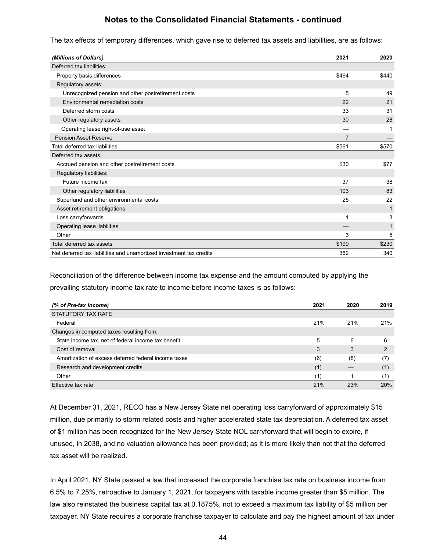The tax effects of temporary differences, which gave rise to deferred tax assets and liabilities, are as follows:

| (Millions of Dollars)                                               | 2021           | 2020         |
|---------------------------------------------------------------------|----------------|--------------|
| Deferred tax liabilities:                                           |                |              |
| Property basis differences                                          | \$464          | \$440        |
| Regulatory assets:                                                  |                |              |
| Unrecognized pension and other postretirement costs                 | 5              | 49           |
| Environmental remediation costs                                     | 22             | 21           |
| Deferred storm costs                                                | 33             | 31           |
| Other regulatory assets                                             | 30             | 28           |
| Operating lease right-of-use asset                                  | —              | 1            |
| <b>Pension Asset Reserve</b>                                        | $\overline{7}$ |              |
| Total deferred tax liabilities                                      | \$561          | \$570        |
| Deferred tax assets:                                                |                |              |
| Accrued pension and other postretirement costs                      | \$30           | \$77         |
| Regulatory liabilities:                                             |                |              |
| Future income tax                                                   | 37             | 38           |
| Other regulatory liabilities                                        | 103            | 83           |
| Superfund and other environmental costs                             | 25             | 22           |
| Asset retirement obligations                                        |                | $\mathbf{1}$ |
| Loss carryforwards                                                  | 1              | 3            |
| Operating lease liabilities                                         |                | 1            |
| Other                                                               | 3              | 5            |
| Total deferred tax assets                                           | \$199          | \$230        |
| Net deferred tax liabilities and unamortized investment tax credits | 362            | 340          |

Reconciliation of the difference between income tax expense and the amount computed by applying the prevailing statutory income tax rate to income before income taxes is as follows:

| (% of Pre-tax income)                                | 2021 | 2020 | 2019          |
|------------------------------------------------------|------|------|---------------|
| STATUTORY TAX RATE                                   |      |      |               |
| Federal                                              | 21%  | 21%  | 21%           |
| Changes in computed taxes resulting from:            |      |      |               |
| State income tax, net of federal income tax benefit  | 5    | 6    | 6             |
| Cost of removal                                      | 3    | 3    | $\mathcal{P}$ |
| Amortization of excess deferred federal income taxes | (6)  | (8)  | (7)           |
| Research and development credits                     | (1)  |      | (1)           |
| Other                                                | (1)  |      | (1)           |
| Effective tax rate                                   | 21%  | 23%  | 20%           |

At December 31, 2021, RECO has a New Jersey State net operating loss carryforward of approximately \$15 million, due primarily to storm related costs and higher accelerated state tax depreciation. A deferred tax asset of \$1 million has been recognized for the New Jersey State NOL carryforward that will begin to expire, if unused, in 2038, and no valuation allowance has been provided; as it is more likely than not that the deferred tax asset will be realized.

In April 2021, NY State passed a law that increased the corporate franchise tax rate on business income from 6.5% to 7.25%, retroactive to January 1, 2021, for taxpayers with taxable income greater than \$5 million. The law also reinstated the business capital tax at 0.1875%, not to exceed a maximum tax liability of \$5 million per taxpayer. NY State requires a corporate franchise taxpayer to calculate and pay the highest amount of tax under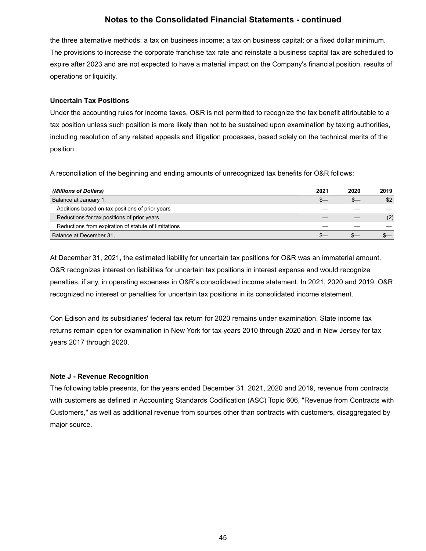the three alternative methods: a tax on business income; a tax on business capital; or a fixed dollar minimum. The provisions to increase the corporate franchise tax rate and reinstate a business capital tax are scheduled to expire after 2023 and are not expected to have a material impact on the Company's financial position, results of operations or liquidity.

### **Uncertain Tax Positions**

Under the accounting rules for income taxes, O&R is not permitted to recognize the tax benefit attributable to a tax position unless such position is more likely than not to be sustained upon examination by taxing authorities, including resolution of any related appeals and litigation processes, based solely on the technical merits of the position.

A reconciliation of the beginning and ending amounts of unrecognized tax benefits for O&R follows:

| (Millions of Dollars)                                | 2021 | 2020 | 2019 |
|------------------------------------------------------|------|------|------|
| Balance at January 1.                                |      |      | \$2  |
| Additions based on tax positions of prior years      |      |      |      |
| Reductions for tax positions of prior years          |      |      | (2)  |
| Reductions from expiration of statute of limitations |      |      |      |
| Balance at December 31,                              |      |      |      |

At December 31, 2021, the estimated liability for uncertain tax positions for O&R was an immaterial amount. O&R recognizes interest on liabilities for uncertain tax positions in interest expense and would recognize penalties, if any, in operating expenses in O&R's consolidated income statement. In 2021, 2020 and 2019, O&R recognized no interest or penalties for uncertain tax positions in its consolidated income statement.

Con Edison and its subsidiaries' federal tax return for 2020 remains under examination. State income tax returns remain open for examination in New York for tax years 2010 through 2020 and in New Jersey for tax years 2017 through 2020.

## **Note J - Revenue Recognition**

The following table presents, for the years ended December 31, 2021, 2020 and 2019, revenue from contracts with customers as defined in Accounting Standards Codification (ASC) Topic 606, "Revenue from Contracts with Customers," as well as additional revenue from sources other than contracts with customers, disaggregated by major source.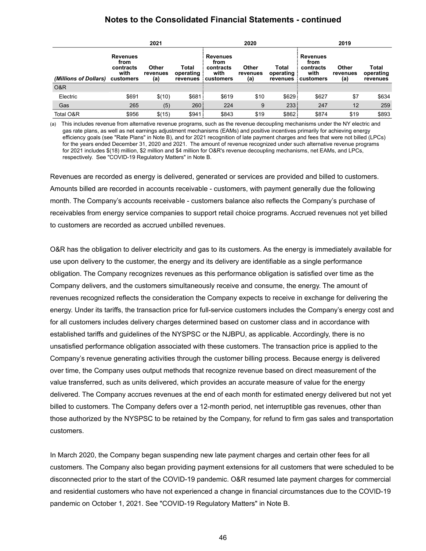|                       |                                                           | 2021                            |                                |                                                            | 2020                            |                    |                                                                      | 2019                     |                                |
|-----------------------|-----------------------------------------------------------|---------------------------------|--------------------------------|------------------------------------------------------------|---------------------------------|--------------------|----------------------------------------------------------------------|--------------------------|--------------------------------|
| (Millions of Dollars) | <b>Revenues</b><br>from<br>contracts<br>with<br>customers | <b>Other</b><br>revenues<br>(a) | Total<br>operating<br>revenues | <b>Revenues</b><br>from<br>contracts<br>with<br>∶customers | <b>Other</b><br>revenues<br>(a) | Total<br>operating | <b>Revenues</b><br>from<br>contracts<br>with<br>revenues : customers | Other<br>revenues<br>(a) | Total<br>operating<br>revenues |
| O&R                   |                                                           |                                 |                                |                                                            |                                 |                    |                                                                      |                          |                                |
| Electric              | \$691                                                     | \$(10)                          | \$681:                         | \$619                                                      | \$10                            | \$629:             | \$627                                                                | \$7                      | \$634                          |
| Gas                   | 265                                                       | (5)                             | 260:                           | 224                                                        | 9                               | 233:               | 247                                                                  | 12                       | 259                            |
| Total O&R             | \$956                                                     | \$(15)                          | \$941:                         | \$843                                                      | \$19                            | \$862:             | \$874                                                                | \$19                     | \$893                          |

(a) This includes revenue from alternative revenue programs, such as the revenue decoupling mechanisms under the NY electric and gas rate plans, as well as net earnings adjustment mechanisms (EAMs) and positive incentives primarily for achieving energy efficiency goals (see "Rate Plans" in Note B), and for 2021 recognition of late payment charges and fees that were not billed (LPCs) for the years ended December 31, 2020 and 2021. The amount of revenue recognized under such alternative revenue programs for 2021 includes \$(18) million, \$2 million and \$4 million for O&R's revenue decoupling mechanisms, net EAMs, and LPCs, respectively. See "COVID-19 Regulatory Matters" in Note B.

Revenues are recorded as energy is delivered, generated or services are provided and billed to customers. Amounts billed are recorded in accounts receivable - customers, with payment generally due the following month. The Company's accounts receivable - customers balance also reflects the Company's purchase of receivables from energy service companies to support retail choice programs. Accrued revenues not yet billed to customers are recorded as accrued unbilled revenues.

O&R has the obligation to deliver electricity and gas to its customers. As the energy is immediately available for use upon delivery to the customer, the energy and its delivery are identifiable as a single performance obligation. The Company recognizes revenues as this performance obligation is satisfied over time as the Company delivers, and the customers simultaneously receive and consume, the energy. The amount of revenues recognized reflects the consideration the Company expects to receive in exchange for delivering the energy. Under its tariffs, the transaction price for full-service customers includes the Company's energy cost and for all customers includes delivery charges determined based on customer class and in accordance with established tariffs and guidelines of the NYSPSC or the NJBPU, as applicable. Accordingly, there is no unsatisfied performance obligation associated with these customers. The transaction price is applied to the Company's revenue generating activities through the customer billing process. Because energy is delivered over time, the Company uses output methods that recognize revenue based on direct measurement of the value transferred, such as units delivered, which provides an accurate measure of value for the energy delivered. The Company accrues revenues at the end of each month for estimated energy delivered but not yet billed to customers. The Company defers over a 12-month period, net interruptible gas revenues, other than those authorized by the NYSPSC to be retained by the Company, for refund to firm gas sales and transportation customers.

In March 2020, the Company began suspending new late payment charges and certain other fees for all customers. The Company also began providing payment extensions for all customers that were scheduled to be disconnected prior to the start of the COVID-19 pandemic. O&R resumed late payment charges for commercial and residential customers who have not experienced a change in financial circumstances due to the COVID-19 pandemic on October 1, 2021. See "COVID-19 Regulatory Matters" in Note B.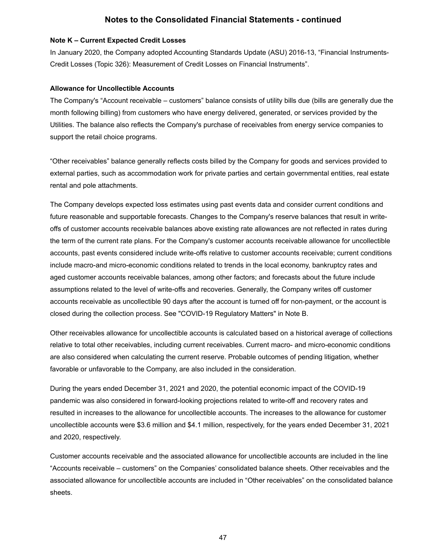### **Note K – Current Expected Credit Losses**

In January 2020, the Company adopted Accounting Standards Update (ASU) 2016-13, "Financial Instruments-Credit Losses (Topic 326): Measurement of Credit Losses on Financial Instruments".

### **Allowance for Uncollectible Accounts**

The Company's "Account receivable – customers" balance consists of utility bills due (bills are generally due the month following billing) from customers who have energy delivered, generated, or services provided by the Utilities. The balance also reflects the Company's purchase of receivables from energy service companies to support the retail choice programs.

"Other receivables" balance generally reflects costs billed by the Company for goods and services provided to external parties, such as accommodation work for private parties and certain governmental entities, real estate rental and pole attachments.

The Company develops expected loss estimates using past events data and consider current conditions and future reasonable and supportable forecasts. Changes to the Company's reserve balances that result in writeoffs of customer accounts receivable balances above existing rate allowances are not reflected in rates during the term of the current rate plans. For the Company's customer accounts receivable allowance for uncollectible accounts, past events considered include write-offs relative to customer accounts receivable; current conditions include macro-and micro-economic conditions related to trends in the local economy, bankruptcy rates and aged customer accounts receivable balances, among other factors; and forecasts about the future include assumptions related to the level of write-offs and recoveries. Generally, the Company writes off customer accounts receivable as uncollectible 90 days after the account is turned off for non-payment, or the account is closed during the collection process. See "COVID-19 Regulatory Matters" in Note B.

Other receivables allowance for uncollectible accounts is calculated based on a historical average of collections relative to total other receivables, including current receivables. Current macro- and micro-economic conditions are also considered when calculating the current reserve. Probable outcomes of pending litigation, whether favorable or unfavorable to the Company, are also included in the consideration.

During the years ended December 31, 2021 and 2020, the potential economic impact of the COVID-19 pandemic was also considered in forward-looking projections related to write-off and recovery rates and resulted in increases to the allowance for uncollectible accounts. The increases to the allowance for customer uncollectible accounts were \$3.6 million and \$4.1 million, respectively, for the years ended December 31, 2021 and 2020, respectively.

Customer accounts receivable and the associated allowance for uncollectible accounts are included in the line "Accounts receivable – customers" on the Companies' consolidated balance sheets. Other receivables and the associated allowance for uncollectible accounts are included in "Other receivables" on the consolidated balance sheets.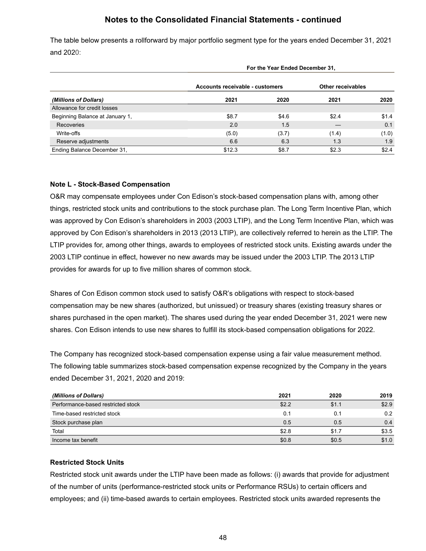The table below presents a rollforward by major portfolio segment type for the years ended December 31, 2021 and 2020:

|                                 |                                 | For the Year Ended December 31, |                          |       |  |  |
|---------------------------------|---------------------------------|---------------------------------|--------------------------|-------|--|--|
|                                 | Accounts receivable - customers |                                 | <b>Other receivables</b> |       |  |  |
| (Millions of Dollars)           | 2021                            | 2020                            | 2021                     | 2020  |  |  |
| Allowance for credit losses     |                                 |                                 |                          |       |  |  |
| Beginning Balance at January 1, | \$8.7                           | \$4.6                           | \$2.4                    | \$1.4 |  |  |
| Recoveries                      | 2.0                             | 1.5                             |                          | 0.1   |  |  |
| Write-offs                      | (5.0)                           | (3.7)                           | (1.4)                    | (1.0) |  |  |
| Reserve adjustments             | 6.6                             | 6.3                             | 1.3                      | 1.9   |  |  |
| Ending Balance December 31,     | \$12.3                          | \$8.7                           | \$2.3                    | \$2.4 |  |  |

### **Note L - Stock-Based Compensation**

O&R may compensate employees under Con Edison's stock-based compensation plans with, among other things, restricted stock units and contributions to the stock purchase plan. The Long Term Incentive Plan, which was approved by Con Edison's shareholders in 2003 (2003 LTIP), and the Long Term Incentive Plan, which was approved by Con Edison's shareholders in 2013 (2013 LTIP), are collectively referred to herein as the LTIP. The LTIP provides for, among other things, awards to employees of restricted stock units. Existing awards under the 2003 LTIP continue in effect, however no new awards may be issued under the 2003 LTIP. The 2013 LTIP provides for awards for up to five million shares of common stock.

Shares of Con Edison common stock used to satisfy O&R's obligations with respect to stock-based compensation may be new shares (authorized, but unissued) or treasury shares (existing treasury shares or shares purchased in the open market). The shares used during the year ended December 31, 2021 were new shares. Con Edison intends to use new shares to fulfill its stock-based compensation obligations for 2022.

The Company has recognized stock-based compensation expense using a fair value measurement method. The following table summarizes stock-based compensation expense recognized by the Company in the years ended December 31, 2021, 2020 and 2019:

| (Millions of Dollars)              | 2021  | 2020  | 2019  |
|------------------------------------|-------|-------|-------|
| Performance-based restricted stock | \$2.2 | \$1.1 | \$2.9 |
| Time-based restricted stock        | 0.1   | 0.1   | 0.2   |
| Stock purchase plan                | 0.5   | 0.5   | 0.4   |
| Total                              | \$2.8 | \$1.7 | \$3.5 |
| Income tax benefit                 | \$0.8 | \$0.5 | \$1.0 |

## **Restricted Stock Units**

Restricted stock unit awards under the LTIP have been made as follows: (i) awards that provide for adjustment of the number of units (performance-restricted stock units or Performance RSUs) to certain officers and employees; and (ii) time-based awards to certain employees. Restricted stock units awarded represents the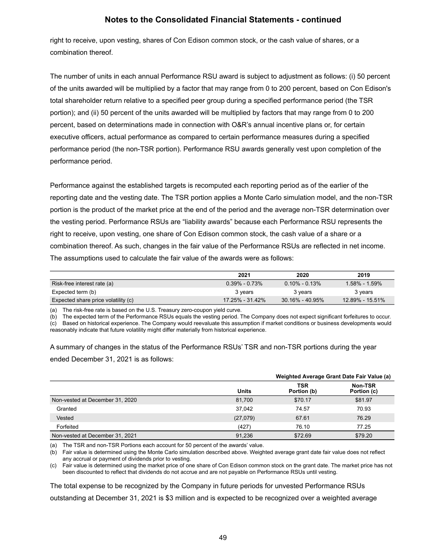right to receive, upon vesting, shares of Con Edison common stock, or the cash value of shares, or a combination thereof.

The number of units in each annual Performance RSU award is subject to adjustment as follows: (i) 50 percent of the units awarded will be multiplied by a factor that may range from 0 to 200 percent, based on Con Edison's total shareholder return relative to a specified peer group during a specified performance period (the TSR portion); and (ii) 50 percent of the units awarded will be multiplied by factors that may range from 0 to 200 percent, based on determinations made in connection with O&R's annual incentive plans or, for certain executive officers, actual performance as compared to certain performance measures during a specified performance period (the non-TSR portion). Performance RSU awards generally vest upon completion of the performance period.

Performance against the established targets is recomputed each reporting period as of the earlier of the reporting date and the vesting date. The TSR portion applies a Monte Carlo simulation model, and the non-TSR portion is the product of the market price at the end of the period and the average non-TSR determination over the vesting period. Performance RSUs are "liability awards" because each Performance RSU represents the right to receive, upon vesting, one share of Con Edison common stock, the cash value of a share or a combination thereof. As such, changes in the fair value of the Performance RSUs are reflected in net income. The assumptions used to calculate the fair value of the awards were as follows:

|                                     | 2021              | 2020                  | 2019            |
|-------------------------------------|-------------------|-----------------------|-----------------|
| Risk-free interest rate (a)         | $0.39\% - 0.73\%$ | $0.10\% - 0.13\%$     | 1.58% - 1.59%   |
| Expected term (b)                   | 3 years           | 3 vears               | 3 years         |
| Expected share price volatility (c) | 17.25% - 31.42%   | $30.16\%$ - $40.95\%$ | 12.89% - 15.51% |

(a) The risk-free rate is based on the U.S. Treasury zero-coupon yield curve.

(b) The expected term of the Performance RSUs equals the vesting period. The Company does not expect significant forfeitures to occur. (c) Based on historical experience. The Company would reevaluate this assumption if market conditions or business developments would reasonably indicate that future volatility might differ materially from historical experience.

A summary of changes in the status of the Performance RSUs' TSR and non-TSR portions during the year ended December 31, 2021 is as follows:

|                                 |              | Weighted Average Grant Date Fair Value (a) |                        |  |  |
|---------------------------------|--------------|--------------------------------------------|------------------------|--|--|
|                                 | <b>Units</b> | <b>TSR</b><br>Portion (b)                  | Non-TSR<br>Portion (c) |  |  |
| Non-vested at December 31, 2020 | 81,700       | \$70.17                                    | \$81.97                |  |  |
| Granted                         | 37.042       | 74.57                                      | 70.93                  |  |  |
| Vested                          | (27,079)     | 67.61                                      | 76.29                  |  |  |
| Forfeited                       | (427)        | 76.10                                      | 77.25                  |  |  |
| Non-vested at December 31, 2021 | 91,236       | \$72.69                                    | \$79.20                |  |  |

(a) The TSR and non-TSR Portions each account for 50 percent of the awards' value.

(b) Fair value is determined using the Monte Carlo simulation described above. Weighted average grant date fair value does not reflect any accrual or payment of dividends prior to vesting.

(c) Fair value is determined using the market price of one share of Con Edison common stock on the grant date. The market price has not been discounted to reflect that dividends do not accrue and are not payable on Performance RSUs until vesting.

The total expense to be recognized by the Company in future periods for unvested Performance RSUs

outstanding at December 31, 2021 is \$3 million and is expected to be recognized over a weighted average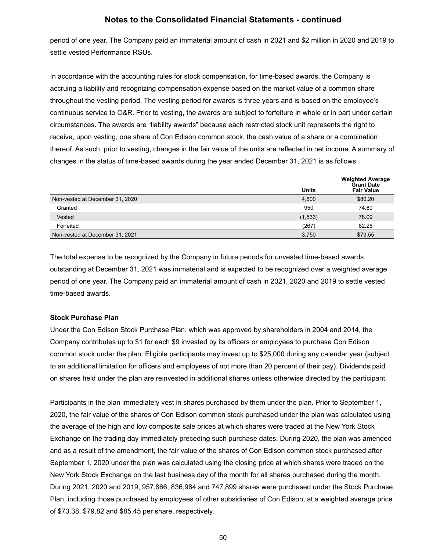period of one year. The Company paid an immaterial amount of cash in 2021 and \$2 million in 2020 and 2019 to settle vested Performance RSUs.

In accordance with the accounting rules for stock compensation, for time-based awards, the Company is accruing a liability and recognizing compensation expense based on the market value of a common share throughout the vesting period. The vesting period for awards is three years and is based on the employee's continuous service to O&R. Prior to vesting, the awards are subject to forfeiture in whole or in part under certain circumstances. The awards are "liability awards" because each restricted stock unit represents the right to receive, upon vesting, one share of Con Edison common stock, the cash value of a share or a combination thereof. As such, prior to vesting, changes in the fair value of the units are reflected in net income. A summary of changes in the status of time-based awards during the year ended December 31, 2021 is as follows:

|                                 | <b>Units</b> | <b>Weighted Average</b><br><b>Grant Date</b><br><b>Fair Value</b> |
|---------------------------------|--------------|-------------------------------------------------------------------|
| Non-vested at December 31, 2020 | 4,600        | \$80.20                                                           |
| Granted                         | 950          | 74.80                                                             |
| Vested                          | (1,533)      | 78.09                                                             |
| Forfeited                       | (267)        | 82.25                                                             |
| Non-vested at December 31, 2021 | 3,750        | \$79.55                                                           |

The total expense to be recognized by the Company in future periods for unvested time-based awards outstanding at December 31, 2021 was immaterial and is expected to be recognized over a weighted average period of one year. The Company paid an immaterial amount of cash in 2021, 2020 and 2019 to settle vested time-based awards.

## **Stock Purchase Plan**

Under the Con Edison Stock Purchase Plan, which was approved by shareholders in 2004 and 2014, the Company contributes up to \$1 for each \$9 invested by its officers or employees to purchase Con Edison common stock under the plan. Eligible participants may invest up to \$25,000 during any calendar year (subject to an additional limitation for officers and employees of not more than 20 percent of their pay). Dividends paid on shares held under the plan are reinvested in additional shares unless otherwise directed by the participant.

Participants in the plan immediately vest in shares purchased by them under the plan. Prior to September 1, 2020, the fair value of the shares of Con Edison common stock purchased under the plan was calculated using the average of the high and low composite sale prices at which shares were traded at the New York Stock Exchange on the trading day immediately preceding such purchase dates. During 2020, the plan was amended and as a result of the amendment, the fair value of the shares of Con Edison common stock purchased after September 1, 2020 under the plan was calculated using the closing price at which shares were traded on the New York Stock Exchange on the last business day of the month for all shares purchased during the month. During 2021, 2020 and 2019, 957,866, 836,984 and 747,899 shares were purchased under the Stock Purchase Plan, including those purchased by employees of other subsidiaries of Con Edison, at a weighted average price of \$73.38, \$79.82 and \$85.45 per share, respectively.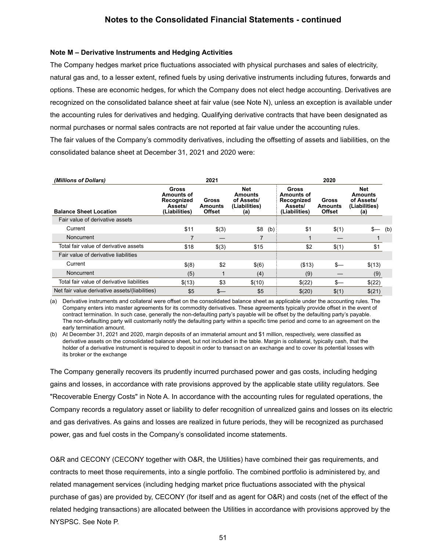#### **Note M – Derivative Instruments and Hedging Activities**

The Company hedges market price fluctuations associated with physical purchases and sales of electricity, natural gas and, to a lesser extent, refined fuels by using derivative instruments including futures, forwards and options. These are economic hedges, for which the Company does not elect hedge accounting. Derivatives are recognized on the consolidated balance sheet at fair value (see Note N), unless an exception is available under the accounting rules for derivatives and hedging. Qualifying derivative contracts that have been designated as normal purchases or normal sales contracts are not reported at fair value under the accounting rules. The fair values of the Company's commodity derivatives, including the offsetting of assets and liabilities, on the consolidated balance sheet at December 31, 2021 and 2020 were:

| (Millions of Dollars)                          | 2021<br>2020                                                         |                                   |                                                             |     |                                                               |                                   |                                                      |     |
|------------------------------------------------|----------------------------------------------------------------------|-----------------------------------|-------------------------------------------------------------|-----|---------------------------------------------------------------|-----------------------------------|------------------------------------------------------|-----|
| <b>Balance Sheet Location</b>                  | <b>Gross</b><br>Amounts of<br>Recognized<br>Assets/<br>(Liabilities) | Gross<br>Amounts<br><b>Offset</b> | <b>Net</b><br>Amounts<br>of Assets/<br>(Liabilities)<br>(a) |     | Gross<br>Amounts of<br>Recognized<br>Assets/<br>(Liabilities) | Gross<br>Amounts<br><b>Offset</b> | Net<br>Amounts<br>of Assets/<br>(Liabilities)<br>(a) |     |
| Fair value of derivative assets                |                                                                      |                                   |                                                             |     |                                                               |                                   |                                                      |     |
| Current                                        | \$11                                                                 | \$(3)                             | \$8                                                         | (b) | \$1                                                           | \$(1)                             |                                                      | (b) |
| Noncurrent                                     |                                                                      |                                   |                                                             |     |                                                               |                                   |                                                      |     |
| Total fair value of derivative assets          | \$18                                                                 | \$(3)                             | \$15                                                        |     | \$2                                                           | \$(1)                             | \$1                                                  |     |
| Fair value of derivative liabilities           |                                                                      |                                   |                                                             |     |                                                               |                                   |                                                      |     |
| Current                                        | \$(8)                                                                | \$2                               | \$(6)                                                       |     | (\$13)                                                        | $s-$                              | \$(13)                                               |     |
| Noncurrent                                     | (5)                                                                  |                                   | (4)                                                         |     | (9)                                                           |                                   | (9)                                                  |     |
| Total fair value of derivative liabilities     | \$(13)                                                               | \$3                               | \$(10)                                                      |     | \$(22)                                                        | \$—                               | \$(22)                                               |     |
| Net fair value derivative assets/(liabilities) | \$5                                                                  | $s-$                              | \$5                                                         |     | \$(20)                                                        | \$(1)                             | \$(21)                                               |     |

(a) Derivative instruments and collateral were offset on the consolidated balance sheet as applicable under the accounting rules. The Company enters into master agreements for its commodity derivatives. These agreements typically provide offset in the event of contract termination. In such case, generally the non-defaulting party's payable will be offset by the defaulting party's payable. The non-defaulting party will customarily notify the defaulting party within a specific time period and come to an agreement on the early termination amount.

(b) At December 31, 2021 and 2020, margin deposits of an immaterial amount and \$1 million, respectively, were classified as derivative assets on the consolidated balance sheet, but not included in the table. Margin is collateral, typically cash, that the holder of a derivative instrument is required to deposit in order to transact on an exchange and to cover its potential losses with its broker or the exchange

The Company generally recovers its prudently incurred purchased power and gas costs, including hedging gains and losses, in accordance with rate provisions approved by the applicable state utility regulators. See "Recoverable Energy Costs" in Note A. In accordance with the accounting rules for regulated operations, the Company records a regulatory asset or liability to defer recognition of unrealized gains and losses on its electric and gas derivatives. As gains and losses are realized in future periods, they will be recognized as purchased power, gas and fuel costs in the Company's consolidated income statements.

O&R and CECONY (CECONY together with O&R, the Utilities) have combined their gas requirements, and contracts to meet those requirements, into a single portfolio. The combined portfolio is administered by, and related management services (including hedging market price fluctuations associated with the physical purchase of gas) are provided by, CECONY (for itself and as agent for O&R) and costs (net of the effect of the related hedging transactions) are allocated between the Utilities in accordance with provisions approved by the NYSPSC. See Note P.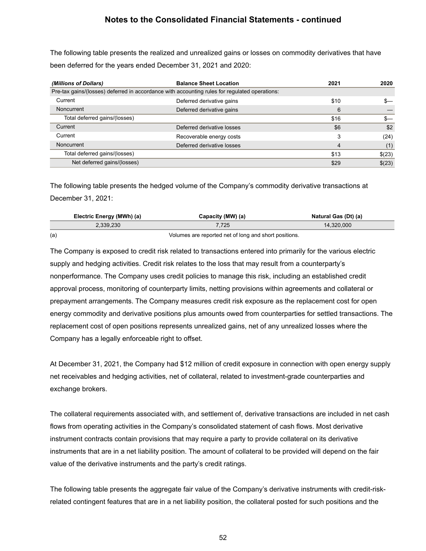The following table presents the realized and unrealized gains or losses on commodity derivatives that have been deferred for the years ended December 31, 2021 and 2020:

| (Millions of Dollars)         | <b>Balance Sheet Location</b>                                                                 | 2021 | 2020   |
|-------------------------------|-----------------------------------------------------------------------------------------------|------|--------|
|                               | Pre-tax gains/(losses) deferred in accordance with accounting rules for regulated operations: |      |        |
| Current                       | Deferred derivative gains                                                                     | \$10 |        |
| Noncurrent                    | Deferred derivative gains                                                                     | 6    |        |
| Total deferred gains/(losses) |                                                                                               | \$16 | \$—    |
| Current                       | Deferred derivative losses                                                                    | \$6  | \$2    |
| Current                       | Recoverable energy costs                                                                      | 3    | (24)   |
| Noncurrent                    | Deferred derivative losses                                                                    | 4    | (1)    |
| Total deferred gains/(losses) |                                                                                               | \$13 | \$(23) |
| Net deferred gains/(losses)   |                                                                                               | \$29 | \$(23) |
|                               |                                                                                               |      |        |

The following table presents the hedged volume of the Company's commodity derivative transactions at December 31, 2021:

| Electric Energy (MWh) (a) | Capacity (MW) (a)                                     | Natural Gas (Dt) (a) |
|---------------------------|-------------------------------------------------------|----------------------|
| 2.339.230                 | 7.725                                                 | 14.320.000           |
| (a)                       | Volumes are reported net of long and short positions. |                      |

The Company is exposed to credit risk related to transactions entered into primarily for the various electric supply and hedging activities. Credit risk relates to the loss that may result from a counterparty's nonperformance. The Company uses credit policies to manage this risk, including an established credit approval process, monitoring of counterparty limits, netting provisions within agreements and collateral or prepayment arrangements. The Company measures credit risk exposure as the replacement cost for open energy commodity and derivative positions plus amounts owed from counterparties for settled transactions. The replacement cost of open positions represents unrealized gains, net of any unrealized losses where the Company has a legally enforceable right to offset.

At December 31, 2021, the Company had \$12 million of credit exposure in connection with open energy supply net receivables and hedging activities, net of collateral, related to investment-grade counterparties and exchange brokers.

The collateral requirements associated with, and settlement of, derivative transactions are included in net cash flows from operating activities in the Company's consolidated statement of cash flows. Most derivative instrument contracts contain provisions that may require a party to provide collateral on its derivative instruments that are in a net liability position. The amount of collateral to be provided will depend on the fair value of the derivative instruments and the party's credit ratings.

The following table presents the aggregate fair value of the Company's derivative instruments with credit-riskrelated contingent features that are in a net liability position, the collateral posted for such positions and the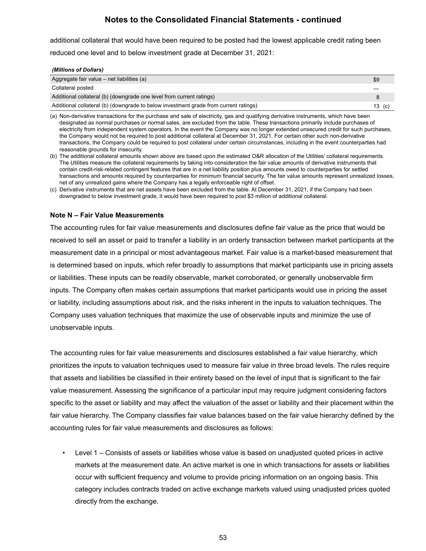additional collateral that would have been required to be posted had the lowest applicable credit rating been

reduced one level and to below investment grade at December 31, 2021:

| (Millions of Dollars) |  |  |  |
|-----------------------|--|--|--|
|-----------------------|--|--|--|

| Aggregate fair value – net liabilities (a)                                           | \$9      |
|--------------------------------------------------------------------------------------|----------|
| Collateral posted                                                                    |          |
| Additional collateral (b) (downgrade one level from current ratings)                 |          |
| Additional collateral (b) (downgrade to below investment grade from current ratings) | 13 $(c)$ |

(a) Non-derivative transactions for the purchase and sale of electricity, gas and qualifying derivative instruments, which have been designated as normal purchases or normal sales, are excluded from the table. These transactions primarily include purchases of electricity from independent system operators. In the event the Company was no longer extended unsecured credit for such purchases, the Company would not be required to post additional collateral at December 31, 2021. For certain other such non-derivative transactions, the Company could be required to post collateral under certain circumstances, including in the event counterparties had reasonable grounds for insecurity.

(b) The additional collateral amounts shown above are based upon the estimated O&R allocation of the Utilities' collateral requirements. The Utilities measure the collateral requirements by taking into consideration the fair value amounts of derivative instruments that contain credit-risk-related contingent features that are in a net liability position plus amounts owed to counterparties for settled transactions and amounts required by counterparties for minimum financial security. The fair value amounts represent unrealized losses, net of any unrealized gains where the Company has a legally enforceable right of offset.

(c) Derivative instruments that are net assets have been excluded from the table. At December 31, 2021, if the Company had been downgraded to below investment grade, it would have been required to post \$3 million of additional collateral.

#### **Note N – Fair Value Measurements**

The accounting rules for fair value measurements and disclosures define fair value as the price that would be received to sell an asset or paid to transfer a liability in an orderly transaction between market participants at the measurement date in a principal or most advantageous market. Fair value is a market-based measurement that is determined based on inputs, which refer broadly to assumptions that market participants use in pricing assets or liabilities. These inputs can be readily observable, market corroborated, or generally unobservable firm inputs. The Company often makes certain assumptions that market participants would use in pricing the asset or liability, including assumptions about risk, and the risks inherent in the inputs to valuation techniques. The Company uses valuation techniques that maximize the use of observable inputs and minimize the use of unobservable inputs.

The accounting rules for fair value measurements and disclosures established a fair value hierarchy, which prioritizes the inputs to valuation techniques used to measure fair value in three broad levels. The rules require that assets and liabilities be classified in their entirety based on the level of input that is significant to the fair value measurement. Assessing the significance of a particular input may require judgment considering factors specific to the asset or liability and may affect the valuation of the asset or liability and their placement within the fair value hierarchy. The Company classifies fair value balances based on the fair value hierarchy defined by the accounting rules for fair value measurements and disclosures as follows:

• Level 1 – Consists of assets or liabilities whose value is based on unadjusted quoted prices in active markets at the measurement date. An active market is one in which transactions for assets or liabilities occur with sufficient frequency and volume to provide pricing information on an ongoing basis. This category includes contracts traded on active exchange markets valued using unadjusted prices quoted directly from the exchange.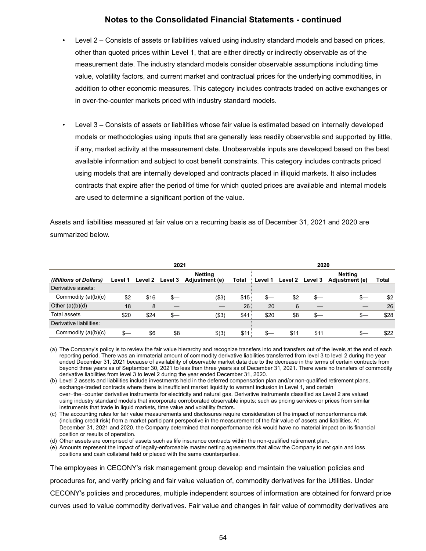- Level 2 Consists of assets or liabilities valued using industry standard models and based on prices, other than quoted prices within Level 1, that are either directly or indirectly observable as of the measurement date. The industry standard models consider observable assumptions including time value, volatility factors, and current market and contractual prices for the underlying commodities, in addition to other economic measures. This category includes contracts traded on active exchanges or in over-the-counter markets priced with industry standard models.
- Level 3 Consists of assets or liabilities whose fair value is estimated based on internally developed models or methodologies using inputs that are generally less readily observable and supported by little, if any, market activity at the measurement date. Unobservable inputs are developed based on the best available information and subject to cost benefit constraints. This category includes contracts priced using models that are internally developed and contracts placed in illiquid markets. It also includes contracts that expire after the period of time for which quoted prices are available and internal models are used to determine a significant portion of the value.

Assets and liabilities measured at fair value on a recurring basis as of December 31, 2021 and 2020 are summarized below.

|                         | 2021    |         |         |                                  | 2020  |         |         |         |                                  |              |
|-------------------------|---------|---------|---------|----------------------------------|-------|---------|---------|---------|----------------------------------|--------------|
| (Millions of Dollars)   | Level 1 | Level 2 | Level 3 | <b>Netting</b><br>Adjustment (e) | Total | Level 1 | Level 2 | Level 3 | <b>Netting</b><br>Adjustment (e) | <b>Total</b> |
| Derivative assets:      |         |         |         |                                  |       |         |         |         |                                  |              |
| Commodity $(a)(b)(c)$   | \$2     | \$16    | $s-$    | ( \$3)                           | \$15  | $s-$    | \$2     | $s-$    | \$—                              | \$2          |
| Other $(a)(b)(d)$       | 18      | 8       |         |                                  | 26:   | 20      | 6       |         |                                  | 26           |
| Total assets            | \$20    | \$24    | $s-$    | ( \$3)                           | \$41  | \$20    | \$8     | $s-$    | \$—                              | \$28         |
| Derivative liabilities: |         |         |         |                                  |       |         |         |         |                                  |              |
| Commodity $(a)(b)(c)$   | $s-$    | \$6     | \$8     | \$(3)                            | \$11  |         | \$11    | \$11    |                                  | \$22         |

(a) The Company's policy is to review the fair value hierarchy and recognize transfers into and transfers out of the levels at the end of each reporting period. There was an immaterial amount of commodity derivative liabilities transferred from level 3 to level 2 during the year ended December 31, 2021 because of availability of observable market data due to the decrease in the terms of certain contracts from beyond three years as of September 30, 2021 to less than three years as of December 31, 2021. There were no transfers of commodity derivative liabilities from level 3 to level 2 during the year ended December 31, 2020.

(b) Level 2 assets and liabilities include investments held in the deferred compensation plan and/or non-qualified retirement plans, exchange-traded contracts where there is insufficient market liquidity to warrant inclusion in Level 1, and certain over−the−counter derivative instruments for electricity and natural gas. Derivative instruments classified as Level 2 are valued using industry standard models that incorporate corroborated observable inputs; such as pricing services or prices from similar instruments that trade in liquid markets, time value and volatility factors.

(c) The accounting rules for fair value measurements and disclosures require consideration of the impact of nonperformance risk (including credit risk) from a market participant perspective in the measurement of the fair value of assets and liabilities. At December 31, 2021 and 2020, the Company determined that nonperformance risk would have no material impact on its financial position or results of operation.

(d) Other assets are comprised of assets such as life insurance contracts within the non-qualified retirement plan.

(e) Amounts represent the impact of legally-enforceable master netting agreements that allow the Company to net gain and loss positions and cash collateral held or placed with the same counterparties.

The employees in CECONY's risk management group develop and maintain the valuation policies and

procedures for, and verify pricing and fair value valuation of, commodity derivatives for the Utilities. Under

CECONY's policies and procedures, multiple independent sources of information are obtained for forward price

curves used to value commodity derivatives. Fair value and changes in fair value of commodity derivatives are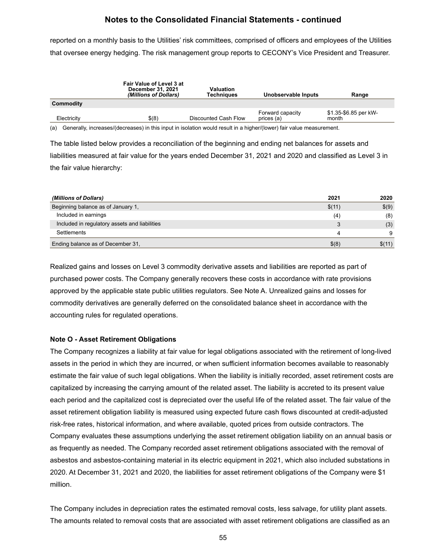reported on a monthly basis to the Utilities' risk committees, comprised of officers and employees of the Utilities that oversee energy hedging. The risk management group reports to CECONY's Vice President and Treasurer.

|             | Fair Value of Level 3 at<br><b>December 31, 2021</b><br><i>(Millions of Dollars)</i> | <b>Valuation</b><br>Techniaues | Unobservable Inputs            | Range                          |
|-------------|--------------------------------------------------------------------------------------|--------------------------------|--------------------------------|--------------------------------|
| Commodity   |                                                                                      |                                |                                |                                |
| Electricity | \$(8)                                                                                | Discounted Cash Flow           | Forward capacity<br>prices (a) | \$1.35-\$6.85 per kW-<br>month |

(a) Generally, increases/(decreases) in this input in isolation would result in a higher/(lower) fair value measurement.

The table listed below provides a reconciliation of the beginning and ending net balances for assets and liabilities measured at fair value for the years ended December 31, 2021 and 2020 and classified as Level 3 in the fair value hierarchy:

| (Millions of Dollars)                         | 2021   | 2020   |
|-----------------------------------------------|--------|--------|
| Beginning balance as of January 1,            | \$(11) | \$(9)  |
| Included in earnings                          | (4)    | (8)    |
| Included in regulatory assets and liabilities |        | (3)    |
| Settlements                                   | 4      | 9      |
| Ending balance as of December 31,             | \$(8)  | \$(11) |

Realized gains and losses on Level 3 commodity derivative assets and liabilities are reported as part of purchased power costs. The Company generally recovers these costs in accordance with rate provisions approved by the applicable state public utilities regulators. See Note A. Unrealized gains and losses for commodity derivatives are generally deferred on the consolidated balance sheet in accordance with the accounting rules for regulated operations.

## **Note O - Asset Retirement Obligations**

The Company recognizes a liability at fair value for legal obligations associated with the retirement of long-lived assets in the period in which they are incurred, or when sufficient information becomes available to reasonably estimate the fair value of such legal obligations. When the liability is initially recorded, asset retirement costs are capitalized by increasing the carrying amount of the related asset. The liability is accreted to its present value each period and the capitalized cost is depreciated over the useful life of the related asset. The fair value of the asset retirement obligation liability is measured using expected future cash flows discounted at credit-adjusted risk-free rates, historical information, and where available, quoted prices from outside contractors. The Company evaluates these assumptions underlying the asset retirement obligation liability on an annual basis or as frequently as needed. The Company recorded asset retirement obligations associated with the removal of asbestos and asbestos-containing material in its electric equipment in 2021, which also included substations in 2020. At December 31, 2021 and 2020, the liabilities for asset retirement obligations of the Company were \$1 million.

The Company includes in depreciation rates the estimated removal costs, less salvage, for utility plant assets. The amounts related to removal costs that are associated with asset retirement obligations are classified as an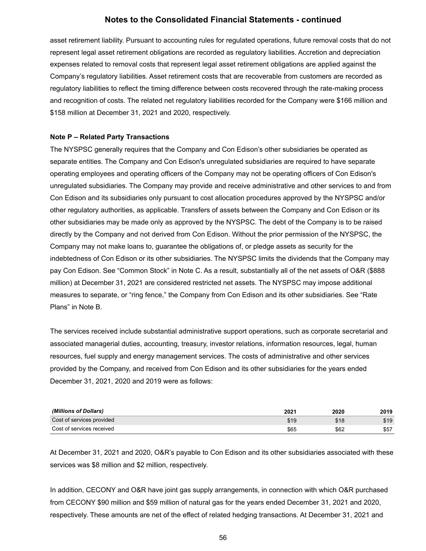asset retirement liability. Pursuant to accounting rules for regulated operations, future removal costs that do not represent legal asset retirement obligations are recorded as regulatory liabilities. Accretion and depreciation expenses related to removal costs that represent legal asset retirement obligations are applied against the Company's regulatory liabilities. Asset retirement costs that are recoverable from customers are recorded as regulatory liabilities to reflect the timing difference between costs recovered through the rate-making process and recognition of costs. The related net regulatory liabilities recorded for the Company were \$166 million and \$158 million at December 31, 2021 and 2020, respectively.

#### **Note P – Related Party Transactions**

The NYSPSC generally requires that the Company and Con Edison's other subsidiaries be operated as separate entities. The Company and Con Edison's unregulated subsidiaries are required to have separate operating employees and operating officers of the Company may not be operating officers of Con Edison's unregulated subsidiaries. The Company may provide and receive administrative and other services to and from Con Edison and its subsidiaries only pursuant to cost allocation procedures approved by the NYSPSC and/or other regulatory authorities, as applicable. Transfers of assets between the Company and Con Edison or its other subsidiaries may be made only as approved by the NYSPSC. The debt of the Company is to be raised directly by the Company and not derived from Con Edison. Without the prior permission of the NYSPSC, the Company may not make loans to, guarantee the obligations of, or pledge assets as security for the indebtedness of Con Edison or its other subsidiaries. The NYSPSC limits the dividends that the Company may pay Con Edison. See "Common Stock" in Note C. As a result, substantially all of the net assets of O&R (\$888 million) at December 31, 2021 are considered restricted net assets. The NYSPSC may impose additional measures to separate, or "ring fence," the Company from Con Edison and its other subsidiaries. See "Rate Plans" in Note B.

The services received include substantial administrative support operations, such as corporate secretarial and associated managerial duties, accounting, treasury, investor relations, information resources, legal, human resources, fuel supply and energy management services. The costs of administrative and other services provided by the Company, and received from Con Edison and its other subsidiaries for the years ended December 31, 2021, 2020 and 2019 were as follows:

| (Millions of Dollars)     | $202^t$ | 2020 | 2019 |
|---------------------------|---------|------|------|
| Cost of services provided |         | \$18 | \$19 |
| Cost of services received | \$65    | \$62 | \$57 |

At December 31, 2021 and 2020, O&R's payable to Con Edison and its other subsidiaries associated with these services was \$8 million and \$2 million, respectively.

In addition, CECONY and O&R have joint gas supply arrangements, in connection with which O&R purchased from CECONY \$90 million and \$59 million of natural gas for the years ended December 31, 2021 and 2020, respectively. These amounts are net of the effect of related hedging transactions. At December 31, 2021 and